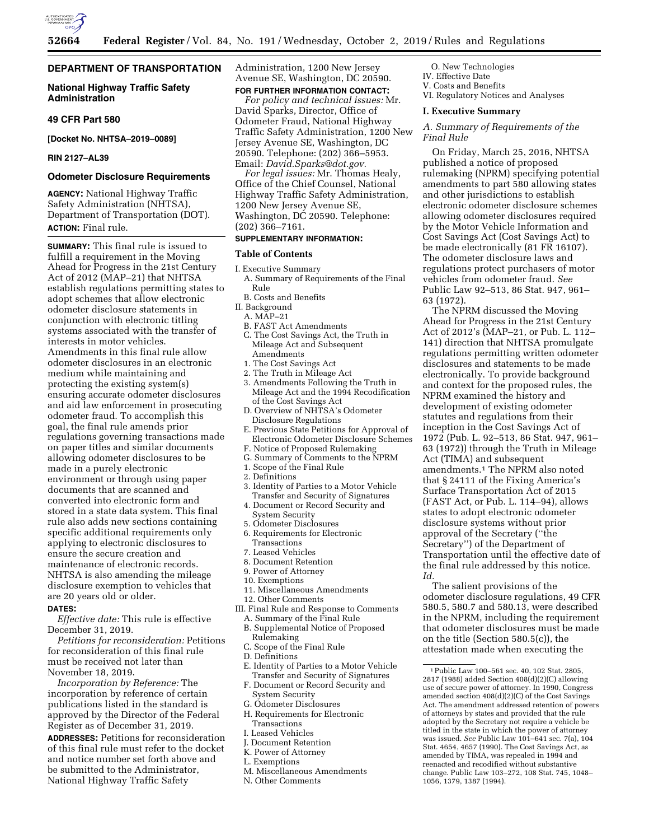

## **DEPARTMENT OF TRANSPORTATION**

## **National Highway Traffic Safety Administration**

#### **49 CFR Part 580**

**[Docket No. NHTSA–2019–0089]** 

## **RIN 2127–AL39**

## **Odometer Disclosure Requirements**

**AGENCY:** National Highway Traffic Safety Administration (NHTSA), Department of Transportation (DOT). **ACTION:** Final rule.

**SUMMARY:** This final rule is issued to fulfill a requirement in the Moving Ahead for Progress in the 21st Century Act of 2012 (MAP–21) that NHTSA establish regulations permitting states to adopt schemes that allow electronic odometer disclosure statements in conjunction with electronic titling systems associated with the transfer of interests in motor vehicles. Amendments in this final rule allow odometer disclosures in an electronic medium while maintaining and protecting the existing system(s) ensuring accurate odometer disclosures and aid law enforcement in prosecuting odometer fraud. To accomplish this goal, the final rule amends prior regulations governing transactions made on paper titles and similar documents allowing odometer disclosures to be made in a purely electronic environment or through using paper documents that are scanned and converted into electronic form and stored in a state data system. This final rule also adds new sections containing specific additional requirements only applying to electronic disclosures to ensure the secure creation and maintenance of electronic records. NHTSA is also amending the mileage disclosure exemption to vehicles that are 20 years old or older.

## **DATES:**

*Effective date:* This rule is effective December 31, 2019.

*Petitions for reconsideration:* Petitions for reconsideration of this final rule must be received not later than November 18, 2019.

*Incorporation by Reference:* The incorporation by reference of certain publications listed in the standard is approved by the Director of the Federal Register as of December 31, 2019.

**ADDRESSES:** Petitions for reconsideration of this final rule must refer to the docket and notice number set forth above and be submitted to the Administrator, National Highway Traffic Safety

Administration, 1200 New Jersey Avenue SE, Washington, DC 20590. **FOR FURTHER INFORMATION CONTACT:** 

*For policy and technical issues:* Mr. David Sparks, Director, Office of Odometer Fraud, National Highway Traffic Safety Administration, 1200 New Jersey Avenue SE, Washington, DC 20590. Telephone: (202) 366–5953. Email: *[David.Sparks@dot.gov.](mailto:David.Sparks@dot.gov)* 

*For legal issues:* Mr. Thomas Healy, Office of the Chief Counsel, National Highway Traffic Safety Administration, 1200 New Jersey Avenue SE, Washington, DC 20590. Telephone: (202) 366–7161.

## **SUPPLEMENTARY INFORMATION:**

## **Table of Contents**

- I. Executive Summary
- A. Summary of Requirements of the Final Rule
- B. Costs and Benefits
- II. Background
	- A. MAP–21
	- B. FAST Act Amendments
	- C. The Cost Savings Act, the Truth in Mileage Act and Subsequent Amendments
	- 1. The Cost Savings Act
	- 2. The Truth in Mileage Act
	- 3. Amendments Following the Truth in Mileage Act and the 1994 Recodification of the Cost Savings Act
	- D. Overview of NHTSA's Odometer Disclosure Regulations
	- E. Previous State Petitions for Approval of Electronic Odometer Disclosure Schemes
	- F. Notice of Proposed Rulemaking
	- G. Summary of Comments to the NPRM
	- 1. Scope of the Final Rule 2. Definitions
	-
	- 3. Identity of Parties to a Motor Vehicle Transfer and Security of Signatures
	- 4. Document or Record Security and System Security
	- 5. Odometer Disclosures
	- 6. Requirements for Electronic
	- Transactions
	- 7. Leased Vehicles
	- 8. Document Retention
	- 9. Power of Attorney 10. Exemptions
- 11. Miscellaneous Amendments
- 12. Other Comments
- III. Final Rule and Response to Comments
	- A. Summary of the Final Rule B. Supplemental Notice of Proposed Rulemaking
	- C. Scope of the Final Rule
	- D. Definitions
	- E. Identity of Parties to a Motor Vehicle Transfer and Security of Signatures
	- F. Document or Record Security and System Security
	- G. Odometer Disclosures
	- H. Requirements for Electronic Transactions
	- I. Leased Vehicles
	- J. Document Retention
	- K. Power of Attorney
	- L. Exemptions
	- M. Miscellaneous Amendments
	- N. Other Comments

O. New Technologies IV. Effective Date V. Costs and Benefits

VI. Regulatory Notices and Analyses

## **I. Executive Summary**

*A. Summary of Requirements of the Final Rule* 

On Friday, March 25, 2016, NHTSA published a notice of proposed rulemaking (NPRM) specifying potential amendments to part 580 allowing states and other jurisdictions to establish electronic odometer disclosure schemes allowing odometer disclosures required by the Motor Vehicle Information and Cost Savings Act (Cost Savings Act) to be made electronically (81 FR 16107). The odometer disclosure laws and regulations protect purchasers of motor vehicles from odometer fraud. *See*  Public Law 92–513, 86 Stat. 947, 961– 63 (1972).

The NPRM discussed the Moving Ahead for Progress in the 21st Century Act of 2012's (MAP–21, or Pub. L. 112– 141) direction that NHTSA promulgate regulations permitting written odometer disclosures and statements to be made electronically. To provide background and context for the proposed rules, the NPRM examined the history and development of existing odometer statutes and regulations from their inception in the Cost Savings Act of 1972 (Pub. L. 92–513, 86 Stat. 947, 961– 63 (1972)) through the Truth in Mileage Act (TIMA) and subsequent amendments.1 The NPRM also noted that § 24111 of the Fixing America's Surface Transportation Act of 2015 (FAST Act, or Pub. L. 114–94), allows states to adopt electronic odometer disclosure systems without prior approval of the Secretary (''the Secretary'') of the Department of Transportation until the effective date of the final rule addressed by this notice. *Id.* 

The salient provisions of the odometer disclosure regulations, 49 CFR 580.5, 580.7 and 580.13, were described in the NPRM, including the requirement that odometer disclosures must be made on the title (Section 580.5(c)), the attestation made when executing the

<sup>1</sup>Public Law 100–561 sec. 40, 102 Stat. 2805, 2817 (1988) added Section 408(d)(2)(C) allowing use of secure power of attorney. In 1990, Congress amended section 408(d)(2)(C) of the Cost Savings Act. The amendment addressed retention of powers of attorneys by states and provided that the rule adopted by the Secretary not require a vehicle be titled in the state in which the power of attorney was issued. *See* Public Law 101–641 sec. 7(a), 104 Stat. 4654, 4657 (1990). The Cost Savings Act, as amended by TIMA, was repealed in 1994 and reenacted and recodified without substantive change. Public Law 103–272, 108 Stat. 745, 1048– 1056, 1379, 1387 (1994).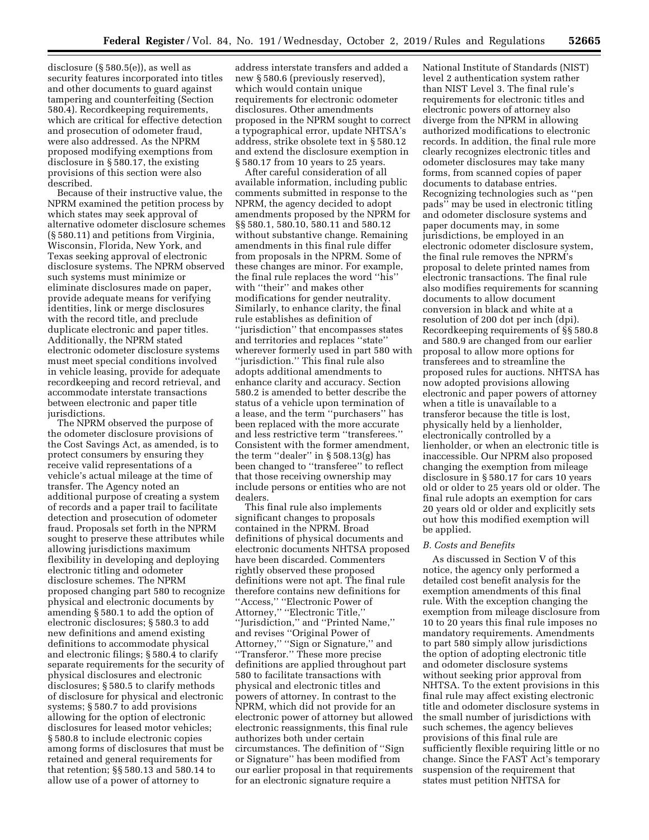disclosure (§ 580.5(e)), as well as security features incorporated into titles and other documents to guard against tampering and counterfeiting (Section 580.4). Recordkeeping requirements, which are critical for effective detection and prosecution of odometer fraud, were also addressed. As the NPRM proposed modifying exemptions from disclosure in § 580.17, the existing provisions of this section were also described.

Because of their instructive value, the NPRM examined the petition process by which states may seek approval of alternative odometer disclosure schemes (§ 580.11) and petitions from Virginia, Wisconsin, Florida, New York, and Texas seeking approval of electronic disclosure systems. The NPRM observed such systems must minimize or eliminate disclosures made on paper, provide adequate means for verifying identities, link or merge disclosures with the record title, and preclude duplicate electronic and paper titles. Additionally, the NPRM stated electronic odometer disclosure systems must meet special conditions involved in vehicle leasing, provide for adequate recordkeeping and record retrieval, and accommodate interstate transactions between electronic and paper title jurisdictions.

The NPRM observed the purpose of the odometer disclosure provisions of the Cost Savings Act, as amended, is to protect consumers by ensuring they receive valid representations of a vehicle's actual mileage at the time of transfer. The Agency noted an additional purpose of creating a system of records and a paper trail to facilitate detection and prosecution of odometer fraud. Proposals set forth in the NPRM sought to preserve these attributes while allowing jurisdictions maximum flexibility in developing and deploying electronic titling and odometer disclosure schemes. The NPRM proposed changing part 580 to recognize physical and electronic documents by amending § 580.1 to add the option of electronic disclosures; § 580.3 to add new definitions and amend existing definitions to accommodate physical and electronic filings; § 580.4 to clarify separate requirements for the security of physical disclosures and electronic disclosures; § 580.5 to clarify methods of disclosure for physical and electronic systems; § 580.7 to add provisions allowing for the option of electronic disclosures for leased motor vehicles; § 580.8 to include electronic copies among forms of disclosures that must be retained and general requirements for that retention; §§ 580.13 and 580.14 to allow use of a power of attorney to

address interstate transfers and added a new § 580.6 (previously reserved), which would contain unique requirements for electronic odometer disclosures. Other amendments proposed in the NPRM sought to correct a typographical error, update NHTSA's address, strike obsolete text in § 580.12 and extend the disclosure exemption in § 580.17 from 10 years to 25 years.

After careful consideration of all available information, including public comments submitted in response to the NPRM, the agency decided to adopt amendments proposed by the NPRM for §§ 580.1, 580.10, 580.11 and 580.12 without substantive change. Remaining amendments in this final rule differ from proposals in the NPRM. Some of these changes are minor. For example, the final rule replaces the word ''his'' with "their" and makes other modifications for gender neutrality. Similarly, to enhance clarity, the final rule establishes as definition of ''jurisdiction'' that encompasses states and territories and replaces ''state'' wherever formerly used in part 580 with ''jurisdiction.'' This final rule also adopts additional amendments to enhance clarity and accuracy. Section 580.2 is amended to better describe the status of a vehicle upon termination of a lease, and the term ''purchasers'' has been replaced with the more accurate and less restrictive term ''transferees.'' Consistent with the former amendment, the term "dealer" in  $\S 508.13(g)$  has been changed to ''transferee'' to reflect that those receiving ownership may include persons or entities who are not dealers.

This final rule also implements significant changes to proposals contained in the NPRM. Broad definitions of physical documents and electronic documents NHTSA proposed have been discarded. Commenters rightly observed these proposed definitions were not apt. The final rule therefore contains new definitions for ''Access,'' ''Electronic Power of Attorney,'' ''Electronic Title,'' ''Jurisdiction,'' and ''Printed Name,'' and revises ''Original Power of Attorney," "Sign or Signature," and ''Transferor.'' These more precise definitions are applied throughout part 580 to facilitate transactions with physical and electronic titles and powers of attorney. In contrast to the NPRM, which did not provide for an electronic power of attorney but allowed electronic reassignments, this final rule authorizes both under certain circumstances. The definition of ''Sign or Signature'' has been modified from our earlier proposal in that requirements for an electronic signature require a

National Institute of Standards (NIST) level 2 authentication system rather than NIST Level 3. The final rule's requirements for electronic titles and electronic powers of attorney also diverge from the NPRM in allowing authorized modifications to electronic records. In addition, the final rule more clearly recognizes electronic titles and odometer disclosures may take many forms, from scanned copies of paper documents to database entries. Recognizing technologies such as ''pen pads'' may be used in electronic titling and odometer disclosure systems and paper documents may, in some jurisdictions, be employed in an electronic odometer disclosure system, the final rule removes the NPRM's proposal to delete printed names from electronic transactions. The final rule also modifies requirements for scanning documents to allow document conversion in black and white at a resolution of 200 dot per inch (dpi). Recordkeeping requirements of §§ 580.8 and 580.9 are changed from our earlier proposal to allow more options for transferees and to streamline the proposed rules for auctions. NHTSA has now adopted provisions allowing electronic and paper powers of attorney when a title is unavailable to a transferor because the title is lost, physically held by a lienholder, electronically controlled by a lienholder, or when an electronic title is inaccessible. Our NPRM also proposed changing the exemption from mileage disclosure in § 580.17 for cars 10 years old or older to 25 years old or older. The final rule adopts an exemption for cars 20 years old or older and explicitly sets out how this modified exemption will be applied.

#### *B. Costs and Benefits*

As discussed in Section V of this notice, the agency only performed a detailed cost benefit analysis for the exemption amendments of this final rule. With the exception changing the exemption from mileage disclosure from 10 to 20 years this final rule imposes no mandatory requirements. Amendments to part 580 simply allow jurisdictions the option of adopting electronic title and odometer disclosure systems without seeking prior approval from NHTSA. To the extent provisions in this final rule may affect existing electronic title and odometer disclosure systems in the small number of jurisdictions with such schemes, the agency believes provisions of this final rule are sufficiently flexible requiring little or no change. Since the FAST Act's temporary suspension of the requirement that states must petition NHTSA for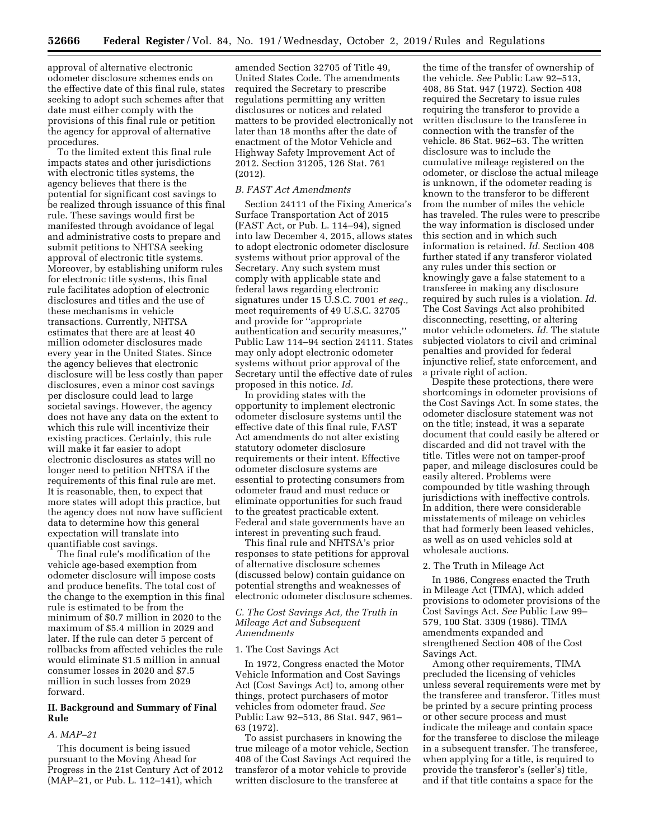approval of alternative electronic odometer disclosure schemes ends on the effective date of this final rule, states seeking to adopt such schemes after that date must either comply with the provisions of this final rule or petition the agency for approval of alternative procedures.

To the limited extent this final rule impacts states and other jurisdictions with electronic titles systems, the agency believes that there is the potential for significant cost savings to be realized through issuance of this final rule. These savings would first be manifested through avoidance of legal and administrative costs to prepare and submit petitions to NHTSA seeking approval of electronic title systems. Moreover, by establishing uniform rules for electronic title systems, this final rule facilitates adoption of electronic disclosures and titles and the use of these mechanisms in vehicle transactions. Currently, NHTSA estimates that there are at least 40 million odometer disclosures made every year in the United States. Since the agency believes that electronic disclosure will be less costly than paper disclosures, even a minor cost savings per disclosure could lead to large societal savings. However, the agency does not have any data on the extent to which this rule will incentivize their existing practices. Certainly, this rule will make it far easier to adopt electronic disclosures as states will no longer need to petition NHTSA if the requirements of this final rule are met. It is reasonable, then, to expect that more states will adopt this practice, but the agency does not now have sufficient data to determine how this general expectation will translate into quantifiable cost savings.

The final rule's modification of the vehicle age-based exemption from odometer disclosure will impose costs and produce benefits. The total cost of the change to the exemption in this final rule is estimated to be from the minimum of \$0.7 million in 2020 to the maximum of \$5.4 million in 2029 and later. If the rule can deter 5 percent of rollbacks from affected vehicles the rule would eliminate \$1.5 million in annual consumer losses in 2020 and \$7.5 million in such losses from 2029 forward.

## **II. Background and Summary of Final Rule**

#### *A. MAP–21*

This document is being issued pursuant to the Moving Ahead for Progress in the 21st Century Act of 2012 (MAP–21, or Pub. L. 112–141), which

amended Section 32705 of Title 49, United States Code. The amendments required the Secretary to prescribe regulations permitting any written disclosures or notices and related matters to be provided electronically not later than 18 months after the date of enactment of the Motor Vehicle and Highway Safety Improvement Act of 2012. Section 31205, 126 Stat. 761 (2012).

#### *B. FAST Act Amendments*

Section 24111 of the Fixing America's Surface Transportation Act of 2015 (FAST Act, or Pub. L. 114–94), signed into law December 4, 2015, allows states to adopt electronic odometer disclosure systems without prior approval of the Secretary. Any such system must comply with applicable state and federal laws regarding electronic signatures under 15 U.S.C. 7001 *et seq.,*  meet requirements of 49 U.S.C. 32705 and provide for ''appropriate authentication and security measures,'' Public Law 114–94 section 24111. States may only adopt electronic odometer systems without prior approval of the Secretary until the effective date of rules proposed in this notice. *Id.* 

In providing states with the opportunity to implement electronic odometer disclosure systems until the effective date of this final rule, FAST Act amendments do not alter existing statutory odometer disclosure requirements or their intent. Effective odometer disclosure systems are essential to protecting consumers from odometer fraud and must reduce or eliminate opportunities for such fraud to the greatest practicable extent. Federal and state governments have an interest in preventing such fraud.

This final rule and NHTSA's prior responses to state petitions for approval of alternative disclosure schemes (discussed below) contain guidance on potential strengths and weaknesses of electronic odometer disclosure schemes.

#### *C. The Cost Savings Act, the Truth in Mileage Act and Subsequent Amendments*

#### 1. The Cost Savings Act

In 1972, Congress enacted the Motor Vehicle Information and Cost Savings Act (Cost Savings Act) to, among other things, protect purchasers of motor vehicles from odometer fraud. *See*  Public Law 92–513, 86 Stat. 947, 961– 63 (1972).

To assist purchasers in knowing the true mileage of a motor vehicle, Section 408 of the Cost Savings Act required the transferor of a motor vehicle to provide written disclosure to the transferee at

the time of the transfer of ownership of the vehicle. *See* Public Law 92–513, 408, 86 Stat. 947 (1972). Section 408 required the Secretary to issue rules requiring the transferor to provide a written disclosure to the transferee in connection with the transfer of the vehicle. 86 Stat. 962–63. The written disclosure was to include the cumulative mileage registered on the odometer, or disclose the actual mileage is unknown, if the odometer reading is known to the transferor to be different from the number of miles the vehicle has traveled. The rules were to prescribe the way information is disclosed under this section and in which such information is retained. *Id.* Section 408 further stated if any transferor violated any rules under this section or knowingly gave a false statement to a transferee in making any disclosure required by such rules is a violation. *Id.*  The Cost Savings Act also prohibited disconnecting, resetting, or altering motor vehicle odometers. *Id.* The statute subjected violators to civil and criminal penalties and provided for federal injunctive relief, state enforcement, and a private right of action.

Despite these protections, there were shortcomings in odometer provisions of the Cost Savings Act. In some states, the odometer disclosure statement was not on the title; instead, it was a separate document that could easily be altered or discarded and did not travel with the title. Titles were not on tamper-proof paper, and mileage disclosures could be easily altered. Problems were compounded by title washing through jurisdictions with ineffective controls. In addition, there were considerable misstatements of mileage on vehicles that had formerly been leased vehicles, as well as on used vehicles sold at wholesale auctions.

#### 2. The Truth in Mileage Act

In 1986, Congress enacted the Truth in Mileage Act (TIMA), which added provisions to odometer provisions of the Cost Savings Act. *See* Public Law 99– 579, 100 Stat. 3309 (1986). TIMA amendments expanded and strengthened Section 408 of the Cost Savings Act.

Among other requirements, TIMA precluded the licensing of vehicles unless several requirements were met by the transferee and transferor. Titles must be printed by a secure printing process or other secure process and must indicate the mileage and contain space for the transferee to disclose the mileage in a subsequent transfer. The transferee, when applying for a title, is required to provide the transferor's (seller's) title, and if that title contains a space for the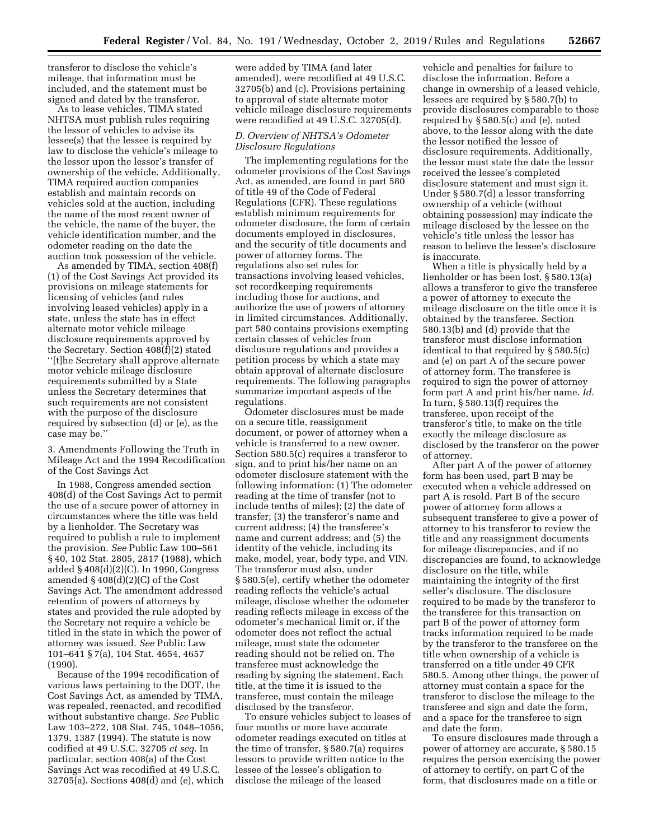transferor to disclose the vehicle's mileage, that information must be included, and the statement must be signed and dated by the transferor.

As to lease vehicles, TIMA stated NHTSA must publish rules requiring the lessor of vehicles to advise its lessee(s) that the lessee is required by law to disclose the vehicle's mileage to the lessor upon the lessor's transfer of ownership of the vehicle. Additionally, TIMA required auction companies establish and maintain records on vehicles sold at the auction, including the name of the most recent owner of the vehicle, the name of the buyer, the vehicle identification number, and the odometer reading on the date the auction took possession of the vehicle.

As amended by TIMA, section 408(f) (1) of the Cost Savings Act provided its provisions on mileage statements for licensing of vehicles (and rules involving leased vehicles) apply in a state, unless the state has in effect alternate motor vehicle mileage disclosure requirements approved by the Secretary. Section 408(f)(2) stated ''[t]he Secretary shall approve alternate motor vehicle mileage disclosure requirements submitted by a State unless the Secretary determines that such requirements are not consistent with the purpose of the disclosure required by subsection (d) or (e), as the case may be.''

3. Amendments Following the Truth in Mileage Act and the 1994 Recodification of the Cost Savings Act

In 1988, Congress amended section 408(d) of the Cost Savings Act to permit the use of a secure power of attorney in circumstances where the title was held by a lienholder. The Secretary was required to publish a rule to implement the provision. *See* Public Law 100–561 § 40, 102 Stat. 2805, 2817 (1988), which added § 408(d)(2)(C). In 1990, Congress amended § 408(d)(2)(C) of the Cost Savings Act. The amendment addressed retention of powers of attorneys by states and provided the rule adopted by the Secretary not require a vehicle be titled in the state in which the power of attorney was issued. *See* Public Law 101–641 § 7(a), 104 Stat. 4654, 4657 (1990).

Because of the 1994 recodification of various laws pertaining to the DOT, the Cost Savings Act, as amended by TIMA, was repealed, reenacted, and recodified without substantive change. *See* Public Law 103–272, 108 Stat. 745, 1048–1056, 1379, 1387 (1994). The statute is now codified at 49 U.S.C. 32705 *et seq.* In particular, section 408(a) of the Cost Savings Act was recodified at 49 U.S.C. 32705(a). Sections 408(d) and (e), which were added by TIMA (and later amended), were recodified at 49 U.S.C. 32705(b) and (c). Provisions pertaining to approval of state alternate motor vehicle mileage disclosure requirements were recodified at 49 U.S.C. 32705(d).

## *D. Overview of NHTSA's Odometer Disclosure Regulations*

The implementing regulations for the odometer provisions of the Cost Savings Act, as amended, are found in part 580 of title 49 of the Code of Federal Regulations (CFR). These regulations establish minimum requirements for odometer disclosure, the form of certain documents employed in disclosures, and the security of title documents and power of attorney forms. The regulations also set rules for transactions involving leased vehicles, set recordkeeping requirements including those for auctions, and authorize the use of powers of attorney in limited circumstances. Additionally, part 580 contains provisions exempting certain classes of vehicles from disclosure regulations and provides a petition process by which a state may obtain approval of alternate disclosure requirements. The following paragraphs summarize important aspects of the regulations.

Odometer disclosures must be made on a secure title, reassignment document, or power of attorney when a vehicle is transferred to a new owner. Section 580.5(c) requires a transferor to sign, and to print his/her name on an odometer disclosure statement with the following information: (1) The odometer reading at the time of transfer (not to include tenths of miles); (2) the date of transfer; (3) the transferor's name and current address; (4) the transferee's name and current address; and (5) the identity of the vehicle, including its make, model, year, body type, and VIN. The transferor must also, under § 580.5(e), certify whether the odometer reading reflects the vehicle's actual mileage, disclose whether the odometer reading reflects mileage in excess of the odometer's mechanical limit or, if the odometer does not reflect the actual mileage, must state the odometer reading should not be relied on. The transferee must acknowledge the reading by signing the statement. Each title, at the time it is issued to the transferee, must contain the mileage disclosed by the transferor.

To ensure vehicles subject to leases of four months or more have accurate odometer readings executed on titles at the time of transfer, § 580.7(a) requires lessors to provide written notice to the lessee of the lessee's obligation to disclose the mileage of the leased

vehicle and penalties for failure to disclose the information. Before a change in ownership of a leased vehicle, lessees are required by § 580.7(b) to provide disclosures comparable to those required by § 580.5(c) and (e), noted above, to the lessor along with the date the lessor notified the lessee of disclosure requirements. Additionally, the lessor must state the date the lessor received the lessee's completed disclosure statement and must sign it. Under § 580.7(d) a lessor transferring ownership of a vehicle (without obtaining possession) may indicate the mileage disclosed by the lessee on the vehicle's title unless the lessor has reason to believe the lessee's disclosure is inaccurate.

When a title is physically held by a lienholder or has been lost, § 580.13(a) allows a transferor to give the transferee a power of attorney to execute the mileage disclosure on the title once it is obtained by the transferee. Section 580.13(b) and (d) provide that the transferor must disclose information identical to that required by § 580.5(c) and (e) on part A of the secure power of attorney form. The transferee is required to sign the power of attorney form part A and print his/her name. *Id.*  In turn, § 580.13(f) requires the transferee, upon receipt of the transferor's title, to make on the title exactly the mileage disclosure as disclosed by the transferor on the power of attorney.

After part A of the power of attorney form has been used, part B may be executed when a vehicle addressed on part A is resold. Part B of the secure power of attorney form allows a subsequent transferee to give a power of attorney to his transferor to review the title and any reassignment documents for mileage discrepancies, and if no discrepancies are found, to acknowledge disclosure on the title, while maintaining the integrity of the first seller's disclosure. The disclosure required to be made by the transferor to the transferee for this transaction on part B of the power of attorney form tracks information required to be made by the transferor to the transferee on the title when ownership of a vehicle is transferred on a title under 49 CFR 580.5. Among other things, the power of attorney must contain a space for the transferor to disclose the mileage to the transferee and sign and date the form, and a space for the transferee to sign and date the form.

To ensure disclosures made through a power of attorney are accurate, § 580.15 requires the person exercising the power of attorney to certify, on part C of the form, that disclosures made on a title or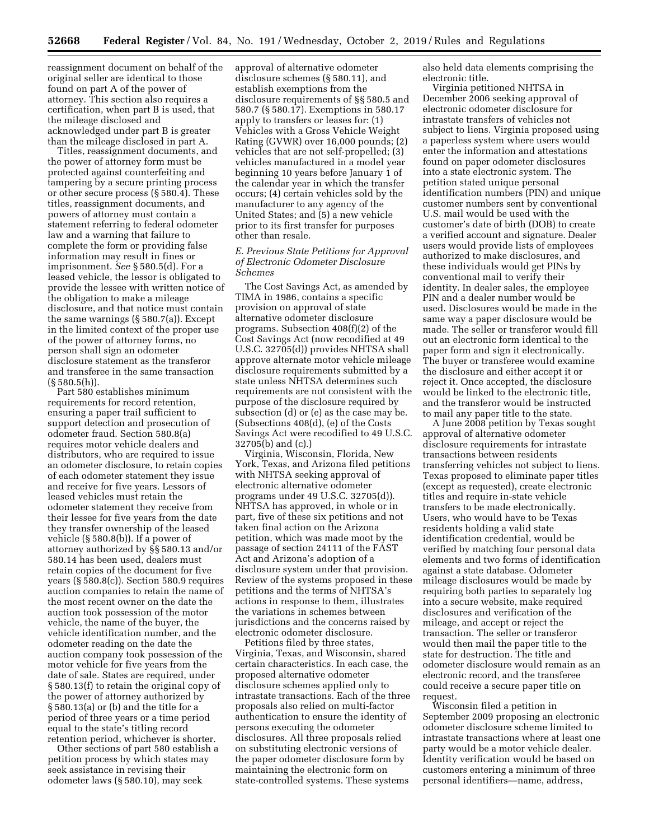reassignment document on behalf of the original seller are identical to those found on part A of the power of attorney. This section also requires a certification, when part B is used, that the mileage disclosed and acknowledged under part B is greater than the mileage disclosed in part A.

Titles, reassignment documents, and the power of attorney form must be protected against counterfeiting and tampering by a secure printing process or other secure process (§ 580.4). These titles, reassignment documents, and powers of attorney must contain a statement referring to federal odometer law and a warning that failure to complete the form or providing false information may result in fines or imprisonment. *See* § 580.5(d). For a leased vehicle, the lessor is obligated to provide the lessee with written notice of the obligation to make a mileage disclosure, and that notice must contain the same warnings (§ 580.7(a)). Except in the limited context of the proper use of the power of attorney forms, no person shall sign an odometer disclosure statement as the transferor and transferee in the same transaction  $(S 580.5(h)).$ 

Part 580 establishes minimum requirements for record retention, ensuring a paper trail sufficient to support detection and prosecution of odometer fraud. Section 580.8(a) requires motor vehicle dealers and distributors, who are required to issue an odometer disclosure, to retain copies of each odometer statement they issue and receive for five years. Lessors of leased vehicles must retain the odometer statement they receive from their lessee for five years from the date they transfer ownership of the leased vehicle (§ 580.8(b)). If a power of attorney authorized by §§ 580.13 and/or 580.14 has been used, dealers must retain copies of the document for five years (§ 580.8(c)). Section 580.9 requires auction companies to retain the name of the most recent owner on the date the auction took possession of the motor vehicle, the name of the buyer, the vehicle identification number, and the odometer reading on the date the auction company took possession of the motor vehicle for five years from the date of sale. States are required, under § 580.13(f) to retain the original copy of the power of attorney authorized by § 580.13(a) or (b) and the title for a period of three years or a time period equal to the state's titling record retention period, whichever is shorter.

Other sections of part 580 establish a petition process by which states may seek assistance in revising their odometer laws (§ 580.10), may seek

approval of alternative odometer disclosure schemes (§ 580.11), and establish exemptions from the disclosure requirements of §§ 580.5 and 580.7 (§ 580.17). Exemptions in 580.17 apply to transfers or leases for: (1) Vehicles with a Gross Vehicle Weight Rating (GVWR) over 16,000 pounds; (2) vehicles that are not self-propelled; (3) vehicles manufactured in a model year beginning 10 years before January 1 of the calendar year in which the transfer occurs; (4) certain vehicles sold by the manufacturer to any agency of the United States; and (5) a new vehicle prior to its first transfer for purposes other than resale.

## *E. Previous State Petitions for Approval of Electronic Odometer Disclosure Schemes*

The Cost Savings Act, as amended by TIMA in 1986, contains a specific provision on approval of state alternative odometer disclosure programs. Subsection 408(f)(2) of the Cost Savings Act (now recodified at 49 U.S.C. 32705(d)) provides NHTSA shall approve alternate motor vehicle mileage disclosure requirements submitted by a state unless NHTSA determines such requirements are not consistent with the purpose of the disclosure required by subsection (d) or (e) as the case may be. (Subsections 408(d), (e) of the Costs Savings Act were recodified to 49 U.S.C. 32705(b) and (c).)

Virginia, Wisconsin, Florida, New York, Texas, and Arizona filed petitions with NHTSA seeking approval of electronic alternative odometer programs under 49 U.S.C. 32705(d)). NHTSA has approved, in whole or in part, five of these six petitions and not taken final action on the Arizona petition, which was made moot by the passage of section 24111 of the FAST Act and Arizona's adoption of a disclosure system under that provision. Review of the systems proposed in these petitions and the terms of NHTSA's actions in response to them, illustrates the variations in schemes between jurisdictions and the concerns raised by electronic odometer disclosure.

Petitions filed by three states, Virginia, Texas, and Wisconsin, shared certain characteristics. In each case, the proposed alternative odometer disclosure schemes applied only to intrastate transactions. Each of the three proposals also relied on multi-factor authentication to ensure the identity of persons executing the odometer disclosures. All three proposals relied on substituting electronic versions of the paper odometer disclosure form by maintaining the electronic form on state-controlled systems. These systems also held data elements comprising the electronic title.

Virginia petitioned NHTSA in December 2006 seeking approval of electronic odometer disclosure for intrastate transfers of vehicles not subject to liens. Virginia proposed using a paperless system where users would enter the information and attestations found on paper odometer disclosures into a state electronic system. The petition stated unique personal identification numbers (PIN) and unique customer numbers sent by conventional U.S. mail would be used with the customer's date of birth (DOB) to create a verified account and signature. Dealer users would provide lists of employees authorized to make disclosures, and these individuals would get PINs by conventional mail to verify their identity. In dealer sales, the employee PIN and a dealer number would be used. Disclosures would be made in the same way a paper disclosure would be made. The seller or transferor would fill out an electronic form identical to the paper form and sign it electronically. The buyer or transferee would examine the disclosure and either accept it or reject it. Once accepted, the disclosure would be linked to the electronic title, and the transferor would be instructed to mail any paper title to the state.

A June 2008 petition by Texas sought approval of alternative odometer disclosure requirements for intrastate transactions between residents transferring vehicles not subject to liens. Texas proposed to eliminate paper titles (except as requested), create electronic titles and require in-state vehicle transfers to be made electronically. Users, who would have to be Texas residents holding a valid state identification credential, would be verified by matching four personal data elements and two forms of identification against a state database. Odometer mileage disclosures would be made by requiring both parties to separately log into a secure website, make required disclosures and verification of the mileage, and accept or reject the transaction. The seller or transferor would then mail the paper title to the state for destruction. The title and odometer disclosure would remain as an electronic record, and the transferee could receive a secure paper title on request.

Wisconsin filed a petition in September 2009 proposing an electronic odometer disclosure scheme limited to intrastate transactions where at least one party would be a motor vehicle dealer. Identity verification would be based on customers entering a minimum of three personal identifiers—name, address,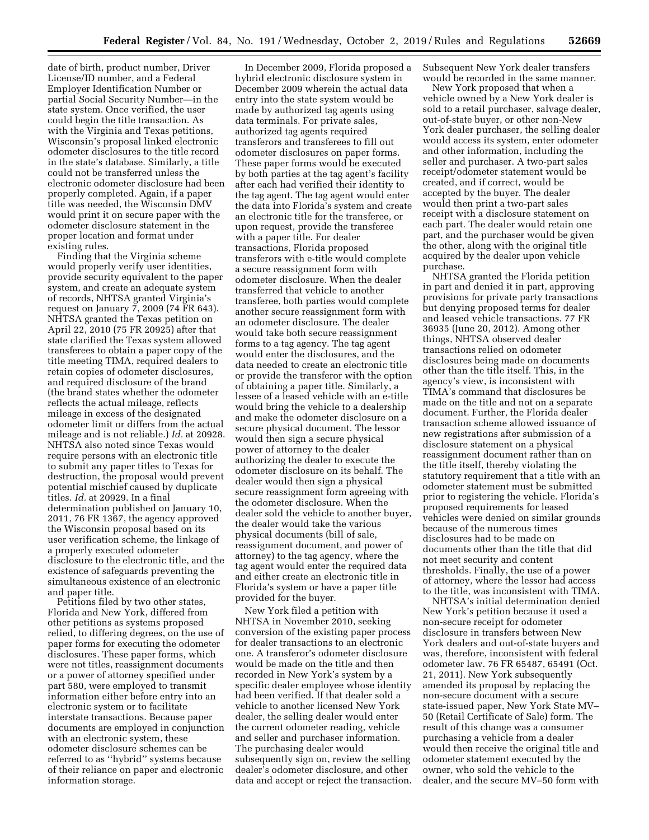date of birth, product number, Driver License/ID number, and a Federal Employer Identification Number or partial Social Security Number—in the state system. Once verified, the user could begin the title transaction. As with the Virginia and Texas petitions, Wisconsin's proposal linked electronic odometer disclosures to the title record in the state's database. Similarly, a title could not be transferred unless the electronic odometer disclosure had been properly completed. Again, if a paper title was needed, the Wisconsin DMV would print it on secure paper with the odometer disclosure statement in the proper location and format under existing rules.

Finding that the Virginia scheme would properly verify user identities, provide security equivalent to the paper system, and create an adequate system of records, NHTSA granted Virginia's request on January 7, 2009 (74 FR 643). NHTSA granted the Texas petition on April 22, 2010 (75 FR 20925) after that state clarified the Texas system allowed transferees to obtain a paper copy of the title meeting TIMA, required dealers to retain copies of odometer disclosures, and required disclosure of the brand (the brand states whether the odometer reflects the actual mileage, reflects mileage in excess of the designated odometer limit or differs from the actual mileage and is not reliable.) *Id.* at 20928. NHTSA also noted since Texas would require persons with an electronic title to submit any paper titles to Texas for destruction, the proposal would prevent potential mischief caused by duplicate titles. *Id.* at 20929. In a final determination published on January 10, 2011, 76 FR 1367, the agency approved the Wisconsin proposal based on its user verification scheme, the linkage of a properly executed odometer disclosure to the electronic title, and the existence of safeguards preventing the simultaneous existence of an electronic and paper title.

Petitions filed by two other states, Florida and New York, differed from other petitions as systems proposed relied, to differing degrees, on the use of paper forms for executing the odometer disclosures. These paper forms, which were not titles, reassignment documents or a power of attorney specified under part 580, were employed to transmit information either before entry into an electronic system or to facilitate interstate transactions. Because paper documents are employed in conjunction with an electronic system, these odometer disclosure schemes can be referred to as ''hybrid'' systems because of their reliance on paper and electronic information storage.

In December 2009, Florida proposed a hybrid electronic disclosure system in December 2009 wherein the actual data entry into the state system would be made by authorized tag agents using data terminals. For private sales, authorized tag agents required transferors and transferees to fill out odometer disclosures on paper forms. These paper forms would be executed by both parties at the tag agent's facility after each had verified their identity to the tag agent. The tag agent would enter the data into Florida's system and create an electronic title for the transferee, or upon request, provide the transferee with a paper title. For dealer transactions, Florida proposed transferors with e-title would complete a secure reassignment form with odometer disclosure. When the dealer transferred that vehicle to another transferee, both parties would complete another secure reassignment form with an odometer disclosure. The dealer would take both secure reassignment forms to a tag agency. The tag agent would enter the disclosures, and the data needed to create an electronic title or provide the transferor with the option of obtaining a paper title. Similarly, a lessee of a leased vehicle with an e-title would bring the vehicle to a dealership and make the odometer disclosure on a secure physical document. The lessor would then sign a secure physical power of attorney to the dealer authorizing the dealer to execute the odometer disclosure on its behalf. The dealer would then sign a physical secure reassignment form agreeing with the odometer disclosure. When the dealer sold the vehicle to another buyer, the dealer would take the various physical documents (bill of sale, reassignment document, and power of attorney) to the tag agency, where the tag agent would enter the required data and either create an electronic title in Florida's system or have a paper title provided for the buyer.

New York filed a petition with NHTSA in November 2010, seeking conversion of the existing paper process for dealer transactions to an electronic one. A transferor's odometer disclosure would be made on the title and then recorded in New York's system by a specific dealer employee whose identity had been verified. If that dealer sold a vehicle to another licensed New York dealer, the selling dealer would enter the current odometer reading, vehicle and seller and purchaser information. The purchasing dealer would subsequently sign on, review the selling dealer's odometer disclosure, and other data and accept or reject the transaction.

Subsequent New York dealer transfers would be recorded in the same manner.

New York proposed that when a vehicle owned by a New York dealer is sold to a retail purchaser, salvage dealer, out-of-state buyer, or other non-New York dealer purchaser, the selling dealer would access its system, enter odometer and other information, including the seller and purchaser. A two-part sales receipt/odometer statement would be created, and if correct, would be accepted by the buyer. The dealer would then print a two-part sales receipt with a disclosure statement on each part. The dealer would retain one part, and the purchaser would be given the other, along with the original title acquired by the dealer upon vehicle purchase.

NHTSA granted the Florida petition in part and denied it in part, approving provisions for private party transactions but denying proposed terms for dealer and leased vehicle transactions. 77 FR 36935 (June 20, 2012). Among other things, NHTSA observed dealer transactions relied on odometer disclosures being made on documents other than the title itself. This, in the agency's view, is inconsistent with TIMA's command that disclosures be made on the title and not on a separate document. Further, the Florida dealer transaction scheme allowed issuance of new registrations after submission of a disclosure statement on a physical reassignment document rather than on the title itself, thereby violating the statutory requirement that a title with an odometer statement must be submitted prior to registering the vehicle. Florida's proposed requirements for leased vehicles were denied on similar grounds because of the numerous times disclosures had to be made on documents other than the title that did not meet security and content thresholds. Finally, the use of a power of attorney, where the lessor had access to the title, was inconsistent with TIMA.

NHTSA's initial determination denied New York's petition because it used a non-secure receipt for odometer disclosure in transfers between New York dealers and out-of-state buyers and was, therefore, inconsistent with federal odometer law. 76 FR 65487, 65491 (Oct. 21, 2011). New York subsequently amended its proposal by replacing the non-secure document with a secure state-issued paper, New York State MV– 50 (Retail Certificate of Sale) form. The result of this change was a consumer purchasing a vehicle from a dealer would then receive the original title and odometer statement executed by the owner, who sold the vehicle to the dealer, and the secure MV–50 form with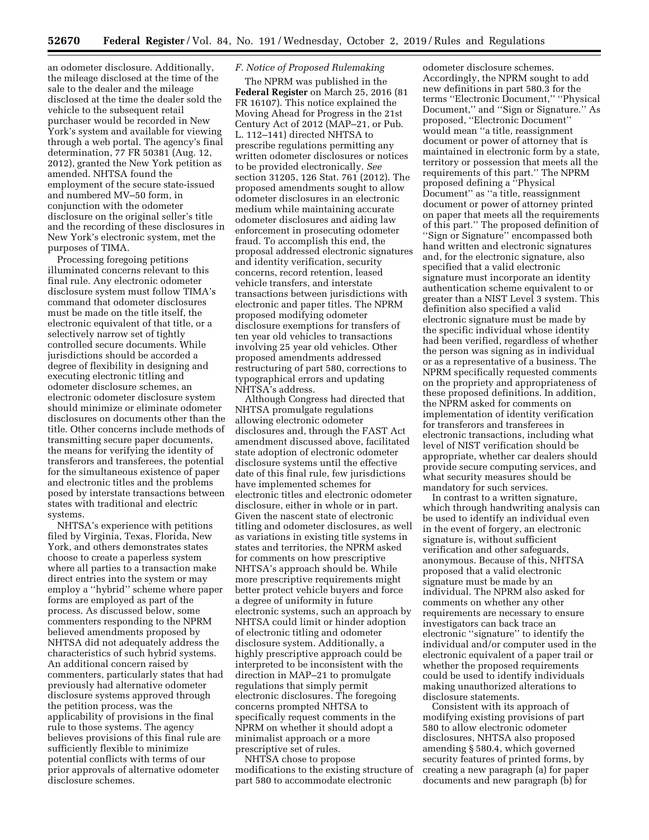an odometer disclosure. Additionally, the mileage disclosed at the time of the sale to the dealer and the mileage disclosed at the time the dealer sold the vehicle to the subsequent retail purchaser would be recorded in New York's system and available for viewing through a web portal. The agency's final determination, 77 FR 50381 (Aug. 12, 2012), granted the New York petition as amended. NHTSA found the employment of the secure state-issued and numbered MV–50 form, in conjunction with the odometer disclosure on the original seller's title and the recording of these disclosures in New York's electronic system, met the purposes of TIMA.

Processing foregoing petitions illuminated concerns relevant to this final rule. Any electronic odometer disclosure system must follow TIMA's command that odometer disclosures must be made on the title itself, the electronic equivalent of that title, or a selectively narrow set of tightly controlled secure documents. While jurisdictions should be accorded a degree of flexibility in designing and executing electronic titling and odometer disclosure schemes, an electronic odometer disclosure system should minimize or eliminate odometer disclosures on documents other than the title. Other concerns include methods of transmitting secure paper documents, the means for verifying the identity of transferors and transferees, the potential for the simultaneous existence of paper and electronic titles and the problems posed by interstate transactions between states with traditional and electric systems.

NHTSA's experience with petitions filed by Virginia, Texas, Florida, New York, and others demonstrates states choose to create a paperless system where all parties to a transaction make direct entries into the system or may employ a ''hybrid'' scheme where paper forms are employed as part of the process. As discussed below, some commenters responding to the NPRM believed amendments proposed by NHTSA did not adequately address the characteristics of such hybrid systems. An additional concern raised by commenters, particularly states that had previously had alternative odometer disclosure systems approved through the petition process, was the applicability of provisions in the final rule to those systems. The agency believes provisions of this final rule are sufficiently flexible to minimize potential conflicts with terms of our prior approvals of alternative odometer disclosure schemes.

## *F. Notice of Proposed Rulemaking*

The NPRM was published in the **Federal Register** on March 25, 2016 (81 FR 16107). This notice explained the Moving Ahead for Progress in the 21st Century Act of 2012 (MAP–21, or Pub. L. 112–141) directed NHTSA to prescribe regulations permitting any written odometer disclosures or notices to be provided electronically. *See*  section 31205, 126 Stat. 761 (2012). The proposed amendments sought to allow odometer disclosures in an electronic medium while maintaining accurate odometer disclosures and aiding law enforcement in prosecuting odometer fraud. To accomplish this end, the proposal addressed electronic signatures and identity verification, security concerns, record retention, leased vehicle transfers, and interstate transactions between jurisdictions with electronic and paper titles. The NPRM proposed modifying odometer disclosure exemptions for transfers of ten year old vehicles to transactions involving 25 year old vehicles. Other proposed amendments addressed restructuring of part 580, corrections to typographical errors and updating NHTSA's address.

Although Congress had directed that NHTSA promulgate regulations allowing electronic odometer disclosures and, through the FAST Act amendment discussed above, facilitated state adoption of electronic odometer disclosure systems until the effective date of this final rule, few jurisdictions have implemented schemes for electronic titles and electronic odometer disclosure, either in whole or in part. Given the nascent state of electronic titling and odometer disclosures, as well as variations in existing title systems in states and territories, the NPRM asked for comments on how prescriptive NHTSA's approach should be. While more prescriptive requirements might better protect vehicle buyers and force a degree of uniformity in future electronic systems, such an approach by NHTSA could limit or hinder adoption of electronic titling and odometer disclosure system. Additionally, a highly prescriptive approach could be interpreted to be inconsistent with the direction in MAP–21 to promulgate regulations that simply permit electronic disclosures. The foregoing concerns prompted NHTSA to specifically request comments in the NPRM on whether it should adopt a minimalist approach or a more prescriptive set of rules.

NHTSA chose to propose modifications to the existing structure of part 580 to accommodate electronic

odometer disclosure schemes. Accordingly, the NPRM sought to add new definitions in part 580.3 for the terms ''Electronic Document,'' ''Physical Document,'' and ''Sign or Signature.'' As proposed, ''Electronic Document'' would mean ''a title, reassignment document or power of attorney that is maintained in electronic form by a state, territory or possession that meets all the requirements of this part.'' The NPRM proposed defining a ''Physical Document'' as ''a title, reassignment document or power of attorney printed on paper that meets all the requirements of this part.'' The proposed definition of ''Sign or Signature'' encompassed both hand written and electronic signatures and, for the electronic signature, also specified that a valid electronic signature must incorporate an identity authentication scheme equivalent to or greater than a NIST Level 3 system. This definition also specified a valid electronic signature must be made by the specific individual whose identity had been verified, regardless of whether the person was signing as in individual or as a representative of a business. The NPRM specifically requested comments on the propriety and appropriateness of these proposed definitions. In addition, the NPRM asked for comments on implementation of identity verification for transferors and transferees in electronic transactions, including what level of NIST verification should be appropriate, whether car dealers should provide secure computing services, and what security measures should be mandatory for such services.

In contrast to a written signature, which through handwriting analysis can be used to identify an individual even in the event of forgery, an electronic signature is, without sufficient verification and other safeguards, anonymous. Because of this, NHTSA proposed that a valid electronic signature must be made by an individual. The NPRM also asked for comments on whether any other requirements are necessary to ensure investigators can back trace an electronic ''signature'' to identify the individual and/or computer used in the electronic equivalent of a paper trail or whether the proposed requirements could be used to identify individuals making unauthorized alterations to disclosure statements.

Consistent with its approach of modifying existing provisions of part 580 to allow electronic odometer disclosures, NHTSA also proposed amending § 580.4, which governed security features of printed forms, by creating a new paragraph (a) for paper documents and new paragraph (b) for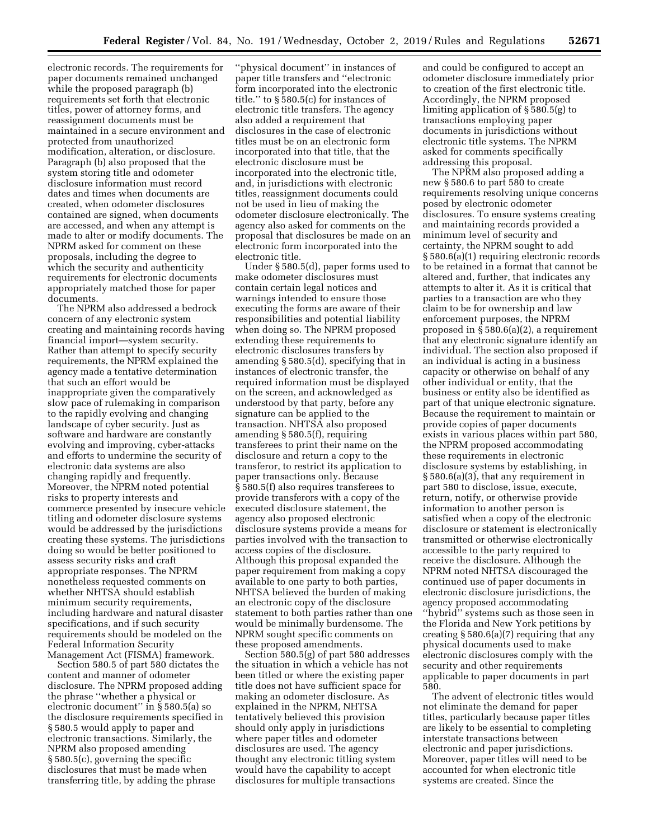electronic records. The requirements for paper documents remained unchanged while the proposed paragraph (b) requirements set forth that electronic titles, power of attorney forms, and reassignment documents must be maintained in a secure environment and protected from unauthorized modification, alteration, or disclosure. Paragraph (b) also proposed that the system storing title and odometer disclosure information must record dates and times when documents are created, when odometer disclosures contained are signed, when documents are accessed, and when any attempt is made to alter or modify documents. The NPRM asked for comment on these proposals, including the degree to which the security and authenticity requirements for electronic documents appropriately matched those for paper documents.

The NPRM also addressed a bedrock concern of any electronic system creating and maintaining records having financial import—system security. Rather than attempt to specify security requirements, the NPRM explained the agency made a tentative determination that such an effort would be inappropriate given the comparatively slow pace of rulemaking in comparison to the rapidly evolving and changing landscape of cyber security. Just as software and hardware are constantly evolving and improving, cyber-attacks and efforts to undermine the security of electronic data systems are also changing rapidly and frequently. Moreover, the NPRM noted potential risks to property interests and commerce presented by insecure vehicle titling and odometer disclosure systems would be addressed by the jurisdictions creating these systems. The jurisdictions doing so would be better positioned to assess security risks and craft appropriate responses. The NPRM nonetheless requested comments on whether NHTSA should establish minimum security requirements, including hardware and natural disaster specifications, and if such security requirements should be modeled on the Federal Information Security Management Act (FISMA) framework.

Section 580.5 of part 580 dictates the content and manner of odometer disclosure. The NPRM proposed adding the phrase ''whether a physical or electronic document'' in § 580.5(a) so the disclosure requirements specified in § 580.5 would apply to paper and electronic transactions. Similarly, the NPRM also proposed amending § 580.5(c), governing the specific disclosures that must be made when transferring title, by adding the phrase

''physical document'' in instances of paper title transfers and ''electronic form incorporated into the electronic title.'' to § 580.5(c) for instances of electronic title transfers. The agency also added a requirement that disclosures in the case of electronic titles must be on an electronic form incorporated into that title, that the electronic disclosure must be incorporated into the electronic title, and, in jurisdictions with electronic titles, reassignment documents could not be used in lieu of making the odometer disclosure electronically. The agency also asked for comments on the proposal that disclosures be made on an electronic form incorporated into the electronic title.

Under § 580.5(d), paper forms used to make odometer disclosures must contain certain legal notices and warnings intended to ensure those executing the forms are aware of their responsibilities and potential liability when doing so. The NPRM proposed extending these requirements to electronic disclosures transfers by amending § 580.5(d), specifying that in instances of electronic transfer, the required information must be displayed on the screen, and acknowledged as understood by that party, before any signature can be applied to the transaction. NHTSA also proposed amending § 580.5(f), requiring transferees to print their name on the disclosure and return a copy to the transferor, to restrict its application to paper transactions only. Because § 580.5(f) also requires transferees to provide transferors with a copy of the executed disclosure statement, the agency also proposed electronic disclosure systems provide a means for parties involved with the transaction to access copies of the disclosure. Although this proposal expanded the paper requirement from making a copy available to one party to both parties, NHTSA believed the burden of making an electronic copy of the disclosure statement to both parties rather than one would be minimally burdensome. The NPRM sought specific comments on these proposed amendments.

Section 580.5(g) of part 580 addresses the situation in which a vehicle has not been titled or where the existing paper title does not have sufficient space for making an odometer disclosure. As explained in the NPRM, NHTSA tentatively believed this provision should only apply in jurisdictions where paper titles and odometer disclosures are used. The agency thought any electronic titling system would have the capability to accept disclosures for multiple transactions

and could be configured to accept an odometer disclosure immediately prior to creation of the first electronic title. Accordingly, the NPRM proposed limiting application of § 580.5(g) to transactions employing paper documents in jurisdictions without electronic title systems. The NPRM asked for comments specifically addressing this proposal.

The NPRM also proposed adding a new § 580.6 to part 580 to create requirements resolving unique concerns posed by electronic odometer disclosures. To ensure systems creating and maintaining records provided a minimum level of security and certainty, the NPRM sought to add § 580.6(a)(1) requiring electronic records to be retained in a format that cannot be altered and, further, that indicates any attempts to alter it. As it is critical that parties to a transaction are who they claim to be for ownership and law enforcement purposes, the NPRM proposed in § 580.6(a)(2), a requirement that any electronic signature identify an individual. The section also proposed if an individual is acting in a business capacity or otherwise on behalf of any other individual or entity, that the business or entity also be identified as part of that unique electronic signature. Because the requirement to maintain or provide copies of paper documents exists in various places within part 580, the NPRM proposed accommodating these requirements in electronic disclosure systems by establishing, in § 580.6(a)(3), that any requirement in part 580 to disclose, issue, execute, return, notify, or otherwise provide information to another person is satisfied when a copy of the electronic disclosure or statement is electronically transmitted or otherwise electronically accessible to the party required to receive the disclosure. Although the NPRM noted NHTSA discouraged the continued use of paper documents in electronic disclosure jurisdictions, the agency proposed accommodating ''hybrid'' systems such as those seen in the Florida and New York petitions by creating § 580.6(a)(7) requiring that any physical documents used to make electronic disclosures comply with the security and other requirements applicable to paper documents in part 580.

The advent of electronic titles would not eliminate the demand for paper titles, particularly because paper titles are likely to be essential to completing interstate transactions between electronic and paper jurisdictions. Moreover, paper titles will need to be accounted for when electronic title systems are created. Since the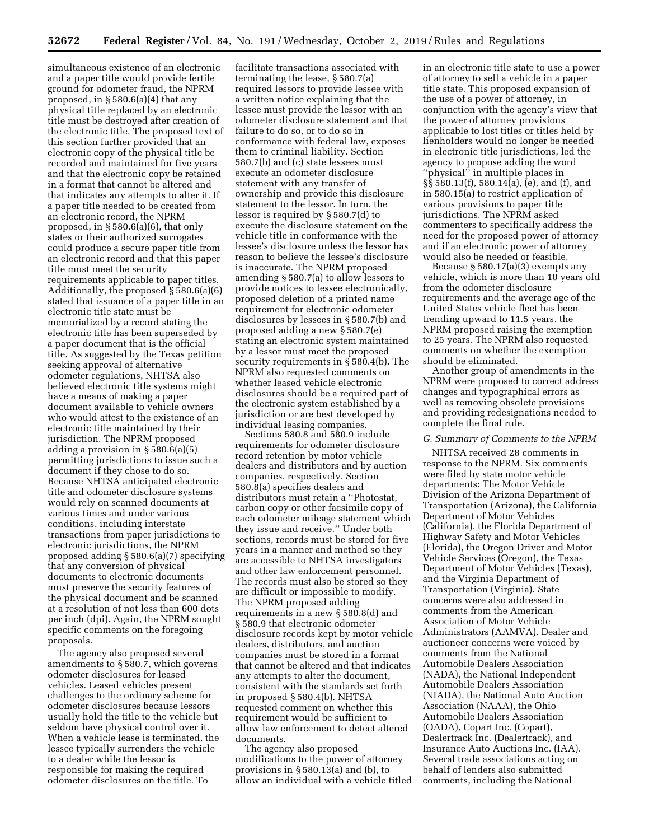simultaneous existence of an electronic and a paper title would provide fertile ground for odometer fraud, the NPRM proposed, in § 580.6(a)(4) that any physical title replaced by an electronic title must be destroyed after creation of the electronic title. The proposed text of this section further provided that an electronic copy of the physical title be recorded and maintained for five years and that the electronic copy be retained in a format that cannot be altered and that indicates any attempts to alter it. If a paper title needed to be created from an electronic record, the NPRM proposed, in § 580.6(a)(6), that only states or their authorized surrogates could produce a secure paper title from an electronic record and that this paper title must meet the security requirements applicable to paper titles. Additionally, the proposed § 580.6(a)(6) stated that issuance of a paper title in an electronic title state must be memorialized by a record stating the electronic title has been superseded by a paper document that is the official title. As suggested by the Texas petition seeking approval of alternative odometer regulations, NHTSA also believed electronic title systems might have a means of making a paper document available to vehicle owners who would attest to the existence of an electronic title maintained by their jurisdiction. The NPRM proposed adding a provision in § 580.6(a)(5) permitting jurisdictions to issue such a document if they chose to do so. Because NHTSA anticipated electronic title and odometer disclosure systems would rely on scanned documents at various times and under various conditions, including interstate transactions from paper jurisdictions to electronic jurisdictions, the NPRM proposed adding § 580.6(a)(7) specifying that any conversion of physical documents to electronic documents must preserve the security features of the physical document and be scanned at a resolution of not less than 600 dots per inch (dpi). Again, the NPRM sought specific comments on the foregoing proposals.

The agency also proposed several amendments to § 580.7, which governs odometer disclosures for leased vehicles. Leased vehicles present challenges to the ordinary scheme for odometer disclosures because lessors usually hold the title to the vehicle but seldom have physical control over it. When a vehicle lease is terminated, the lessee typically surrenders the vehicle to a dealer while the lessor is responsible for making the required odometer disclosures on the title. To

facilitate transactions associated with terminating the lease, § 580.7(a) required lessors to provide lessee with a written notice explaining that the lessee must provide the lessor with an odometer disclosure statement and that failure to do so, or to do so in conformance with federal law, exposes them to criminal liability. Section 580.7(b) and (c) state lessees must execute an odometer disclosure statement with any transfer of ownership and provide this disclosure statement to the lessor. In turn, the lessor is required by § 580.7(d) to execute the disclosure statement on the vehicle title in conformance with the lessee's disclosure unless the lessor has reason to believe the lessee's disclosure is inaccurate. The NPRM proposed amending § 580.7(a) to allow lessors to provide notices to lessee electronically, proposed deletion of a printed name requirement for electronic odometer disclosures by lessees in § 580.7(b) and proposed adding a new § 580.7(e) stating an electronic system maintained by a lessor must meet the proposed security requirements in § 580.4(b). The NPRM also requested comments on whether leased vehicle electronic disclosures should be a required part of the electronic system established by a jurisdiction or are best developed by individual leasing companies.

Sections 580.8 and 580.9 include requirements for odometer disclosure record retention by motor vehicle dealers and distributors and by auction companies, respectively. Section 580.8(a) specifies dealers and distributors must retain a ''Photostat, carbon copy or other facsimile copy of each odometer mileage statement which they issue and receive.'' Under both sections, records must be stored for five years in a manner and method so they are accessible to NHTSA investigators and other law enforcement personnel. The records must also be stored so they are difficult or impossible to modify. The NPRM proposed adding requirements in a new § 580.8(d) and § 580.9 that electronic odometer disclosure records kept by motor vehicle dealers, distributors, and auction companies must be stored in a format that cannot be altered and that indicates any attempts to alter the document, consistent with the standards set forth in proposed § 580.4(b). NHTSA requested comment on whether this requirement would be sufficient to allow law enforcement to detect altered documents.

The agency also proposed modifications to the power of attorney provisions in § 580.13(a) and (b), to allow an individual with a vehicle titled in an electronic title state to use a power of attorney to sell a vehicle in a paper title state. This proposed expansion of the use of a power of attorney, in conjunction with the agency's view that the power of attorney provisions applicable to lost titles or titles held by lienholders would no longer be needed in electronic title jurisdictions, led the agency to propose adding the word ''physical'' in multiple places in §§ 580.13(f), 580.14(a), (e), and (f), and in 580.15(a) to restrict application of various provisions to paper title jurisdictions. The NPRM asked commenters to specifically address the need for the proposed power of attorney and if an electronic power of attorney would also be needed or feasible.

Because § 580.17(a)(3) exempts any vehicle, which is more than 10 years old from the odometer disclosure requirements and the average age of the United States vehicle fleet has been trending upward to 11.5 years, the NPRM proposed raising the exemption to 25 years. The NPRM also requested comments on whether the exemption should be eliminated.

Another group of amendments in the NPRM were proposed to correct address changes and typographical errors as well as removing obsolete provisions and providing redesignations needed to complete the final rule.

## *G. Summary of Comments to the NPRM*

NHTSA received 28 comments in response to the NPRM. Six comments were filed by state motor vehicle departments: The Motor Vehicle Division of the Arizona Department of Transportation (Arizona), the California Department of Motor Vehicles (California), the Florida Department of Highway Safety and Motor Vehicles (Florida), the Oregon Driver and Motor Vehicle Services (Oregon), the Texas Department of Motor Vehicles (Texas), and the Virginia Department of Transportation (Virginia). State concerns were also addressed in comments from the American Association of Motor Vehicle Administrators (AAMVA). Dealer and auctioneer concerns were voiced by comments from the National Automobile Dealers Association (NADA), the National Independent Automobile Dealers Association (NIADA), the National Auto Auction Association (NAAA), the Ohio Automobile Dealers Association (OADA), Copart Inc. (Copart), Dealertrack Inc. (Dealertrack), and Insurance Auto Auctions Inc. (IAA). Several trade associations acting on behalf of lenders also submitted comments, including the National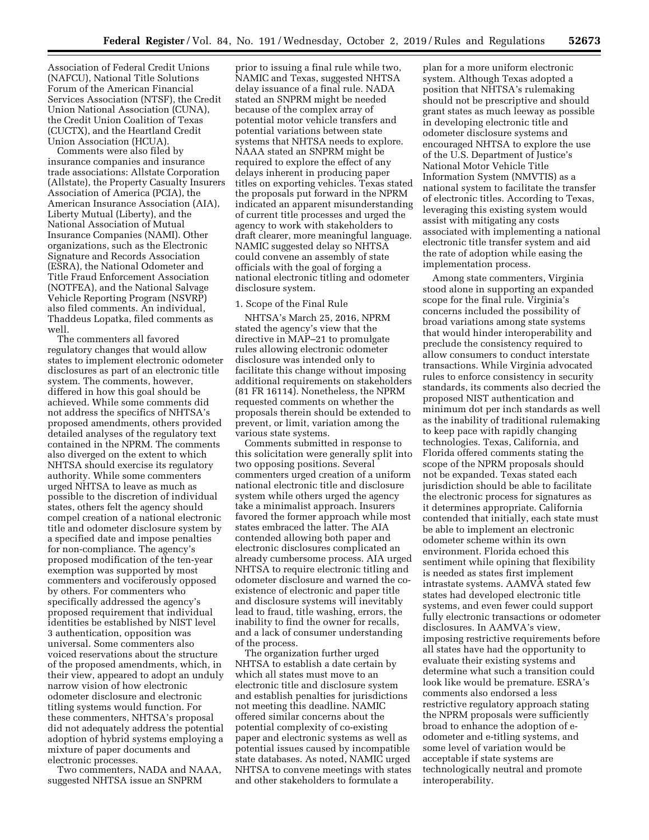Association of Federal Credit Unions (NAFCU), National Title Solutions Forum of the American Financial Services Association (NTSF), the Credit Union National Association (CUNA), the Credit Union Coalition of Texas (CUCTX), and the Heartland Credit Union Association (HCUA).

Comments were also filed by insurance companies and insurance trade associations: Allstate Corporation (Allstate), the Property Casualty Insurers Association of America (PCIA), the American Insurance Association (AIA), Liberty Mutual (Liberty), and the National Association of Mutual Insurance Companies (NAMI). Other organizations, such as the Electronic Signature and Records Association (ESRA), the National Odometer and Title Fraud Enforcement Association (NOTFEA), and the National Salvage Vehicle Reporting Program (NSVRP) also filed comments. An individual, Thaddeus Lopatka, filed comments as well.

The commenters all favored regulatory changes that would allow states to implement electronic odometer disclosures as part of an electronic title system. The comments, however, differed in how this goal should be achieved. While some comments did not address the specifics of NHTSA's proposed amendments, others provided detailed analyses of the regulatory text contained in the NPRM. The comments also diverged on the extent to which NHTSA should exercise its regulatory authority. While some commenters urged NHTSA to leave as much as possible to the discretion of individual states, others felt the agency should compel creation of a national electronic title and odometer disclosure system by a specified date and impose penalties for non-compliance. The agency's proposed modification of the ten-year exemption was supported by most commenters and vociferously opposed by others. For commenters who specifically addressed the agency's proposed requirement that individual identities be established by NIST level 3 authentication, opposition was universal. Some commenters also voiced reservations about the structure of the proposed amendments, which, in their view, appeared to adopt an unduly narrow vision of how electronic odometer disclosure and electronic titling systems would function. For these commenters, NHTSA's proposal did not adequately address the potential adoption of hybrid systems employing a mixture of paper documents and electronic processes.

Two commenters, NADA and NAAA, suggested NHTSA issue an SNPRM

prior to issuing a final rule while two, NAMIC and Texas, suggested NHTSA delay issuance of a final rule. NADA stated an SNPRM might be needed because of the complex array of potential motor vehicle transfers and potential variations between state systems that NHTSA needs to explore. NAAA stated an SNPRM might be required to explore the effect of any delays inherent in producing paper titles on exporting vehicles. Texas stated the proposals put forward in the NPRM indicated an apparent misunderstanding of current title processes and urged the agency to work with stakeholders to draft clearer, more meaningful language. NAMIC suggested delay so NHTSA could convene an assembly of state officials with the goal of forging a national electronic titling and odometer disclosure system.

#### 1. Scope of the Final Rule

NHTSA's March 25, 2016, NPRM stated the agency's view that the directive in MAP–21 to promulgate rules allowing electronic odometer disclosure was intended only to facilitate this change without imposing additional requirements on stakeholders (81 FR 16114). Nonetheless, the NPRM requested comments on whether the proposals therein should be extended to prevent, or limit, variation among the various state systems.

Comments submitted in response to this solicitation were generally split into two opposing positions. Several commenters urged creation of a uniform national electronic title and disclosure system while others urged the agency take a minimalist approach. Insurers favored the former approach while most states embraced the latter. The AIA contended allowing both paper and electronic disclosures complicated an already cumbersome process. AIA urged NHTSA to require electronic titling and odometer disclosure and warned the coexistence of electronic and paper title and disclosure systems will inevitably lead to fraud, title washing, errors, the inability to find the owner for recalls, and a lack of consumer understanding of the process.

The organization further urged NHTSA to establish a date certain by which all states must move to an electronic title and disclosure system and establish penalties for jurisdictions not meeting this deadline. NAMIC offered similar concerns about the potential complexity of co-existing paper and electronic systems as well as potential issues caused by incompatible state databases. As noted, NAMIC urged NHTSA to convene meetings with states and other stakeholders to formulate a

plan for a more uniform electronic system. Although Texas adopted a position that NHTSA's rulemaking should not be prescriptive and should grant states as much leeway as possible in developing electronic title and odometer disclosure systems and encouraged NHTSA to explore the use of the U.S. Department of Justice's National Motor Vehicle Title Information System (NMVTIS) as a national system to facilitate the transfer of electronic titles. According to Texas, leveraging this existing system would assist with mitigating any costs associated with implementing a national electronic title transfer system and aid the rate of adoption while easing the implementation process.

Among state commenters, Virginia stood alone in supporting an expanded scope for the final rule. Virginia's concerns included the possibility of broad variations among state systems that would hinder interoperability and preclude the consistency required to allow consumers to conduct interstate transactions. While Virginia advocated rules to enforce consistency in security standards, its comments also decried the proposed NIST authentication and minimum dot per inch standards as well as the inability of traditional rulemaking to keep pace with rapidly changing technologies. Texas, California, and Florida offered comments stating the scope of the NPRM proposals should not be expanded. Texas stated each jurisdiction should be able to facilitate the electronic process for signatures as it determines appropriate. California contended that initially, each state must be able to implement an electronic odometer scheme within its own environment. Florida echoed this sentiment while opining that flexibility is needed as states first implement intrastate systems. AAMVA stated few states had developed electronic title systems, and even fewer could support fully electronic transactions or odometer disclosures. In AAMVA's view, imposing restrictive requirements before all states have had the opportunity to evaluate their existing systems and determine what such a transition could look like would be premature. ESRA's comments also endorsed a less restrictive regulatory approach stating the NPRM proposals were sufficiently broad to enhance the adoption of eodometer and e-titling systems, and some level of variation would be acceptable if state systems are technologically neutral and promote interoperability.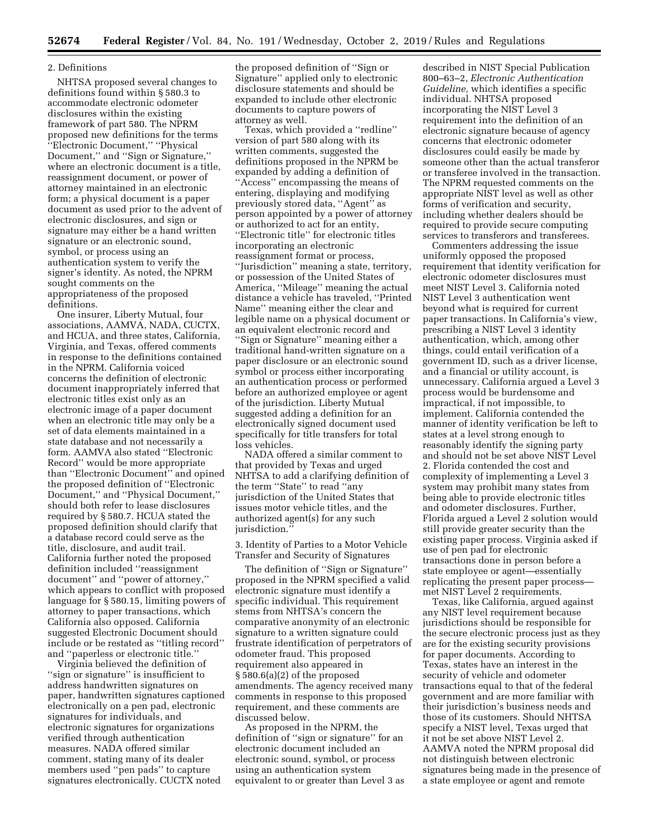## 2. Definitions

NHTSA proposed several changes to definitions found within § 580.3 to accommodate electronic odometer disclosures within the existing framework of part 580. The NPRM proposed new definitions for the terms ''Electronic Document,'' ''Physical Document,'' and ''Sign or Signature,'' where an electronic document is a title, reassignment document, or power of attorney maintained in an electronic form; a physical document is a paper document as used prior to the advent of electronic disclosures, and sign or signature may either be a hand written signature or an electronic sound, symbol, or process using an authentication system to verify the signer's identity. As noted, the NPRM sought comments on the appropriateness of the proposed definitions.

One insurer, Liberty Mutual, four associations, AAMVA, NADA, CUCTX, and HCUA, and three states, California, Virginia, and Texas, offered comments in response to the definitions contained in the NPRM. California voiced concerns the definition of electronic document inappropriately inferred that electronic titles exist only as an electronic image of a paper document when an electronic title may only be a set of data elements maintained in a state database and not necessarily a form. AAMVA also stated ''Electronic Record'' would be more appropriate than ''Electronic Document'' and opined the proposed definition of ''Electronic Document,'' and ''Physical Document,'' should both refer to lease disclosures required by § 580.7. HCUA stated the proposed definition should clarify that a database record could serve as the title, disclosure, and audit trail. California further noted the proposed definition included ''reassignment document'' and ''power of attorney,'' which appears to conflict with proposed language for § 580.15, limiting powers of attorney to paper transactions, which California also opposed. California suggested Electronic Document should include or be restated as ''titling record'' and ''paperless or electronic title.''

Virginia believed the definition of ''sign or signature'' is insufficient to address handwritten signatures on paper, handwritten signatures captioned electronically on a pen pad, electronic signatures for individuals, and electronic signatures for organizations verified through authentication measures. NADA offered similar comment, stating many of its dealer members used ''pen pads'' to capture signatures electronically. CUCTX noted

the proposed definition of ''Sign or Signature'' applied only to electronic disclosure statements and should be expanded to include other electronic documents to capture powers of attorney as well.

Texas, which provided a ''redline'' version of part 580 along with its written comments, suggested the definitions proposed in the NPRM be expanded by adding a definition of ''Access'' encompassing the means of entering, displaying and modifying previously stored data, ''Agent'' as person appointed by a power of attorney or authorized to act for an entity, ''Electronic title'' for electronic titles incorporating an electronic reassignment format or process, ''Jurisdiction'' meaning a state, territory, or possession of the United States of America, ''Mileage'' meaning the actual distance a vehicle has traveled, ''Printed Name'' meaning either the clear and legible name on a physical document or an equivalent electronic record and ''Sign or Signature'' meaning either a traditional hand-written signature on a paper disclosure or an electronic sound symbol or process either incorporating an authentication process or performed before an authorized employee or agent of the jurisdiction. Liberty Mutual suggested adding a definition for an electronically signed document used specifically for title transfers for total loss vehicles.

NADA offered a similar comment to that provided by Texas and urged NHTSA to add a clarifying definition of the term ''State'' to read ''any jurisdiction of the United States that issues motor vehicle titles, and the authorized agent(s) for any such jurisdiction.''

3. Identity of Parties to a Motor Vehicle Transfer and Security of Signatures

The definition of ''Sign or Signature'' proposed in the NPRM specified a valid electronic signature must identify a specific individual. This requirement stems from NHTSA's concern the comparative anonymity of an electronic signature to a written signature could frustrate identification of perpetrators of odometer fraud. This proposed requirement also appeared in § 580.6(a)(2) of the proposed amendments. The agency received many comments in response to this proposed requirement, and these comments are discussed below.

As proposed in the NPRM, the definition of ''sign or signature'' for an electronic document included an electronic sound, symbol, or process using an authentication system equivalent to or greater than Level 3 as

described in NIST Special Publication 800–63–2, *Electronic Authentication Guideline,* which identifies a specific individual. NHTSA proposed incorporating the NIST Level 3 requirement into the definition of an electronic signature because of agency concerns that electronic odometer disclosures could easily be made by someone other than the actual transferor or transferee involved in the transaction. The NPRM requested comments on the appropriate NIST level as well as other forms of verification and security, including whether dealers should be required to provide secure computing services to transferors and transferees.

Commenters addressing the issue uniformly opposed the proposed requirement that identity verification for electronic odometer disclosures must meet NIST Level 3. California noted NIST Level 3 authentication went beyond what is required for current paper transactions. In California's view, prescribing a NIST Level 3 identity authentication, which, among other things, could entail verification of a government ID, such as a driver license, and a financial or utility account, is unnecessary. California argued a Level 3 process would be burdensome and impractical, if not impossible, to implement. California contended the manner of identity verification be left to states at a level strong enough to reasonably identify the signing party and should not be set above NIST Level 2. Florida contended the cost and complexity of implementing a Level 3 system may prohibit many states from being able to provide electronic titles and odometer disclosures. Further, Florida argued a Level 2 solution would still provide greater security than the existing paper process. Virginia asked if use of pen pad for electronic transactions done in person before a state employee or agent—essentially replicating the present paper process met NIST Level 2 requirements.

Texas, like California, argued against any NIST level requirement because jurisdictions should be responsible for the secure electronic process just as they are for the existing security provisions for paper documents. According to Texas, states have an interest in the security of vehicle and odometer transactions equal to that of the federal government and are more familiar with their jurisdiction's business needs and those of its customers. Should NHTSA specify a NIST level, Texas urged that it not be set above NIST Level 2. AAMVA noted the NPRM proposal did not distinguish between electronic signatures being made in the presence of a state employee or agent and remote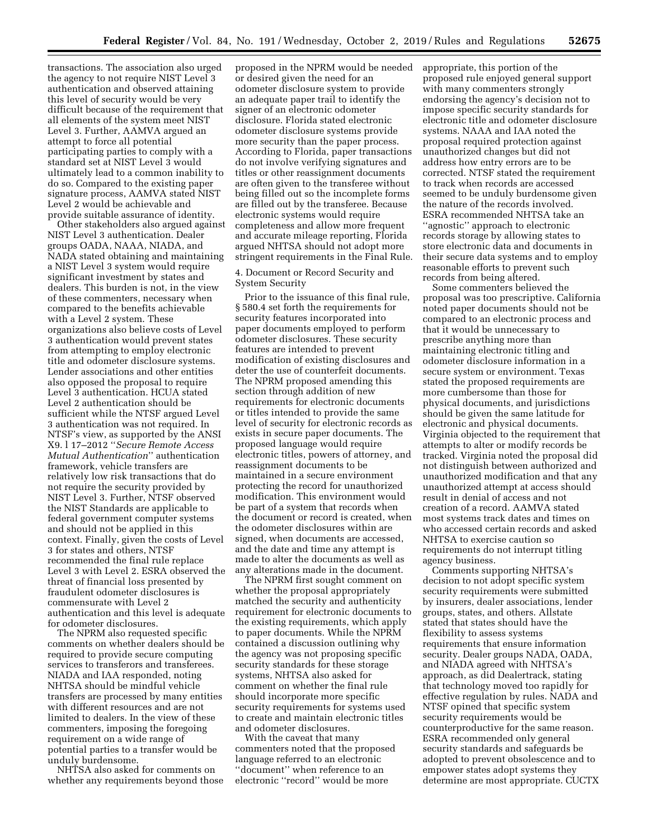transactions. The association also urged the agency to not require NIST Level 3 authentication and observed attaining this level of security would be very difficult because of the requirement that all elements of the system meet NIST Level 3. Further, AAMVA argued an attempt to force all potential participating parties to comply with a standard set at NIST Level 3 would ultimately lead to a common inability to do so. Compared to the existing paper signature process, AAMVA stated NIST Level 2 would be achievable and provide suitable assurance of identity.

Other stakeholders also argued against NIST Level 3 authentication. Dealer groups OADA, NAAA, NIADA, and NADA stated obtaining and maintaining a NIST Level 3 system would require significant investment by states and dealers. This burden is not, in the view of these commenters, necessary when compared to the benefits achievable with a Level 2 system. These organizations also believe costs of Level 3 authentication would prevent states from attempting to employ electronic title and odometer disclosure systems. Lender associations and other entities also opposed the proposal to require Level 3 authentication. HCUA stated Level 2 authentication should be sufficient while the NTSF argued Level 3 authentication was not required. In NTSF's view, as supported by the ANSI X9. l 17–2012 ''*Secure Remote Access Mutual Authentication*'' authentication framework, vehicle transfers are relatively low risk transactions that do not require the security provided by NIST Level 3. Further, NTSF observed the NIST Standards are applicable to federal government computer systems and should not be applied in this context. Finally, given the costs of Level 3 for states and others, NTSF recommended the final rule replace Level 3 with Level 2. ESRA observed the threat of financial loss presented by fraudulent odometer disclosures is commensurate with Level 2 authentication and this level is adequate for odometer disclosures.

The NPRM also requested specific comments on whether dealers should be required to provide secure computing services to transferors and transferees. NIADA and IAA responded, noting NHTSA should be mindful vehicle transfers are processed by many entities with different resources and are not limited to dealers. In the view of these commenters, imposing the foregoing requirement on a wide range of potential parties to a transfer would be unduly burdensome.

NHTSA also asked for comments on whether any requirements beyond those

proposed in the NPRM would be needed or desired given the need for an odometer disclosure system to provide an adequate paper trail to identify the signer of an electronic odometer disclosure. Florida stated electronic odometer disclosure systems provide more security than the paper process. According to Florida, paper transactions do not involve verifying signatures and titles or other reassignment documents are often given to the transferee without being filled out so the incomplete forms are filled out by the transferee. Because electronic systems would require completeness and allow more frequent and accurate mileage reporting, Florida argued NHTSA should not adopt more stringent requirements in the Final Rule.

## 4. Document or Record Security and System Security

Prior to the issuance of this final rule, § 580.4 set forth the requirements for security features incorporated into paper documents employed to perform odometer disclosures. These security features are intended to prevent modification of existing disclosures and deter the use of counterfeit documents. The NPRM proposed amending this section through addition of new requirements for electronic documents or titles intended to provide the same level of security for electronic records as exists in secure paper documents. The proposed language would require electronic titles, powers of attorney, and reassignment documents to be maintained in a secure environment protecting the record for unauthorized modification. This environment would be part of a system that records when the document or record is created, when the odometer disclosures within are signed, when documents are accessed, and the date and time any attempt is made to alter the documents as well as any alterations made in the document.

The NPRM first sought comment on whether the proposal appropriately matched the security and authenticity requirement for electronic documents to the existing requirements, which apply to paper documents. While the NPRM contained a discussion outlining why the agency was not proposing specific security standards for these storage systems, NHTSA also asked for comment on whether the final rule should incorporate more specific security requirements for systems used to create and maintain electronic titles and odometer disclosures.

With the caveat that many commenters noted that the proposed language referred to an electronic ''document'' when reference to an electronic ''record'' would be more

appropriate, this portion of the proposed rule enjoyed general support with many commenters strongly endorsing the agency's decision not to impose specific security standards for electronic title and odometer disclosure systems. NAAA and IAA noted the proposal required protection against unauthorized changes but did not address how entry errors are to be corrected. NTSF stated the requirement to track when records are accessed seemed to be unduly burdensome given the nature of the records involved. ESRA recommended NHTSA take an ''agnostic'' approach to electronic records storage by allowing states to store electronic data and documents in their secure data systems and to employ reasonable efforts to prevent such records from being altered.

Some commenters believed the proposal was too prescriptive. California noted paper documents should not be compared to an electronic process and that it would be unnecessary to prescribe anything more than maintaining electronic titling and odometer disclosure information in a secure system or environment. Texas stated the proposed requirements are more cumbersome than those for physical documents, and jurisdictions should be given the same latitude for electronic and physical documents. Virginia objected to the requirement that attempts to alter or modify records be tracked. Virginia noted the proposal did not distinguish between authorized and unauthorized modification and that any unauthorized attempt at access should result in denial of access and not creation of a record. AAMVA stated most systems track dates and times on who accessed certain records and asked NHTSA to exercise caution so requirements do not interrupt titling agency business.

Comments supporting NHTSA's decision to not adopt specific system security requirements were submitted by insurers, dealer associations, lender groups, states, and others. Allstate stated that states should have the flexibility to assess systems requirements that ensure information security. Dealer groups NADA, OADA, and NIADA agreed with NHTSA's approach, as did Dealertrack, stating that technology moved too rapidly for effective regulation by rules. NADA and NTSF opined that specific system security requirements would be counterproductive for the same reason. ESRA recommended only general security standards and safeguards be adopted to prevent obsolescence and to empower states adopt systems they determine are most appropriate. CUCTX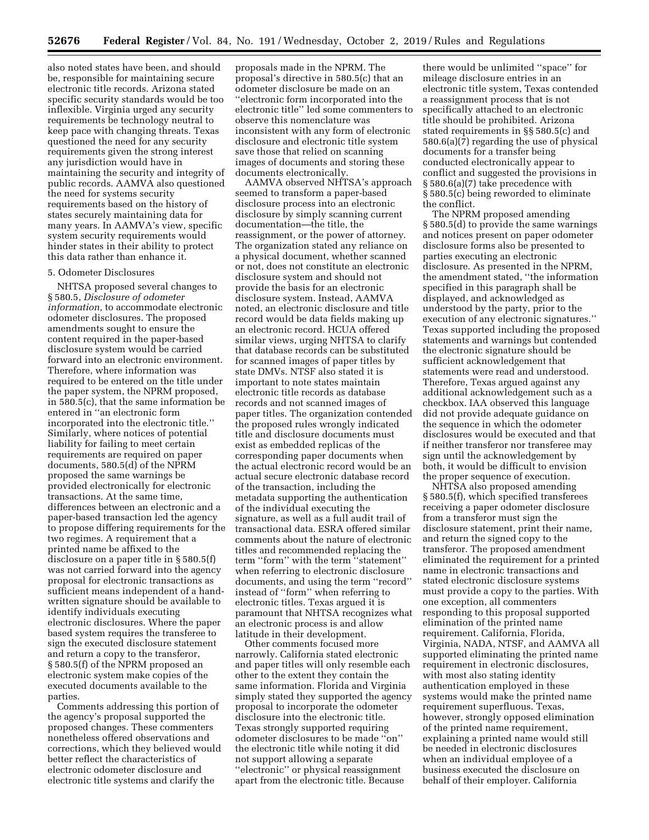also noted states have been, and should be, responsible for maintaining secure electronic title records. Arizona stated specific security standards would be too inflexible. Virginia urged any security requirements be technology neutral to keep pace with changing threats. Texas questioned the need for any security requirements given the strong interest any jurisdiction would have in maintaining the security and integrity of public records. AAMVA also questioned the need for systems security requirements based on the history of states securely maintaining data for many years. In AAMVA's view, specific system security requirements would hinder states in their ability to protect this data rather than enhance it.

#### 5. Odometer Disclosures

NHTSA proposed several changes to § 580.5, *Disclosure of odometer information,* to accommodate electronic odometer disclosures. The proposed amendments sought to ensure the content required in the paper-based disclosure system would be carried forward into an electronic environment. Therefore, where information was required to be entered on the title under the paper system, the NPRM proposed, in 580.5(c), that the same information be entered in ''an electronic form incorporated into the electronic title.'' Similarly, where notices of potential liability for failing to meet certain requirements are required on paper documents, 580.5(d) of the NPRM proposed the same warnings be provided electronically for electronic transactions. At the same time, differences between an electronic and a paper-based transaction led the agency to propose differing requirements for the two regimes. A requirement that a printed name be affixed to the disclosure on a paper title in § 580.5(f) was not carried forward into the agency proposal for electronic transactions as sufficient means independent of a handwritten signature should be available to identify individuals executing electronic disclosures. Where the paper based system requires the transferee to sign the executed disclosure statement and return a copy to the transferor, § 580.5(f) of the NPRM proposed an electronic system make copies of the executed documents available to the parties.

Comments addressing this portion of the agency's proposal supported the proposed changes. These commenters nonetheless offered observations and corrections, which they believed would better reflect the characteristics of electronic odometer disclosure and electronic title systems and clarify the

proposals made in the NPRM. The proposal's directive in 580.5(c) that an odometer disclosure be made on an ''electronic form incorporated into the electronic title'' led some commenters to observe this nomenclature was inconsistent with any form of electronic disclosure and electronic title system save those that relied on scanning images of documents and storing these documents electronically.

AAMVA observed NHTSA's approach seemed to transform a paper-based disclosure process into an electronic disclosure by simply scanning current documentation—the title, the reassignment, or the power of attorney. The organization stated any reliance on a physical document, whether scanned or not, does not constitute an electronic disclosure system and should not provide the basis for an electronic disclosure system. Instead, AAMVA noted, an electronic disclosure and title record would be data fields making up an electronic record. HCUA offered similar views, urging NHTSA to clarify that database records can be substituted for scanned images of paper titles by state DMVs. NTSF also stated it is important to note states maintain electronic title records as database records and not scanned images of paper titles. The organization contended the proposed rules wrongly indicated title and disclosure documents must exist as embedded replicas of the corresponding paper documents when the actual electronic record would be an actual secure electronic database record of the transaction, including the metadata supporting the authentication of the individual executing the signature, as well as a full audit trail of transactional data. ESRA offered similar comments about the nature of electronic titles and recommended replacing the term ''form'' with the term ''statement'' when referring to electronic disclosure documents, and using the term ''record'' instead of ''form'' when referring to electronic titles. Texas argued it is paramount that NHTSA recognizes what an electronic process is and allow latitude in their development.

Other comments focused more narrowly. California stated electronic and paper titles will only resemble each other to the extent they contain the same information. Florida and Virginia simply stated they supported the agency proposal to incorporate the odometer disclosure into the electronic title. Texas strongly supported requiring odometer disclosures to be made ''on'' the electronic title while noting it did not support allowing a separate ''electronic'' or physical reassignment apart from the electronic title. Because

there would be unlimited ''space'' for mileage disclosure entries in an electronic title system, Texas contended a reassignment process that is not specifically attached to an electronic title should be prohibited. Arizona stated requirements in §§ 580.5(c) and 580.6(a)(7) regarding the use of physical documents for a transfer being conducted electronically appear to conflict and suggested the provisions in § 580.6(a)(7) take precedence with § 580.5(c) being reworded to eliminate the conflict.

The NPRM proposed amending § 580.5(d) to provide the same warnings and notices present on paper odometer disclosure forms also be presented to parties executing an electronic disclosure. As presented in the NPRM, the amendment stated, ''the information specified in this paragraph shall be displayed, and acknowledged as understood by the party, prior to the execution of any electronic signatures.'' Texas supported including the proposed statements and warnings but contended the electronic signature should be sufficient acknowledgement that statements were read and understood. Therefore, Texas argued against any additional acknowledgement such as a checkbox. IAA observed this language did not provide adequate guidance on the sequence in which the odometer disclosures would be executed and that if neither transferor nor transferee may sign until the acknowledgement by both, it would be difficult to envision the proper sequence of execution.

NHTSA also proposed amending § 580.5(f), which specified transferees receiving a paper odometer disclosure from a transferor must sign the disclosure statement, print their name, and return the signed copy to the transferor. The proposed amendment eliminated the requirement for a printed name in electronic transactions and stated electronic disclosure systems must provide a copy to the parties. With one exception, all commenters responding to this proposal supported elimination of the printed name requirement. California, Florida, Virginia, NADA, NTSF, and AAMVA all supported eliminating the printed name requirement in electronic disclosures, with most also stating identity authentication employed in these systems would make the printed name requirement superfluous. Texas, however, strongly opposed elimination of the printed name requirement, explaining a printed name would still be needed in electronic disclosures when an individual employee of a business executed the disclosure on behalf of their employer. California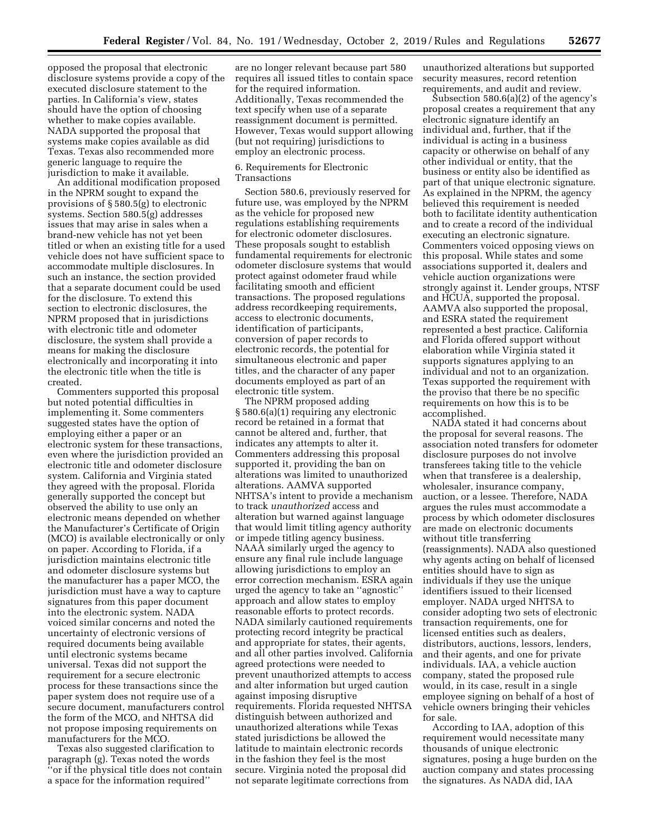opposed the proposal that electronic disclosure systems provide a copy of the executed disclosure statement to the parties. In California's view, states should have the option of choosing whether to make copies available. NADA supported the proposal that systems make copies available as did Texas. Texas also recommended more generic language to require the jurisdiction to make it available.

An additional modification proposed in the NPRM sought to expand the provisions of § 580.5(g) to electronic systems. Section 580.5(g) addresses issues that may arise in sales when a brand-new vehicle has not yet been titled or when an existing title for a used vehicle does not have sufficient space to accommodate multiple disclosures. In such an instance, the section provided that a separate document could be used for the disclosure. To extend this section to electronic disclosures, the NPRM proposed that in jurisdictions with electronic title and odometer disclosure, the system shall provide a means for making the disclosure electronically and incorporating it into the electronic title when the title is created.

Commenters supported this proposal but noted potential difficulties in implementing it. Some commenters suggested states have the option of employing either a paper or an electronic system for these transactions, even where the jurisdiction provided an electronic title and odometer disclosure system. California and Virginia stated they agreed with the proposal. Florida generally supported the concept but observed the ability to use only an electronic means depended on whether the Manufacturer's Certificate of Origin (MCO) is available electronically or only on paper. According to Florida, if a jurisdiction maintains electronic title and odometer disclosure systems but the manufacturer has a paper MCO, the jurisdiction must have a way to capture signatures from this paper document into the electronic system. NADA voiced similar concerns and noted the uncertainty of electronic versions of required documents being available until electronic systems became universal. Texas did not support the requirement for a secure electronic process for these transactions since the paper system does not require use of a secure document, manufacturers control the form of the MCO, and NHTSA did not propose imposing requirements on manufacturers for the MCO.

Texas also suggested clarification to paragraph (g). Texas noted the words ''or if the physical title does not contain a space for the information required''

are no longer relevant because part 580 requires all issued titles to contain space for the required information. Additionally, Texas recommended the text specify when use of a separate reassignment document is permitted. However, Texas would support allowing (but not requiring) jurisdictions to employ an electronic process.

## 6. Requirements for Electronic Transactions

Section 580.6, previously reserved for future use, was employed by the NPRM as the vehicle for proposed new regulations establishing requirements for electronic odometer disclosures. These proposals sought to establish fundamental requirements for electronic odometer disclosure systems that would protect against odometer fraud while facilitating smooth and efficient transactions. The proposed regulations address recordkeeping requirements, access to electronic documents, identification of participants, conversion of paper records to electronic records, the potential for simultaneous electronic and paper titles, and the character of any paper documents employed as part of an electronic title system.

The NPRM proposed adding § 580.6(a)(1) requiring any electronic record be retained in a format that cannot be altered and, further, that indicates any attempts to alter it. Commenters addressing this proposal supported it, providing the ban on alterations was limited to unauthorized alterations. AAMVA supported NHTSA's intent to provide a mechanism to track *unauthorized* access and alteration but warned against language that would limit titling agency authority or impede titling agency business. NAAA similarly urged the agency to ensure any final rule include language allowing jurisdictions to employ an error correction mechanism. ESRA again urged the agency to take an ''agnostic'' approach and allow states to employ reasonable efforts to protect records. NADA similarly cautioned requirements protecting record integrity be practical and appropriate for states, their agents, and all other parties involved. California agreed protections were needed to prevent unauthorized attempts to access and alter information but urged caution against imposing disruptive requirements. Florida requested NHTSA distinguish between authorized and unauthorized alterations while Texas stated jurisdictions be allowed the latitude to maintain electronic records in the fashion they feel is the most secure. Virginia noted the proposal did not separate legitimate corrections from

unauthorized alterations but supported security measures, record retention requirements, and audit and review.

Subsection 580.6(a)(2) of the agency's proposal creates a requirement that any electronic signature identify an individual and, further, that if the individual is acting in a business capacity or otherwise on behalf of any other individual or entity, that the business or entity also be identified as part of that unique electronic signature. As explained in the NPRM, the agency believed this requirement is needed both to facilitate identity authentication and to create a record of the individual executing an electronic signature. Commenters voiced opposing views on this proposal. While states and some associations supported it, dealers and vehicle auction organizations were strongly against it. Lender groups, NTSF and HCUA, supported the proposal. AAMVA also supported the proposal, and ESRA stated the requirement represented a best practice. California and Florida offered support without elaboration while Virginia stated it supports signatures applying to an individual and not to an organization. Texas supported the requirement with the proviso that there be no specific requirements on how this is to be accomplished.

NADA stated it had concerns about the proposal for several reasons. The association noted transfers for odometer disclosure purposes do not involve transferees taking title to the vehicle when that transferee is a dealership, wholesaler, insurance company, auction, or a lessee. Therefore, NADA argues the rules must accommodate a process by which odometer disclosures are made on electronic documents without title transferring (reassignments). NADA also questioned why agents acting on behalf of licensed entities should have to sign as individuals if they use the unique identifiers issued to their licensed employer. NADA urged NHTSA to consider adopting two sets of electronic transaction requirements, one for licensed entities such as dealers, distributors, auctions, lessors, lenders, and their agents, and one for private individuals. IAA, a vehicle auction company, stated the proposed rule would, in its case, result in a single employee signing on behalf of a host of vehicle owners bringing their vehicles for sale.

According to IAA, adoption of this requirement would necessitate many thousands of unique electronic signatures, posing a huge burden on the auction company and states processing the signatures. As NADA did, IAA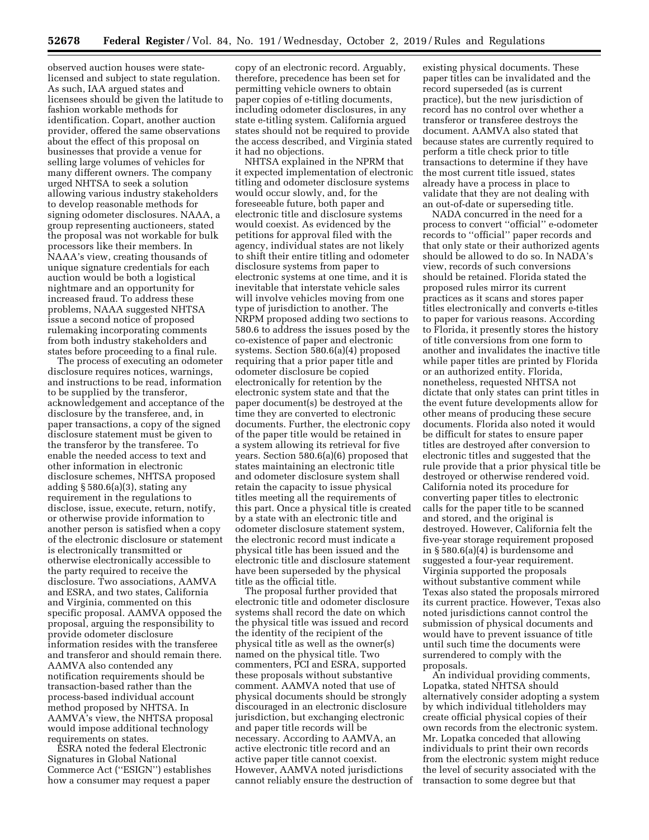observed auction houses were statelicensed and subject to state regulation. As such, IAA argued states and licensees should be given the latitude to fashion workable methods for identification. Copart, another auction provider, offered the same observations about the effect of this proposal on businesses that provide a venue for selling large volumes of vehicles for many different owners. The company urged NHTSA to seek a solution allowing various industry stakeholders to develop reasonable methods for signing odometer disclosures. NAAA, a group representing auctioneers, stated the proposal was not workable for bulk processors like their members. In NAAA's view, creating thousands of unique signature credentials for each auction would be both a logistical nightmare and an opportunity for increased fraud. To address these problems, NAAA suggested NHTSA issue a second notice of proposed rulemaking incorporating comments from both industry stakeholders and states before proceeding to a final rule.

The process of executing an odometer disclosure requires notices, warnings, and instructions to be read, information to be supplied by the transferor, acknowledgement and acceptance of the disclosure by the transferee, and, in paper transactions, a copy of the signed disclosure statement must be given to the transferor by the transferee. To enable the needed access to text and other information in electronic disclosure schemes, NHTSA proposed adding § 580.6(a)(3), stating any requirement in the regulations to disclose, issue, execute, return, notify, or otherwise provide information to another person is satisfied when a copy of the electronic disclosure or statement is electronically transmitted or otherwise electronically accessible to the party required to receive the disclosure. Two associations, AAMVA and ESRA, and two states, California and Virginia, commented on this specific proposal. AAMVA opposed the proposal, arguing the responsibility to provide odometer disclosure information resides with the transferee and transferor and should remain there. AAMVA also contended any notification requirements should be transaction-based rather than the process-based individual account method proposed by NHTSA. In AAMVA's view, the NHTSA proposal would impose additional technology requirements on states.

ESRA noted the federal Electronic Signatures in Global National Commerce Act (''ESIGN'') establishes how a consumer may request a paper copy of an electronic record. Arguably, therefore, precedence has been set for permitting vehicle owners to obtain paper copies of e-titling documents, including odometer disclosures, in any state e-titling system. California argued states should not be required to provide the access described, and Virginia stated it had no objections.

NHTSA explained in the NPRM that it expected implementation of electronic titling and odometer disclosure systems would occur slowly, and, for the foreseeable future, both paper and electronic title and disclosure systems would coexist. As evidenced by the petitions for approval filed with the agency, individual states are not likely to shift their entire titling and odometer disclosure systems from paper to electronic systems at one time, and it is inevitable that interstate vehicle sales will involve vehicles moving from one type of jurisdiction to another. The NRPM proposed adding two sections to 580.6 to address the issues posed by the co-existence of paper and electronic systems. Section 580.6(a)(4) proposed requiring that a prior paper title and odometer disclosure be copied electronically for retention by the electronic system state and that the paper document(s) be destroyed at the time they are converted to electronic documents. Further, the electronic copy of the paper title would be retained in a system allowing its retrieval for five years. Section 580.6(a)(6) proposed that states maintaining an electronic title and odometer disclosure system shall retain the capacity to issue physical titles meeting all the requirements of this part. Once a physical title is created by a state with an electronic title and odometer disclosure statement system, the electronic record must indicate a physical title has been issued and the electronic title and disclosure statement have been superseded by the physical title as the official title.

The proposal further provided that electronic title and odometer disclosure systems shall record the date on which the physical title was issued and record the identity of the recipient of the physical title as well as the owner(s) named on the physical title. Two commenters, PCI and ESRA, supported these proposals without substantive comment. AAMVA noted that use of physical documents should be strongly discouraged in an electronic disclosure jurisdiction, but exchanging electronic and paper title records will be necessary. According to AAMVA, an active electronic title record and an active paper title cannot coexist. However, AAMVA noted jurisdictions cannot reliably ensure the destruction of

existing physical documents. These paper titles can be invalidated and the record superseded (as is current practice), but the new jurisdiction of record has no control over whether a transferor or transferee destroys the document. AAMVA also stated that because states are currently required to perform a title check prior to title transactions to determine if they have the most current title issued, states already have a process in place to validate that they are not dealing with an out-of-date or superseding title.

NADA concurred in the need for a process to convert ''official'' e-odometer records to ''official'' paper records and that only state or their authorized agents should be allowed to do so. In NADA's view, records of such conversions should be retained. Florida stated the proposed rules mirror its current practices as it scans and stores paper titles electronically and converts e-titles to paper for various reasons. According to Florida, it presently stores the history of title conversions from one form to another and invalidates the inactive title while paper titles are printed by Florida or an authorized entity. Florida, nonetheless, requested NHTSA not dictate that only states can print titles in the event future developments allow for other means of producing these secure documents. Florida also noted it would be difficult for states to ensure paper titles are destroyed after conversion to electronic titles and suggested that the rule provide that a prior physical title be destroyed or otherwise rendered void. California noted its procedure for converting paper titles to electronic calls for the paper title to be scanned and stored, and the original is destroyed. However, California felt the five-year storage requirement proposed in § 580.6(a)(4) is burdensome and suggested a four-year requirement. Virginia supported the proposals without substantive comment while Texas also stated the proposals mirrored its current practice. However, Texas also noted jurisdictions cannot control the submission of physical documents and would have to prevent issuance of title until such time the documents were surrendered to comply with the proposals.

An individual providing comments, Lopatka, stated NHTSA should alternatively consider adopting a system by which individual titleholders may create official physical copies of their own records from the electronic system. Mr. Lopatka conceded that allowing individuals to print their own records from the electronic system might reduce the level of security associated with the transaction to some degree but that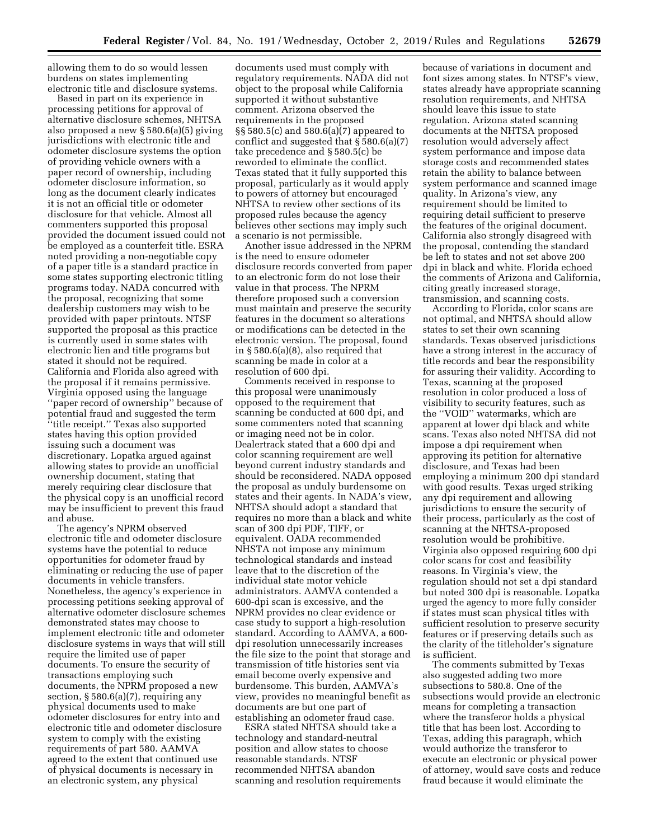allowing them to do so would lessen burdens on states implementing electronic title and disclosure systems.

Based in part on its experience in processing petitions for approval of alternative disclosure schemes, NHTSA also proposed a new § 580.6(a)(5) giving jurisdictions with electronic title and odometer disclosure systems the option of providing vehicle owners with a paper record of ownership, including odometer disclosure information, so long as the document clearly indicates it is not an official title or odometer disclosure for that vehicle. Almost all commenters supported this proposal provided the document issued could not be employed as a counterfeit title. ESRA noted providing a non-negotiable copy of a paper title is a standard practice in some states supporting electronic titling programs today. NADA concurred with the proposal, recognizing that some dealership customers may wish to be provided with paper printouts. NTSF supported the proposal as this practice is currently used in some states with electronic lien and title programs but stated it should not be required. California and Florida also agreed with the proposal if it remains permissive. Virginia opposed using the language ''paper record of ownership'' because of potential fraud and suggested the term ''title receipt.'' Texas also supported states having this option provided issuing such a document was discretionary. Lopatka argued against allowing states to provide an unofficial ownership document, stating that merely requiring clear disclosure that the physical copy is an unofficial record may be insufficient to prevent this fraud and abuse.

The agency's NPRM observed electronic title and odometer disclosure systems have the potential to reduce opportunities for odometer fraud by eliminating or reducing the use of paper documents in vehicle transfers. Nonetheless, the agency's experience in processing petitions seeking approval of alternative odometer disclosure schemes demonstrated states may choose to implement electronic title and odometer disclosure systems in ways that will still require the limited use of paper documents. To ensure the security of transactions employing such documents, the NPRM proposed a new section, § 580.6(a)(7), requiring any physical documents used to make odometer disclosures for entry into and electronic title and odometer disclosure system to comply with the existing requirements of part 580. AAMVA agreed to the extent that continued use of physical documents is necessary in an electronic system, any physical

documents used must comply with regulatory requirements. NADA did not object to the proposal while California supported it without substantive comment. Arizona observed the requirements in the proposed §§ 580.5(c) and 580.6(a)(7) appeared to conflict and suggested that § 580.6(a)(7) take precedence and § 580.5(c) be reworded to eliminate the conflict. Texas stated that it fully supported this proposal, particularly as it would apply to powers of attorney but encouraged NHTSA to review other sections of its proposed rules because the agency believes other sections may imply such a scenario is not permissible.

Another issue addressed in the NPRM is the need to ensure odometer disclosure records converted from paper to an electronic form do not lose their value in that process. The NPRM therefore proposed such a conversion must maintain and preserve the security features in the document so alterations or modifications can be detected in the electronic version. The proposal, found in § 580.6(a)(8), also required that scanning be made in color at a resolution of 600 dpi.

Comments received in response to this proposal were unanimously opposed to the requirement that scanning be conducted at 600 dpi, and some commenters noted that scanning or imaging need not be in color. Dealertrack stated that a 600 dpi and color scanning requirement are well beyond current industry standards and should be reconsidered. NADA opposed the proposal as unduly burdensome on states and their agents. In NADA's view, NHTSA should adopt a standard that requires no more than a black and white scan of 300 dpi PDF, TIFF, or equivalent. OADA recommended NHSTA not impose any minimum technological standards and instead leave that to the discretion of the individual state motor vehicle administrators. AAMVA contended a 600-dpi scan is excessive, and the NPRM provides no clear evidence or case study to support a high-resolution standard. According to AAMVA, a 600 dpi resolution unnecessarily increases the file size to the point that storage and transmission of title histories sent via email become overly expensive and burdensome. This burden, AAMVA's view, provides no meaningful benefit as documents are but one part of establishing an odometer fraud case.

ESRA stated NHTSA should take a technology and standard-neutral position and allow states to choose reasonable standards. NTSF recommended NHTSA abandon scanning and resolution requirements because of variations in document and font sizes among states. In NTSF's view, states already have appropriate scanning resolution requirements, and NHTSA should leave this issue to state regulation. Arizona stated scanning documents at the NHTSA proposed resolution would adversely affect system performance and impose data storage costs and recommended states retain the ability to balance between system performance and scanned image quality. In Arizona's view, any requirement should be limited to requiring detail sufficient to preserve the features of the original document. California also strongly disagreed with the proposal, contending the standard be left to states and not set above 200 dpi in black and white. Florida echoed the comments of Arizona and California, citing greatly increased storage, transmission, and scanning costs.

According to Florida, color scans are not optimal, and NHTSA should allow states to set their own scanning standards. Texas observed jurisdictions have a strong interest in the accuracy of title records and bear the responsibility for assuring their validity. According to Texas, scanning at the proposed resolution in color produced a loss of visibility to security features, such as the ''VOID'' watermarks, which are apparent at lower dpi black and white scans. Texas also noted NHTSA did not impose a dpi requirement when approving its petition for alternative disclosure, and Texas had been employing a minimum 200 dpi standard with good results. Texas urged striking any dpi requirement and allowing jurisdictions to ensure the security of their process, particularly as the cost of scanning at the NHTSA-proposed resolution would be prohibitive. Virginia also opposed requiring 600 dpi color scans for cost and feasibility reasons. In Virginia's view, the regulation should not set a dpi standard but noted 300 dpi is reasonable. Lopatka urged the agency to more fully consider if states must scan physical titles with sufficient resolution to preserve security features or if preserving details such as the clarity of the titleholder's signature is sufficient.

The comments submitted by Texas also suggested adding two more subsections to 580.8. One of the subsections would provide an electronic means for completing a transaction where the transferor holds a physical title that has been lost. According to Texas, adding this paragraph, which would authorize the transferor to execute an electronic or physical power of attorney, would save costs and reduce fraud because it would eliminate the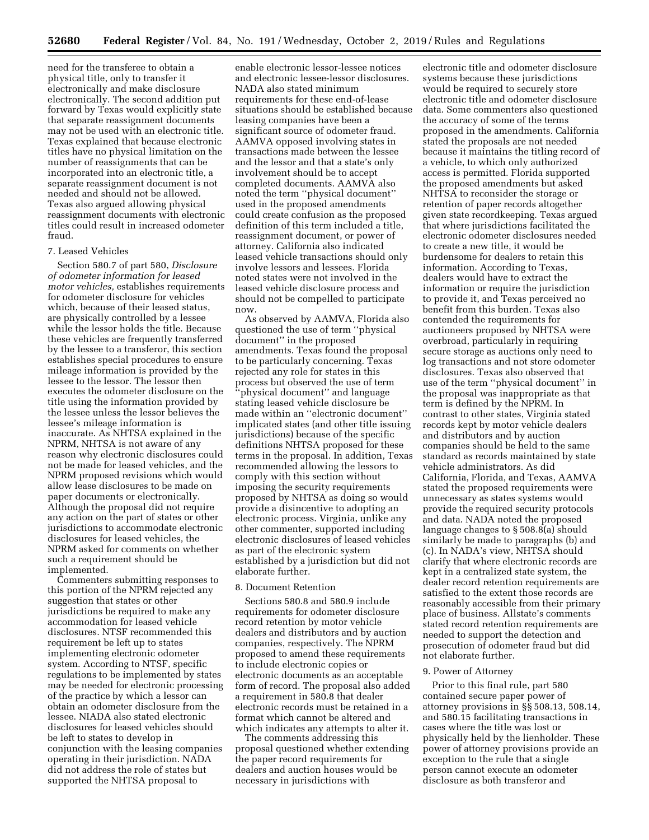need for the transferee to obtain a physical title, only to transfer it electronically and make disclosure electronically. The second addition put forward by Texas would explicitly state that separate reassignment documents may not be used with an electronic title. Texas explained that because electronic titles have no physical limitation on the number of reassignments that can be incorporated into an electronic title, a separate reassignment document is not needed and should not be allowed. Texas also argued allowing physical reassignment documents with electronic titles could result in increased odometer fraud.

#### 7. Leased Vehicles

Section 580.7 of part 580, *Disclosure of odometer information for leased motor vehicles,* establishes requirements for odometer disclosure for vehicles which, because of their leased status, are physically controlled by a lessee while the lessor holds the title. Because these vehicles are frequently transferred by the lessee to a transferor, this section establishes special procedures to ensure mileage information is provided by the lessee to the lessor. The lessor then executes the odometer disclosure on the title using the information provided by the lessee unless the lessor believes the lessee's mileage information is inaccurate. As NHTSA explained in the NPRM, NHTSA is not aware of any reason why electronic disclosures could not be made for leased vehicles, and the NPRM proposed revisions which would allow lease disclosures to be made on paper documents or electronically. Although the proposal did not require any action on the part of states or other jurisdictions to accommodate electronic disclosures for leased vehicles, the NPRM asked for comments on whether such a requirement should be implemented.

Commenters submitting responses to this portion of the NPRM rejected any suggestion that states or other jurisdictions be required to make any accommodation for leased vehicle disclosures. NTSF recommended this requirement be left up to states implementing electronic odometer system. According to NTSF, specific regulations to be implemented by states may be needed for electronic processing of the practice by which a lessor can obtain an odometer disclosure from the lessee. NIADA also stated electronic disclosures for leased vehicles should be left to states to develop in conjunction with the leasing companies operating in their jurisdiction. NADA did not address the role of states but supported the NHTSA proposal to

enable electronic lessor-lessee notices and electronic lessee-lessor disclosures. NADA also stated minimum requirements for these end-of-lease situations should be established because leasing companies have been a significant source of odometer fraud. AAMVA opposed involving states in transactions made between the lessee and the lessor and that a state's only involvement should be to accept completed documents. AAMVA also noted the term ''physical document'' used in the proposed amendments could create confusion as the proposed definition of this term included a title, reassignment document, or power of attorney. California also indicated leased vehicle transactions should only involve lessors and lessees. Florida noted states were not involved in the leased vehicle disclosure process and should not be compelled to participate now.

As observed by AAMVA, Florida also questioned the use of term ''physical document'' in the proposed amendments. Texas found the proposal to be particularly concerning. Texas rejected any role for states in this process but observed the use of term 'physical document'' and language stating leased vehicle disclosure be made within an ''electronic document'' implicated states (and other title issuing jurisdictions) because of the specific definitions NHTSA proposed for these terms in the proposal. In addition, Texas recommended allowing the lessors to comply with this section without imposing the security requirements proposed by NHTSA as doing so would provide a disincentive to adopting an electronic process. Virginia, unlike any other commenter, supported including electronic disclosures of leased vehicles as part of the electronic system established by a jurisdiction but did not elaborate further.

## 8. Document Retention

Sections 580.8 and 580.9 include requirements for odometer disclosure record retention by motor vehicle dealers and distributors and by auction companies, respectively. The NPRM proposed to amend these requirements to include electronic copies or electronic documents as an acceptable form of record. The proposal also added a requirement in 580.8 that dealer electronic records must be retained in a format which cannot be altered and which indicates any attempts to alter it.

The comments addressing this proposal questioned whether extending the paper record requirements for dealers and auction houses would be necessary in jurisdictions with

electronic title and odometer disclosure systems because these jurisdictions would be required to securely store electronic title and odometer disclosure data. Some commenters also questioned the accuracy of some of the terms proposed in the amendments. California stated the proposals are not needed because it maintains the titling record of a vehicle, to which only authorized access is permitted. Florida supported the proposed amendments but asked NHTSA to reconsider the storage or retention of paper records altogether given state recordkeeping. Texas argued that where jurisdictions facilitated the electronic odometer disclosures needed to create a new title, it would be burdensome for dealers to retain this information. According to Texas, dealers would have to extract the information or require the jurisdiction to provide it, and Texas perceived no benefit from this burden. Texas also contended the requirements for auctioneers proposed by NHTSA were overbroad, particularly in requiring secure storage as auctions only need to log transactions and not store odometer disclosures. Texas also observed that use of the term ''physical document'' in the proposal was inappropriate as that term is defined by the NPRM. In contrast to other states, Virginia stated records kept by motor vehicle dealers and distributors and by auction companies should be held to the same standard as records maintained by state vehicle administrators. As did California, Florida, and Texas, AAMVA stated the proposed requirements were unnecessary as states systems would provide the required security protocols and data. NADA noted the proposed language changes to § 508.8(a) should similarly be made to paragraphs (b) and (c). In NADA's view, NHTSA should clarify that where electronic records are kept in a centralized state system, the dealer record retention requirements are satisfied to the extent those records are reasonably accessible from their primary place of business. Allstate's comments stated record retention requirements are needed to support the detection and prosecution of odometer fraud but did not elaborate further.

#### 9. Power of Attorney

Prior to this final rule, part 580 contained secure paper power of attorney provisions in §§ 508.13, 508.14, and 580.15 facilitating transactions in cases where the title was lost or physically held by the lienholder. These power of attorney provisions provide an exception to the rule that a single person cannot execute an odometer disclosure as both transferor and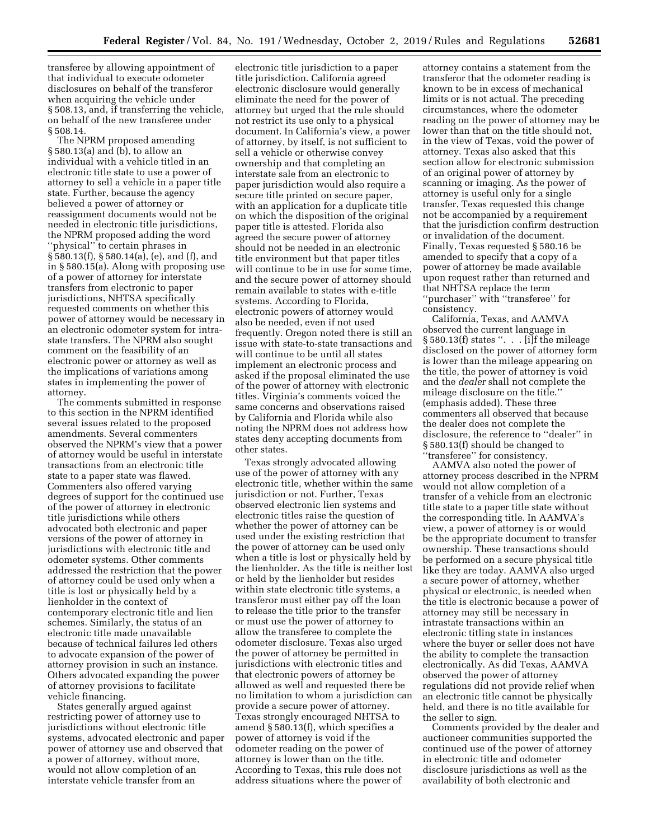transferee by allowing appointment of that individual to execute odometer disclosures on behalf of the transferor when acquiring the vehicle under § 508.13, and, if transferring the vehicle, on behalf of the new transferee under § 508.14.

The NPRM proposed amending § 580.13(a) and (b), to allow an individual with a vehicle titled in an electronic title state to use a power of attorney to sell a vehicle in a paper title state. Further, because the agency believed a power of attorney or reassignment documents would not be needed in electronic title jurisdictions, the NPRM proposed adding the word ''physical'' to certain phrases in § 580.13(f), § 580.14(a), (e), and (f), and in § 580.15(a). Along with proposing use of a power of attorney for interstate transfers from electronic to paper jurisdictions, NHTSA specifically requested comments on whether this power of attorney would be necessary in an electronic odometer system for intrastate transfers. The NPRM also sought comment on the feasibility of an electronic power or attorney as well as the implications of variations among states in implementing the power of attorney.

The comments submitted in response to this section in the NPRM identified several issues related to the proposed amendments. Several commenters observed the NPRM's view that a power of attorney would be useful in interstate transactions from an electronic title state to a paper state was flawed. Commenters also offered varying degrees of support for the continued use of the power of attorney in electronic title jurisdictions while others advocated both electronic and paper versions of the power of attorney in jurisdictions with electronic title and odometer systems. Other comments addressed the restriction that the power of attorney could be used only when a title is lost or physically held by a lienholder in the context of contemporary electronic title and lien schemes. Similarly, the status of an electronic title made unavailable because of technical failures led others to advocate expansion of the power of attorney provision in such an instance. Others advocated expanding the power of attorney provisions to facilitate vehicle financing.

States generally argued against restricting power of attorney use to jurisdictions without electronic title systems, advocated electronic and paper power of attorney use and observed that a power of attorney, without more, would not allow completion of an interstate vehicle transfer from an

electronic title jurisdiction to a paper title jurisdiction. California agreed electronic disclosure would generally eliminate the need for the power of attorney but urged that the rule should not restrict its use only to a physical document. In California's view, a power of attorney, by itself, is not sufficient to sell a vehicle or otherwise convey ownership and that completing an interstate sale from an electronic to paper jurisdiction would also require a secure title printed on secure paper, with an application for a duplicate title on which the disposition of the original paper title is attested. Florida also agreed the secure power of attorney should not be needed in an electronic title environment but that paper titles will continue to be in use for some time, and the secure power of attorney should remain available to states with e-title systems. According to Florida, electronic powers of attorney would also be needed, even if not used frequently. Oregon noted there is still an issue with state-to-state transactions and will continue to be until all states implement an electronic process and asked if the proposal eliminated the use of the power of attorney with electronic titles. Virginia's comments voiced the same concerns and observations raised by California and Florida while also noting the NPRM does not address how states deny accepting documents from other states.

Texas strongly advocated allowing use of the power of attorney with any electronic title, whether within the same jurisdiction or not. Further, Texas observed electronic lien systems and electronic titles raise the question of whether the power of attorney can be used under the existing restriction that the power of attorney can be used only when a title is lost or physically held by the lienholder. As the title is neither lost or held by the lienholder but resides within state electronic title systems, a transferor must either pay off the loan to release the title prior to the transfer or must use the power of attorney to allow the transferee to complete the odometer disclosure. Texas also urged the power of attorney be permitted in jurisdictions with electronic titles and that electronic powers of attorney be allowed as well and requested there be no limitation to whom a jurisdiction can provide a secure power of attorney. Texas strongly encouraged NHTSA to amend § 580.13(f), which specifies a power of attorney is void if the odometer reading on the power of attorney is lower than on the title. According to Texas, this rule does not address situations where the power of

attorney contains a statement from the transferor that the odometer reading is known to be in excess of mechanical limits or is not actual. The preceding circumstances, where the odometer reading on the power of attorney may be lower than that on the title should not, in the view of Texas, void the power of attorney. Texas also asked that this section allow for electronic submission of an original power of attorney by scanning or imaging. As the power of attorney is useful only for a single transfer, Texas requested this change not be accompanied by a requirement that the jurisdiction confirm destruction or invalidation of the document. Finally, Texas requested § 580.16 be amended to specify that a copy of a power of attorney be made available upon request rather than returned and that NHTSA replace the term ''purchaser'' with ''transferee'' for consistency.

California, Texas, and AAMVA observed the current language in § 580.13(f) states ". . . [i]f the mileage disclosed on the power of attorney form is lower than the mileage appearing on the title, the power of attorney is void and the *dealer* shall not complete the mileage disclosure on the title.'' (emphasis added). These three commenters all observed that because the dealer does not complete the disclosure, the reference to ''dealer'' in § 580.13(f) should be changed to ''transferee'' for consistency.

AAMVA also noted the power of attorney process described in the NPRM would not allow completion of a transfer of a vehicle from an electronic title state to a paper title state without the corresponding title. In AAMVA's view, a power of attorney is or would be the appropriate document to transfer ownership. These transactions should be performed on a secure physical title like they are today. AAMVA also urged a secure power of attorney, whether physical or electronic, is needed when the title is electronic because a power of attorney may still be necessary in intrastate transactions within an electronic titling state in instances where the buyer or seller does not have the ability to complete the transaction electronically. As did Texas, AAMVA observed the power of attorney regulations did not provide relief when an electronic title cannot be physically held, and there is no title available for the seller to sign.

Comments provided by the dealer and auctioneer communities supported the continued use of the power of attorney in electronic title and odometer disclosure jurisdictions as well as the availability of both electronic and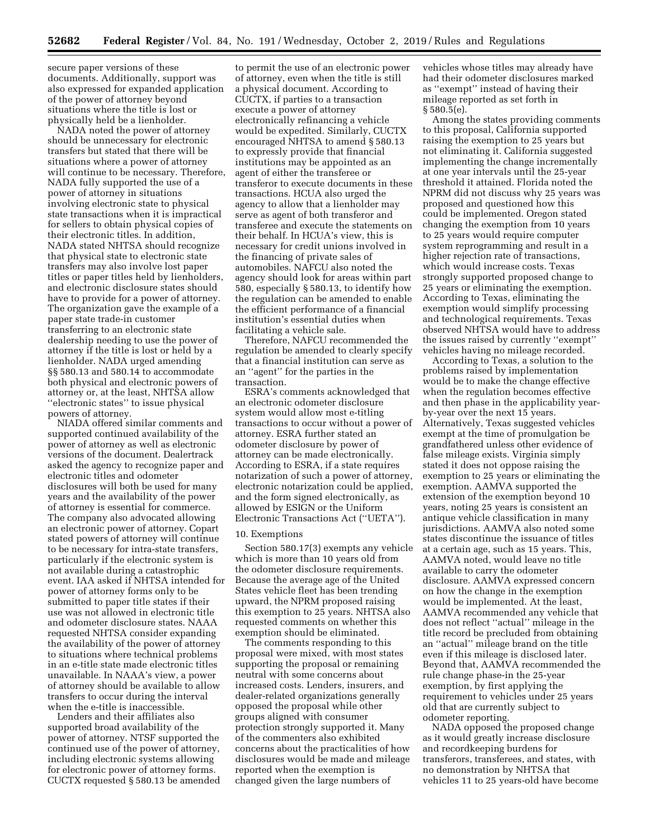secure paper versions of these documents. Additionally, support was also expressed for expanded application of the power of attorney beyond situations where the title is lost or physically held be a lienholder.

NADA noted the power of attorney should be unnecessary for electronic transfers but stated that there will be situations where a power of attorney will continue to be necessary. Therefore, NADA fully supported the use of a power of attorney in situations involving electronic state to physical state transactions when it is impractical for sellers to obtain physical copies of their electronic titles. In addition, NADA stated NHTSA should recognize that physical state to electronic state transfers may also involve lost paper titles or paper titles held by lienholders, and electronic disclosure states should have to provide for a power of attorney. The organization gave the example of a paper state trade-in customer transferring to an electronic state dealership needing to use the power of attorney if the title is lost or held by a lienholder. NADA urged amending §§ 580.13 and 580.14 to accommodate both physical and electronic powers of attorney or, at the least, NHTSA allow ''electronic states'' to issue physical powers of attorney.

NIADA offered similar comments and supported continued availability of the power of attorney as well as electronic versions of the document. Dealertrack asked the agency to recognize paper and electronic titles and odometer disclosures will both be used for many years and the availability of the power of attorney is essential for commerce. The company also advocated allowing an electronic power of attorney. Copart stated powers of attorney will continue to be necessary for intra-state transfers, particularly if the electronic system is not available during a catastrophic event. IAA asked if NHTSA intended for power of attorney forms only to be submitted to paper title states if their use was not allowed in electronic title and odometer disclosure states. NAAA requested NHTSA consider expanding the availability of the power of attorney to situations where technical problems in an e-title state made electronic titles unavailable. In NAAA's view, a power of attorney should be available to allow transfers to occur during the interval when the e-title is inaccessible.

Lenders and their affiliates also supported broad availability of the power of attorney. NTSF supported the continued use of the power of attorney, including electronic systems allowing for electronic power of attorney forms. CUCTX requested § 580.13 be amended

to permit the use of an electronic power of attorney, even when the title is still a physical document. According to CUCTX, if parties to a transaction execute a power of attorney electronically refinancing a vehicle would be expedited. Similarly, CUCTX encouraged NHTSA to amend § 580.13 to expressly provide that financial institutions may be appointed as an agent of either the transferee or transferor to execute documents in these transactions. HCUA also urged the agency to allow that a lienholder may serve as agent of both transferor and transferee and execute the statements on their behalf. In HCUA's view, this is necessary for credit unions involved in the financing of private sales of automobiles. NAFCU also noted the agency should look for areas within part 580, especially § 580.13, to identify how the regulation can be amended to enable the efficient performance of a financial institution's essential duties when facilitating a vehicle sale.

Therefore, NAFCU recommended the regulation be amended to clearly specify that a financial institution can serve as an ''agent'' for the parties in the transaction.

ESRA's comments acknowledged that an electronic odometer disclosure system would allow most e-titling transactions to occur without a power of attorney. ESRA further stated an odometer disclosure by power of attorney can be made electronically. According to ESRA, if a state requires notarization of such a power of attorney, electronic notarization could be applied, and the form signed electronically, as allowed by ESIGN or the Uniform Electronic Transactions Act (''UETA'').

#### 10. Exemptions

Section 580.17(3) exempts any vehicle which is more than 10 years old from the odometer disclosure requirements. Because the average age of the United States vehicle fleet has been trending upward, the NPRM proposed raising this exemption to 25 years. NHTSA also requested comments on whether this exemption should be eliminated.

The comments responding to this proposal were mixed, with most states supporting the proposal or remaining neutral with some concerns about increased costs. Lenders, insurers, and dealer-related organizations generally opposed the proposal while other groups aligned with consumer protection strongly supported it. Many of the commenters also exhibited concerns about the practicalities of how disclosures would be made and mileage reported when the exemption is changed given the large numbers of

vehicles whose titles may already have had their odometer disclosures marked as ''exempt'' instead of having their mileage reported as set forth in § 580.5(e).

Among the states providing comments to this proposal, California supported raising the exemption to 25 years but not eliminating it. California suggested implementing the change incrementally at one year intervals until the 25-year threshold it attained. Florida noted the NPRM did not discuss why 25 years was proposed and questioned how this could be implemented. Oregon stated changing the exemption from 10 years to 25 years would require computer system reprogramming and result in a higher rejection rate of transactions, which would increase costs. Texas strongly supported proposed change to 25 years or eliminating the exemption. According to Texas, eliminating the exemption would simplify processing and technological requirements. Texas observed NHTSA would have to address the issues raised by currently ''exempt'' vehicles having no mileage recorded.

According to Texas, a solution to the problems raised by implementation would be to make the change effective when the regulation becomes effective and then phase in the applicability yearby-year over the next 15 years. Alternatively, Texas suggested vehicles exempt at the time of promulgation be grandfathered unless other evidence of false mileage exists. Virginia simply stated it does not oppose raising the exemption to 25 years or eliminating the exemption. AAMVA supported the extension of the exemption beyond 10 years, noting 25 years is consistent an antique vehicle classification in many jurisdictions. AAMVA also noted some states discontinue the issuance of titles at a certain age, such as 15 years. This, AAMVA noted, would leave no title available to carry the odometer disclosure. AAMVA expressed concern on how the change in the exemption would be implemented. At the least, AAMVA recommended any vehicle that does not reflect ''actual'' mileage in the title record be precluded from obtaining an ''actual'' mileage brand on the title even if this mileage is disclosed later. Beyond that, AAMVA recommended the rule change phase-in the 25-year exemption, by first applying the requirement to vehicles under 25 years old that are currently subject to odometer reporting.

NADA opposed the proposed change as it would greatly increase disclosure and recordkeeping burdens for transferors, transferees, and states, with no demonstration by NHTSA that vehicles 11 to 25 years-old have become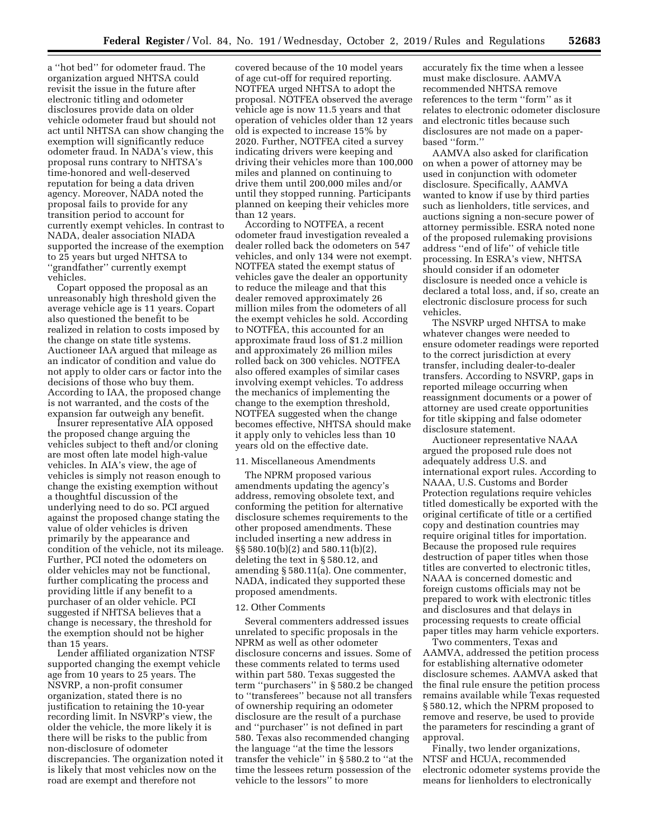a ''hot bed'' for odometer fraud. The organization argued NHTSA could revisit the issue in the future after electronic titling and odometer disclosures provide data on older vehicle odometer fraud but should not act until NHTSA can show changing the exemption will significantly reduce odometer fraud. In NADA's view, this proposal runs contrary to NHTSA's time-honored and well-deserved reputation for being a data driven agency. Moreover, NADA noted the proposal fails to provide for any transition period to account for currently exempt vehicles. In contrast to NADA, dealer association NIADA supported the increase of the exemption to 25 years but urged NHTSA to ''grandfather'' currently exempt vehicles.

Copart opposed the proposal as an unreasonably high threshold given the average vehicle age is 11 years. Copart also questioned the benefit to be realized in relation to costs imposed by the change on state title systems. Auctioneer IAA argued that mileage as an indicator of condition and value do not apply to older cars or factor into the decisions of those who buy them. According to IAA, the proposed change is not warranted, and the costs of the expansion far outweigh any benefit.

Insurer representative AIA opposed the proposed change arguing the vehicles subject to theft and/or cloning are most often late model high-value vehicles. In AIA's view, the age of vehicles is simply not reason enough to change the existing exemption without a thoughtful discussion of the underlying need to do so. PCI argued against the proposed change stating the value of older vehicles is driven primarily by the appearance and condition of the vehicle, not its mileage. Further, PCI noted the odometers on older vehicles may not be functional, further complicating the process and providing little if any benefit to a purchaser of an older vehicle. PCI suggested if NHTSA believes that a change is necessary, the threshold for the exemption should not be higher than 15 years.

Lender affiliated organization NTSF supported changing the exempt vehicle age from 10 years to 25 years. The NSVRP, a non-profit consumer organization, stated there is no justification to retaining the 10-year recording limit. In NSVRP's view, the older the vehicle, the more likely it is there will be risks to the public from non-disclosure of odometer discrepancies. The organization noted it is likely that most vehicles now on the road are exempt and therefore not

covered because of the 10 model years of age cut-off for required reporting. NOTFEA urged NHTSA to adopt the proposal. NOTFEA observed the average vehicle age is now 11.5 years and that operation of vehicles older than 12 years old is expected to increase 15% by 2020. Further, NOTFEA cited a survey indicating drivers were keeping and driving their vehicles more than 100,000 miles and planned on continuing to drive them until 200,000 miles and/or until they stopped running. Participants planned on keeping their vehicles more than 12 years.

According to NOTFEA, a recent odometer fraud investigation revealed a dealer rolled back the odometers on 547 vehicles, and only 134 were not exempt. NOTFEA stated the exempt status of vehicles gave the dealer an opportunity to reduce the mileage and that this dealer removed approximately 26 million miles from the odometers of all the exempt vehicles he sold. According to NOTFEA, this accounted for an approximate fraud loss of \$1.2 million and approximately 26 million miles rolled back on 300 vehicles. NOTFEA also offered examples of similar cases involving exempt vehicles. To address the mechanics of implementing the change to the exemption threshold, NOTFEA suggested when the change becomes effective, NHTSA should make it apply only to vehicles less than 10 years old on the effective date.

#### 11. Miscellaneous Amendments

The NPRM proposed various amendments updating the agency's address, removing obsolete text, and conforming the petition for alternative disclosure schemes requirements to the other proposed amendments. These included inserting a new address in §§ 580.10(b)(2) and 580.11(b)(2), deleting the text in § 580.12, and amending § 580.11(a). One commenter, NADA, indicated they supported these proposed amendments.

#### 12. Other Comments

Several commenters addressed issues unrelated to specific proposals in the NPRM as well as other odometer disclosure concerns and issues. Some of these comments related to terms used within part 580. Texas suggested the term ''purchasers'' in § 580.2 be changed to ''transferees'' because not all transfers of ownership requiring an odometer disclosure are the result of a purchase and ''purchaser'' is not defined in part 580. Texas also recommended changing the language ''at the time the lessors transfer the vehicle'' in § 580.2 to ''at the time the lessees return possession of the vehicle to the lessors'' to more

accurately fix the time when a lessee must make disclosure. AAMVA recommended NHTSA remove references to the term ''form'' as it relates to electronic odometer disclosure and electronic titles because such disclosures are not made on a paperbased ''form.''

AAMVA also asked for clarification on when a power of attorney may be used in conjunction with odometer disclosure. Specifically, AAMVA wanted to know if use by third parties such as lienholders, title services, and auctions signing a non-secure power of attorney permissible. ESRA noted none of the proposed rulemaking provisions address ''end of life'' of vehicle title processing. In ESRA's view, NHTSA should consider if an odometer disclosure is needed once a vehicle is declared a total loss, and, if so, create an electronic disclosure process for such vehicles.

The NSVRP urged NHTSA to make whatever changes were needed to ensure odometer readings were reported to the correct jurisdiction at every transfer, including dealer-to-dealer transfers. According to NSVRP, gaps in reported mileage occurring when reassignment documents or a power of attorney are used create opportunities for title skipping and false odometer disclosure statement.

Auctioneer representative NAAA argued the proposed rule does not adequately address U.S. and international export rules. According to NAAA, U.S. Customs and Border Protection regulations require vehicles titled domestically be exported with the original certificate of title or a certified copy and destination countries may require original titles for importation. Because the proposed rule requires destruction of paper titles when those titles are converted to electronic titles, NAAA is concerned domestic and foreign customs officials may not be prepared to work with electronic titles and disclosures and that delays in processing requests to create official paper titles may harm vehicle exporters.

Two commenters, Texas and AAMVA, addressed the petition process for establishing alternative odometer disclosure schemes. AAMVA asked that the final rule ensure the petition process remains available while Texas requested § 580.12, which the NPRM proposed to remove and reserve, be used to provide the parameters for rescinding a grant of approval.

Finally, two lender organizations, NTSF and HCUA, recommended electronic odometer systems provide the means for lienholders to electronically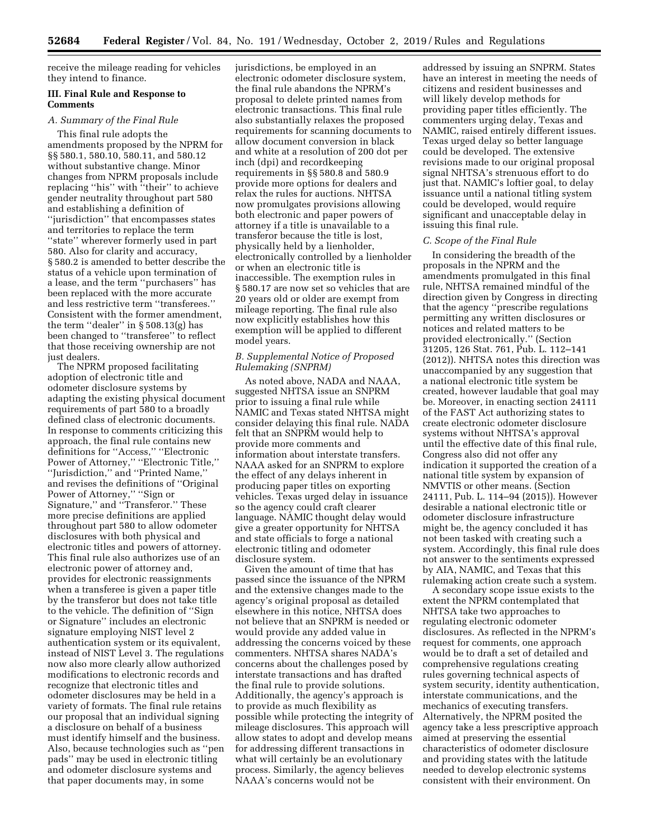receive the mileage reading for vehicles they intend to finance.

#### **III. Final Rule and Response to Comments**

#### *A. Summary of the Final Rule*

This final rule adopts the amendments proposed by the NPRM for §§ 580.1, 580.10, 580.11, and 580.12 without substantive change. Minor changes from NPRM proposals include replacing ''his'' with ''their'' to achieve gender neutrality throughout part 580 and establishing a definition of ''jurisdiction'' that encompasses states and territories to replace the term ''state'' wherever formerly used in part 580. Also for clarity and accuracy, § 580.2 is amended to better describe the status of a vehicle upon termination of a lease, and the term ''purchasers'' has been replaced with the more accurate and less restrictive term ''transferees.'' Consistent with the former amendment, the term ''dealer'' in § 508.13(g) has been changed to ''transferee'' to reflect that those receiving ownership are not just dealers.

The NPRM proposed facilitating adoption of electronic title and odometer disclosure systems by adapting the existing physical document requirements of part 580 to a broadly defined class of electronic documents. In response to comments criticizing this approach, the final rule contains new definitions for ''Access,'' ''Electronic Power of Attorney,'' ''Electronic Title,'' ''Jurisdiction,'' and ''Printed Name,'' and revises the definitions of ''Original Power of Attorney,'' ''Sign or Signature,'' and ''Transferor.'' These more precise definitions are applied throughout part 580 to allow odometer disclosures with both physical and electronic titles and powers of attorney. This final rule also authorizes use of an electronic power of attorney and, provides for electronic reassignments when a transferee is given a paper title by the transferor but does not take title to the vehicle. The definition of ''Sign or Signature'' includes an electronic signature employing NIST level 2 authentication system or its equivalent, instead of NIST Level 3. The regulations now also more clearly allow authorized modifications to electronic records and recognize that electronic titles and odometer disclosures may be held in a variety of formats. The final rule retains our proposal that an individual signing a disclosure on behalf of a business must identify himself and the business. Also, because technologies such as ''pen pads'' may be used in electronic titling and odometer disclosure systems and that paper documents may, in some

jurisdictions, be employed in an electronic odometer disclosure system, the final rule abandons the NPRM's proposal to delete printed names from electronic transactions. This final rule also substantially relaxes the proposed requirements for scanning documents to allow document conversion in black and white at a resolution of 200 dot per inch (dpi) and recordkeeping requirements in §§ 580.8 and 580.9 provide more options for dealers and relax the rules for auctions. NHTSA now promulgates provisions allowing both electronic and paper powers of attorney if a title is unavailable to a transferor because the title is lost, physically held by a lienholder, electronically controlled by a lienholder or when an electronic title is inaccessible. The exemption rules in § 580.17 are now set so vehicles that are 20 years old or older are exempt from mileage reporting. The final rule also now explicitly establishes how this exemption will be applied to different model years.

## *B. Supplemental Notice of Proposed Rulemaking (SNPRM)*

As noted above, NADA and NAAA, suggested NHTSA issue an SNPRM prior to issuing a final rule while NAMIC and Texas stated NHTSA might consider delaying this final rule. NADA felt that an SNPRM would help to provide more comments and information about interstate transfers. NAAA asked for an SNPRM to explore the effect of any delays inherent in producing paper titles on exporting vehicles. Texas urged delay in issuance so the agency could craft clearer language. NAMIC thought delay would give a greater opportunity for NHTSA and state officials to forge a national electronic titling and odometer disclosure system.

Given the amount of time that has passed since the issuance of the NPRM and the extensive changes made to the agency's original proposal as detailed elsewhere in this notice, NHTSA does not believe that an SNPRM is needed or would provide any added value in addressing the concerns voiced by these commenters. NHTSA shares NADA's concerns about the challenges posed by interstate transactions and has drafted the final rule to provide solutions. Additionally, the agency's approach is to provide as much flexibility as possible while protecting the integrity of mileage disclosures. This approach will allow states to adopt and develop means for addressing different transactions in what will certainly be an evolutionary process. Similarly, the agency believes NAAA's concerns would not be

addressed by issuing an SNPRM. States have an interest in meeting the needs of citizens and resident businesses and will likely develop methods for providing paper titles efficiently. The commenters urging delay, Texas and NAMIC, raised entirely different issues. Texas urged delay so better language could be developed. The extensive revisions made to our original proposal signal NHTSA's strenuous effort to do just that. NAMIC's loftier goal, to delay issuance until a national titling system could be developed, would require significant and unacceptable delay in issuing this final rule.

#### *C. Scope of the Final Rule*

In considering the breadth of the proposals in the NPRM and the amendments promulgated in this final rule, NHTSA remained mindful of the direction given by Congress in directing that the agency ''prescribe regulations permitting any written disclosures or notices and related matters to be provided electronically.'' (Section 31205, 126 Stat. 761, Pub. L. 112–141 (2012)). NHTSA notes this direction was unaccompanied by any suggestion that a national electronic title system be created, however laudable that goal may be. Moreover, in enacting section 24111 of the FAST Act authorizing states to create electronic odometer disclosure systems without NHTSA's approval until the effective date of this final rule, Congress also did not offer any indication it supported the creation of a national title system by expansion of NMVTIS or other means. (Section 24111, Pub. L. 114–94 (2015)). However desirable a national electronic title or odometer disclosure infrastructure might be, the agency concluded it has not been tasked with creating such a system. Accordingly, this final rule does not answer to the sentiments expressed by AIA, NAMIC, and Texas that this rulemaking action create such a system.

A secondary scope issue exists to the extent the NPRM contemplated that NHTSA take two approaches to regulating electronic odometer disclosures. As reflected in the NPRM's request for comments, one approach would be to draft a set of detailed and comprehensive regulations creating rules governing technical aspects of system security, identity authentication, interstate communications, and the mechanics of executing transfers. Alternatively, the NPRM posited the agency take a less prescriptive approach aimed at preserving the essential characteristics of odometer disclosure and providing states with the latitude needed to develop electronic systems consistent with their environment. On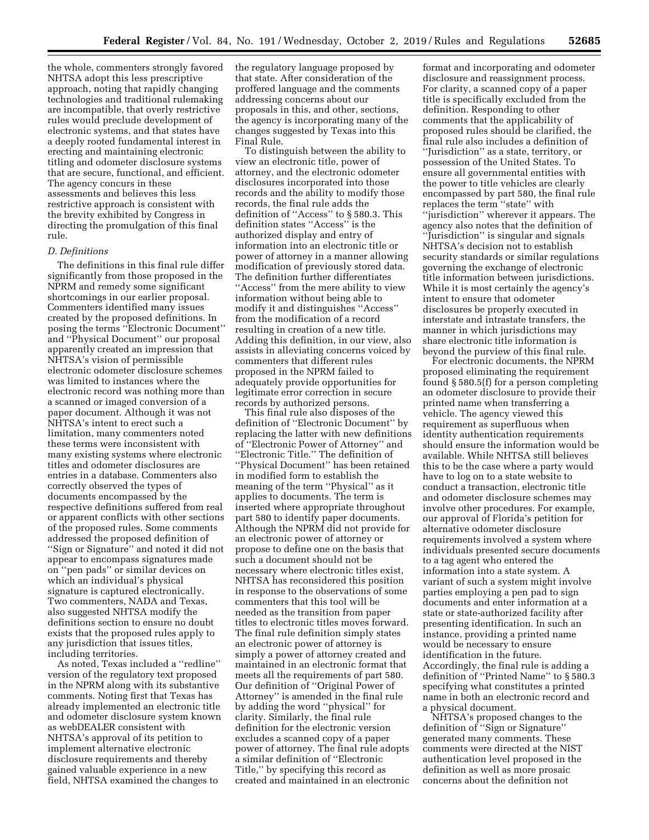the whole, commenters strongly favored NHTSA adopt this less prescriptive approach, noting that rapidly changing technologies and traditional rulemaking are incompatible, that overly restrictive rules would preclude development of electronic systems, and that states have a deeply rooted fundamental interest in erecting and maintaining electronic titling and odometer disclosure systems that are secure, functional, and efficient. The agency concurs in these assessments and believes this less restrictive approach is consistent with the brevity exhibited by Congress in directing the promulgation of this final rule.

#### *D. Definitions*

The definitions in this final rule differ significantly from those proposed in the NPRM and remedy some significant shortcomings in our earlier proposal. Commenters identified many issues created by the proposed definitions. In posing the terms ''Electronic Document'' and ''Physical Document'' our proposal apparently created an impression that NHTSA's vision of permissible electronic odometer disclosure schemes was limited to instances where the electronic record was nothing more than a scanned or imaged conversion of a paper document. Although it was not NHTSA's intent to erect such a limitation, many commenters noted these terms were inconsistent with many existing systems where electronic titles and odometer disclosures are entries in a database. Commenters also correctly observed the types of documents encompassed by the respective definitions suffered from real or apparent conflicts with other sections of the proposed rules. Some comments addressed the proposed definition of ''Sign or Signature'' and noted it did not appear to encompass signatures made on ''pen pads'' or similar devices on which an individual's physical signature is captured electronically. Two commenters, NADA and Texas, also suggested NHTSA modify the definitions section to ensure no doubt exists that the proposed rules apply to any jurisdiction that issues titles, including territories.

As noted, Texas included a ''redline'' version of the regulatory text proposed in the NPRM along with its substantive comments. Noting first that Texas has already implemented an electronic title and odometer disclosure system known as webDEALER consistent with NHTSA's approval of its petition to implement alternative electronic disclosure requirements and thereby gained valuable experience in a new field, NHTSA examined the changes to

the regulatory language proposed by that state. After consideration of the proffered language and the comments addressing concerns about our proposals in this, and other, sections, the agency is incorporating many of the changes suggested by Texas into this Final Rule.

To distinguish between the ability to view an electronic title, power of attorney, and the electronic odometer disclosures incorporated into those records and the ability to modify those records, the final rule adds the definition of ''Access'' to § 580.3. This definition states ''Access'' is the authorized display and entry of information into an electronic title or power of attorney in a manner allowing modification of previously stored data. The definition further differentiates ''Access'' from the mere ability to view information without being able to modify it and distinguishes ''Access'' from the modification of a record resulting in creation of a new title. Adding this definition, in our view, also assists in alleviating concerns voiced by commenters that different rules proposed in the NPRM failed to adequately provide opportunities for legitimate error correction in secure records by authorized persons.

This final rule also disposes of the definition of ''Electronic Document'' by replacing the latter with new definitions of ''Electronic Power of Attorney'' and ''Electronic Title.'' The definition of ''Physical Document'' has been retained in modified form to establish the meaning of the term ''Physical'' as it applies to documents. The term is inserted where appropriate throughout part 580 to identify paper documents. Although the NPRM did not provide for an electronic power of attorney or propose to define one on the basis that such a document should not be necessary where electronic titles exist, NHTSA has reconsidered this position in response to the observations of some commenters that this tool will be needed as the transition from paper titles to electronic titles moves forward. The final rule definition simply states an electronic power of attorney is simply a power of attorney created and maintained in an electronic format that meets all the requirements of part 580. Our definition of ''Original Power of Attorney'' is amended in the final rule by adding the word ''physical'' for clarity. Similarly, the final rule definition for the electronic version excludes a scanned copy of a paper power of attorney. The final rule adopts a similar definition of ''Electronic Title,'' by specifying this record as created and maintained in an electronic

format and incorporating and odometer disclosure and reassignment process. For clarity, a scanned copy of a paper title is specifically excluded from the definition. Responding to other comments that the applicability of proposed rules should be clarified, the final rule also includes a definition of ''Jurisdiction'' as a state, territory, or possession of the United States. To ensure all governmental entities with the power to title vehicles are clearly encompassed by part 580, the final rule replaces the term ''state'' with ''jurisdiction'' wherever it appears. The agency also notes that the definition of ''Jurisdiction'' is singular and signals NHTSA's decision not to establish security standards or similar regulations governing the exchange of electronic title information between jurisdictions. While it is most certainly the agency's intent to ensure that odometer disclosures be properly executed in interstate and intrastate transfers, the manner in which jurisdictions may share electronic title information is beyond the purview of this final rule.

For electronic documents, the NPRM proposed eliminating the requirement found § 580.5(f) for a person completing an odometer disclosure to provide their printed name when transferring a vehicle. The agency viewed this requirement as superfluous when identity authentication requirements should ensure the information would be available. While NHTSA still believes this to be the case where a party would have to log on to a state website to conduct a transaction, electronic title and odometer disclosure schemes may involve other procedures. For example, our approval of Florida's petition for alternative odometer disclosure requirements involved a system where individuals presented secure documents to a tag agent who entered the information into a state system. A variant of such a system might involve parties employing a pen pad to sign documents and enter information at a state or state-authorized facility after presenting identification. In such an instance, providing a printed name would be necessary to ensure identification in the future. Accordingly, the final rule is adding a definition of ''Printed Name'' to § 580.3 specifying what constitutes a printed name in both an electronic record and a physical document.

NHTSA's proposed changes to the definition of ''Sign or Signature'' generated many comments. These comments were directed at the NIST authentication level proposed in the definition as well as more prosaic concerns about the definition not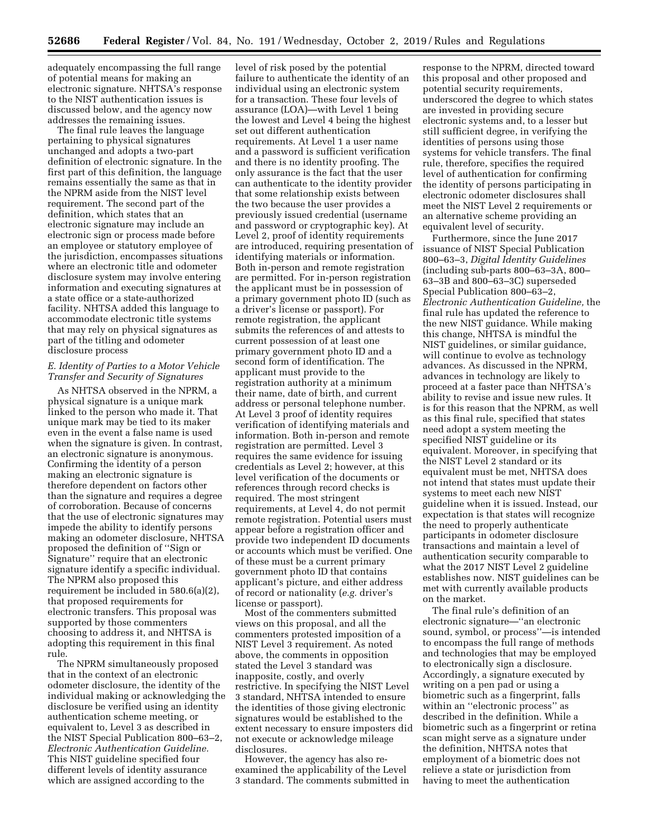adequately encompassing the full range of potential means for making an electronic signature. NHTSA's response to the NIST authentication issues is discussed below, and the agency now addresses the remaining issues.

The final rule leaves the language pertaining to physical signatures unchanged and adopts a two-part definition of electronic signature. In the first part of this definition, the language remains essentially the same as that in the NPRM aside from the NIST level requirement. The second part of the definition, which states that an electronic signature may include an electronic sign or process made before an employee or statutory employee of the jurisdiction, encompasses situations where an electronic title and odometer disclosure system may involve entering information and executing signatures at a state office or a state-authorized facility. NHTSA added this language to accommodate electronic title systems that may rely on physical signatures as part of the titling and odometer disclosure process

## *E. Identity of Parties to a Motor Vehicle Transfer and Security of Signatures*

As NHTSA observed in the NPRM, a physical signature is a unique mark linked to the person who made it. That unique mark may be tied to its maker even in the event a false name is used when the signature is given. In contrast, an electronic signature is anonymous. Confirming the identity of a person making an electronic signature is therefore dependent on factors other than the signature and requires a degree of corroboration. Because of concerns that the use of electronic signatures may impede the ability to identify persons making an odometer disclosure, NHTSA proposed the definition of ''Sign or Signature'' require that an electronic signature identify a specific individual. The NPRM also proposed this requirement be included in 580.6(a)(2), that proposed requirements for electronic transfers. This proposal was supported by those commenters choosing to address it, and NHTSA is adopting this requirement in this final rule.

The NPRM simultaneously proposed that in the context of an electronic odometer disclosure, the identity of the individual making or acknowledging the disclosure be verified using an identity authentication scheme meeting, or equivalent to, Level 3 as described in the NIST Special Publication 800–63–2, *Electronic Authentication Guideline.*  This NIST guideline specified four different levels of identity assurance which are assigned according to the

level of risk posed by the potential failure to authenticate the identity of an individual using an electronic system for a transaction. These four levels of assurance (LOA)—with Level 1 being the lowest and Level 4 being the highest set out different authentication requirements. At Level 1 a user name and a password is sufficient verification and there is no identity proofing. The only assurance is the fact that the user can authenticate to the identity provider that some relationship exists between the two because the user provides a previously issued credential (username and password or cryptographic key). At Level 2, proof of identity requirements are introduced, requiring presentation of identifying materials or information. Both in-person and remote registration are permitted. For in-person registration the applicant must be in possession of a primary government photo ID (such as a driver's license or passport). For remote registration, the applicant submits the references of and attests to current possession of at least one primary government photo ID and a second form of identification. The applicant must provide to the registration authority at a minimum their name, date of birth, and current address or personal telephone number. At Level 3 proof of identity requires verification of identifying materials and information. Both in-person and remote registration are permitted. Level 3 requires the same evidence for issuing credentials as Level 2; however, at this level verification of the documents or references through record checks is required. The most stringent requirements, at Level 4, do not permit remote registration. Potential users must appear before a registration officer and provide two independent ID documents or accounts which must be verified. One of these must be a current primary government photo ID that contains applicant's picture, and either address of record or nationality (*e.g.* driver's license or passport).

Most of the commenters submitted views on this proposal, and all the commenters protested imposition of a NIST Level 3 requirement. As noted above, the comments in opposition stated the Level 3 standard was inapposite, costly, and overly restrictive. In specifying the NIST Level 3 standard, NHTSA intended to ensure the identities of those giving electronic signatures would be established to the extent necessary to ensure imposters did not execute or acknowledge mileage disclosures.

However, the agency has also reexamined the applicability of the Level 3 standard. The comments submitted in response to the NPRM, directed toward this proposal and other proposed and potential security requirements, underscored the degree to which states are invested in providing secure electronic systems and, to a lesser but still sufficient degree, in verifying the identities of persons using those systems for vehicle transfers. The final rule, therefore, specifies the required level of authentication for confirming the identity of persons participating in electronic odometer disclosures shall meet the NIST Level 2 requirements or an alternative scheme providing an equivalent level of security.

Furthermore, since the June 2017 issuance of NIST Special Publication 800–63–3, *Digital Identity Guidelines*  (including sub-parts 800–63–3A, 800– 63–3B and 800–63–3C) superseded Special Publication 800–63–2, *Electronic Authentication Guideline,* the final rule has updated the reference to the new NIST guidance. While making this change, NHTSA is mindful the NIST guidelines, or similar guidance, will continue to evolve as technology advances. As discussed in the NPRM, advances in technology are likely to proceed at a faster pace than NHTSA's ability to revise and issue new rules. It is for this reason that the NPRM, as well as this final rule, specified that states need adopt a system meeting the specified NIST guideline or its equivalent. Moreover, in specifying that the NIST Level 2 standard or its equivalent must be met, NHTSA does not intend that states must update their systems to meet each new NIST guideline when it is issued. Instead, our expectation is that states will recognize the need to properly authenticate participants in odometer disclosure transactions and maintain a level of authentication security comparable to what the 2017 NIST Level 2 guideline establishes now. NIST guidelines can be met with currently available products on the market.

The final rule's definition of an electronic signature—''an electronic sound, symbol, or process''—is intended to encompass the full range of methods and technologies that may be employed to electronically sign a disclosure. Accordingly, a signature executed by writing on a pen pad or using a biometric such as a fingerprint, falls within an ''electronic process'' as described in the definition. While a biometric such as a fingerprint or retina scan might serve as a signature under the definition, NHTSA notes that employment of a biometric does not relieve a state or jurisdiction from having to meet the authentication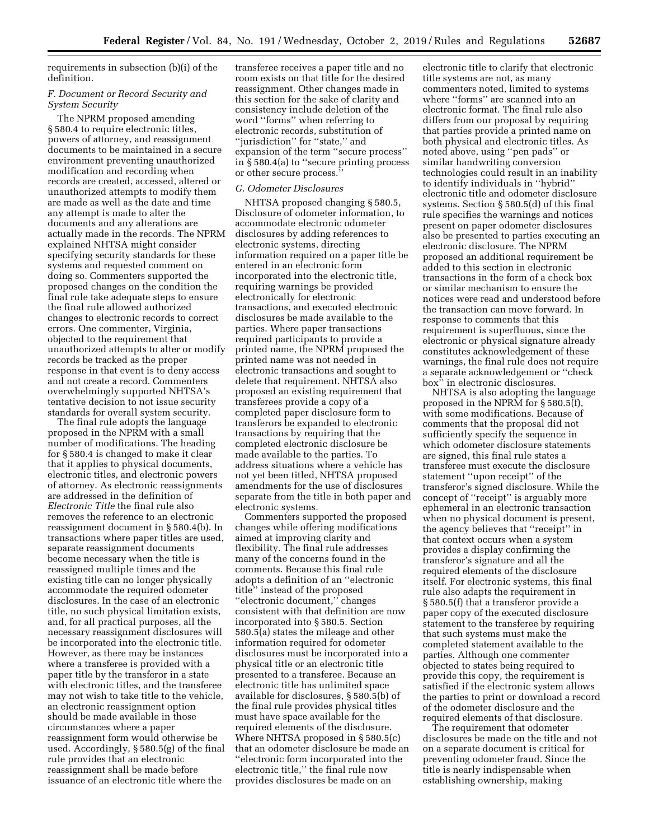requirements in subsection (b)(i) of the definition.

## *F. Document or Record Security and System Security*

The NPRM proposed amending § 580.4 to require electronic titles, powers of attorney, and reassignment documents to be maintained in a secure environment preventing unauthorized modification and recording when records are created, accessed, altered or unauthorized attempts to modify them are made as well as the date and time any attempt is made to alter the documents and any alterations are actually made in the records. The NPRM explained NHTSA might consider specifying security standards for these systems and requested comment on doing so. Commenters supported the proposed changes on the condition the final rule take adequate steps to ensure the final rule allowed authorized changes to electronic records to correct errors. One commenter, Virginia, objected to the requirement that unauthorized attempts to alter or modify records be tracked as the proper response in that event is to deny access and not create a record. Commenters overwhelmingly supported NHTSA's tentative decision to not issue security standards for overall system security.

The final rule adopts the language proposed in the NPRM with a small number of modifications. The heading for § 580.4 is changed to make it clear that it applies to physical documents, electronic titles, and electronic powers of attorney. As electronic reassignments are addressed in the definition of *Electronic Title* the final rule also removes the reference to an electronic reassignment document in § 580.4(b). In transactions where paper titles are used, separate reassignment documents become necessary when the title is reassigned multiple times and the existing title can no longer physically accommodate the required odometer disclosures. In the case of an electronic title, no such physical limitation exists, and, for all practical purposes, all the necessary reassignment disclosures will be incorporated into the electronic title. However, as there may be instances where a transferee is provided with a paper title by the transferor in a state with electronic titles, and the transferee may not wish to take title to the vehicle, an electronic reassignment option should be made available in those circumstances where a paper reassignment form would otherwise be used. Accordingly, § 580.5(g) of the final rule provides that an electronic reassignment shall be made before issuance of an electronic title where the

transferee receives a paper title and no room exists on that title for the desired reassignment. Other changes made in this section for the sake of clarity and consistency include deletion of the word ''forms'' when referring to electronic records, substitution of ''jurisdiction'' for ''state,'' and expansion of the term ''secure process'' in § 580.4(a) to ''secure printing process or other secure process.''

#### *G. Odometer Disclosures*

NHTSA proposed changing § 580.5, Disclosure of odometer information, to accommodate electronic odometer disclosures by adding references to electronic systems, directing information required on a paper title be entered in an electronic form incorporated into the electronic title, requiring warnings be provided electronically for electronic transactions, and executed electronic disclosures be made available to the parties. Where paper transactions required participants to provide a printed name, the NPRM proposed the printed name was not needed in electronic transactions and sought to delete that requirement. NHTSA also proposed an existing requirement that transferees provide a copy of a completed paper disclosure form to transferors be expanded to electronic transactions by requiring that the completed electronic disclosure be made available to the parties. To address situations where a vehicle has not yet been titled, NHTSA proposed amendments for the use of disclosures separate from the title in both paper and electronic systems.

Commenters supported the proposed changes while offering modifications aimed at improving clarity and flexibility. The final rule addresses many of the concerns found in the comments. Because this final rule adopts a definition of an ''electronic title'' instead of the proposed ''electronic document,'' changes consistent with that definition are now incorporated into § 580.5. Section 580.5(a) states the mileage and other information required for odometer disclosures must be incorporated into a physical title or an electronic title presented to a transferee. Because an electronic title has unlimited space available for disclosures, § 580.5(b) of the final rule provides physical titles must have space available for the required elements of the disclosure. Where NHTSA proposed in § 580.5(c) that an odometer disclosure be made an ''electronic form incorporated into the electronic title,'' the final rule now provides disclosures be made on an

electronic title to clarify that electronic title systems are not, as many commenters noted, limited to systems where ''forms'' are scanned into an electronic format. The final rule also differs from our proposal by requiring that parties provide a printed name on both physical and electronic titles. As noted above, using ''pen pads'' or similar handwriting conversion technologies could result in an inability to identify individuals in ''hybrid'' electronic title and odometer disclosure systems. Section § 580.5(d) of this final rule specifies the warnings and notices present on paper odometer disclosures also be presented to parties executing an electronic disclosure. The NPRM proposed an additional requirement be added to this section in electronic transactions in the form of a check box or similar mechanism to ensure the notices were read and understood before the transaction can move forward. In response to comments that this requirement is superfluous, since the electronic or physical signature already constitutes acknowledgement of these warnings, the final rule does not require a separate acknowledgement or ''check box'' in electronic disclosures.

NHTSA is also adopting the language proposed in the NPRM for § 580.5(f), with some modifications. Because of comments that the proposal did not sufficiently specify the sequence in which odometer disclosure statements are signed, this final rule states a transferee must execute the disclosure statement ''upon receipt'' of the transferor's signed disclosure. While the concept of ''receipt'' is arguably more ephemeral in an electronic transaction when no physical document is present, the agency believes that ''receipt'' in that context occurs when a system provides a display confirming the transferor's signature and all the required elements of the disclosure itself. For electronic systems, this final rule also adapts the requirement in § 580.5(f) that a transferor provide a paper copy of the executed disclosure statement to the transferee by requiring that such systems must make the completed statement available to the parties. Although one commenter objected to states being required to provide this copy, the requirement is satisfied if the electronic system allows the parties to print or download a record of the odometer disclosure and the required elements of that disclosure.

The requirement that odometer disclosures be made on the title and not on a separate document is critical for preventing odometer fraud. Since the title is nearly indispensable when establishing ownership, making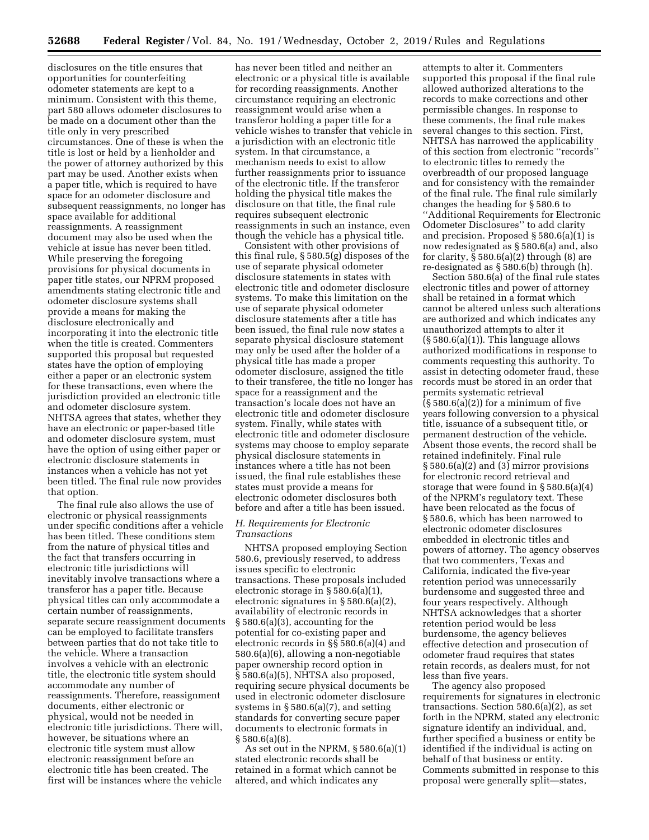disclosures on the title ensures that opportunities for counterfeiting odometer statements are kept to a minimum. Consistent with this theme, part 580 allows odometer disclosures to be made on a document other than the title only in very prescribed circumstances. One of these is when the title is lost or held by a lienholder and the power of attorney authorized by this part may be used. Another exists when a paper title, which is required to have space for an odometer disclosure and subsequent reassignments, no longer has space available for additional reassignments. A reassignment document may also be used when the vehicle at issue has never been titled. While preserving the foregoing provisions for physical documents in paper title states, our NPRM proposed amendments stating electronic title and odometer disclosure systems shall provide a means for making the disclosure electronically and incorporating it into the electronic title when the title is created. Commenters supported this proposal but requested states have the option of employing either a paper or an electronic system for these transactions, even where the jurisdiction provided an electronic title and odometer disclosure system. NHTSA agrees that states, whether they have an electronic or paper-based title and odometer disclosure system, must have the option of using either paper or electronic disclosure statements in instances when a vehicle has not yet been titled. The final rule now provides that option.

The final rule also allows the use of electronic or physical reassignments under specific conditions after a vehicle has been titled. These conditions stem from the nature of physical titles and the fact that transfers occurring in electronic title jurisdictions will inevitably involve transactions where a transferor has a paper title. Because physical titles can only accommodate a certain number of reassignments, separate secure reassignment documents can be employed to facilitate transfers between parties that do not take title to the vehicle. Where a transaction involves a vehicle with an electronic title, the electronic title system should accommodate any number of reassignments. Therefore, reassignment documents, either electronic or physical, would not be needed in electronic title jurisdictions. There will, however, be situations where an electronic title system must allow electronic reassignment before an electronic title has been created. The first will be instances where the vehicle

has never been titled and neither an electronic or a physical title is available for recording reassignments. Another circumstance requiring an electronic reassignment would arise when a transferor holding a paper title for a vehicle wishes to transfer that vehicle in a jurisdiction with an electronic title system. In that circumstance, a mechanism needs to exist to allow further reassignments prior to issuance of the electronic title. If the transferor holding the physical title makes the disclosure on that title, the final rule requires subsequent electronic reassignments in such an instance, even though the vehicle has a physical title.

Consistent with other provisions of this final rule, § 580.5(g) disposes of the use of separate physical odometer disclosure statements in states with electronic title and odometer disclosure systems. To make this limitation on the use of separate physical odometer disclosure statements after a title has been issued, the final rule now states a separate physical disclosure statement may only be used after the holder of a physical title has made a proper odometer disclosure, assigned the title to their transferee, the title no longer has space for a reassignment and the transaction's locale does not have an electronic title and odometer disclosure system. Finally, while states with electronic title and odometer disclosure systems may choose to employ separate physical disclosure statements in instances where a title has not been issued, the final rule establishes these states must provide a means for electronic odometer disclosures both before and after a title has been issued.

### *H. Requirements for Electronic Transactions*

NHTSA proposed employing Section 580.6, previously reserved, to address issues specific to electronic transactions. These proposals included electronic storage in § 580.6(a)(1), electronic signatures in § 580.6(a)(2), availability of electronic records in § 580.6(a)(3), accounting for the potential for co-existing paper and electronic records in §§ 580.6(a)(4) and 580.6(a)(6), allowing a non-negotiable paper ownership record option in § 580.6(a)(5), NHTSA also proposed, requiring secure physical documents be used in electronic odometer disclosure systems in § 580.6(a)(7), and setting standards for converting secure paper documents to electronic formats in § 580.6(a)(8).

As set out in the NPRM, § 580.6(a)(1) stated electronic records shall be retained in a format which cannot be altered, and which indicates any

attempts to alter it. Commenters supported this proposal if the final rule allowed authorized alterations to the records to make corrections and other permissible changes. In response to these comments, the final rule makes several changes to this section. First, NHTSA has narrowed the applicability of this section from electronic ''records'' to electronic titles to remedy the overbreadth of our proposed language and for consistency with the remainder of the final rule. The final rule similarly changes the heading for § 580.6 to ''Additional Requirements for Electronic Odometer Disclosures'' to add clarity and precision. Proposed § 580.6(a)(1) is now redesignated as § 580.6(a) and, also for clarity,  $\S 580.6(a)(2)$  through  $(8)$  are re-designated as § 580.6(b) through (h).

Section 580.6(a) of the final rule states electronic titles and power of attorney shall be retained in a format which cannot be altered unless such alterations are authorized and which indicates any unauthorized attempts to alter it  $(\S 580.6(a)(1))$ . This language allows authorized modifications in response to comments requesting this authority. To assist in detecting odometer fraud, these records must be stored in an order that permits systematic retrieval  $(\S 580.6(a)(2))$  for a minimum of five years following conversion to a physical title, issuance of a subsequent title, or permanent destruction of the vehicle. Absent those events, the record shall be retained indefinitely. Final rule § 580.6(a)(2) and (3) mirror provisions for electronic record retrieval and storage that were found in § 580.6(a)(4) of the NPRM's regulatory text. These have been relocated as the focus of § 580.6, which has been narrowed to electronic odometer disclosures embedded in electronic titles and powers of attorney. The agency observes that two commenters, Texas and California, indicated the five-year retention period was unnecessarily burdensome and suggested three and four years respectively. Although NHTSA acknowledges that a shorter retention period would be less burdensome, the agency believes effective detection and prosecution of odometer fraud requires that states retain records, as dealers must, for not less than five years.

The agency also proposed requirements for signatures in electronic transactions. Section 580.6(a)(2), as set forth in the NPRM, stated any electronic signature identify an individual, and, further specified a business or entity be identified if the individual is acting on behalf of that business or entity. Comments submitted in response to this proposal were generally split—states,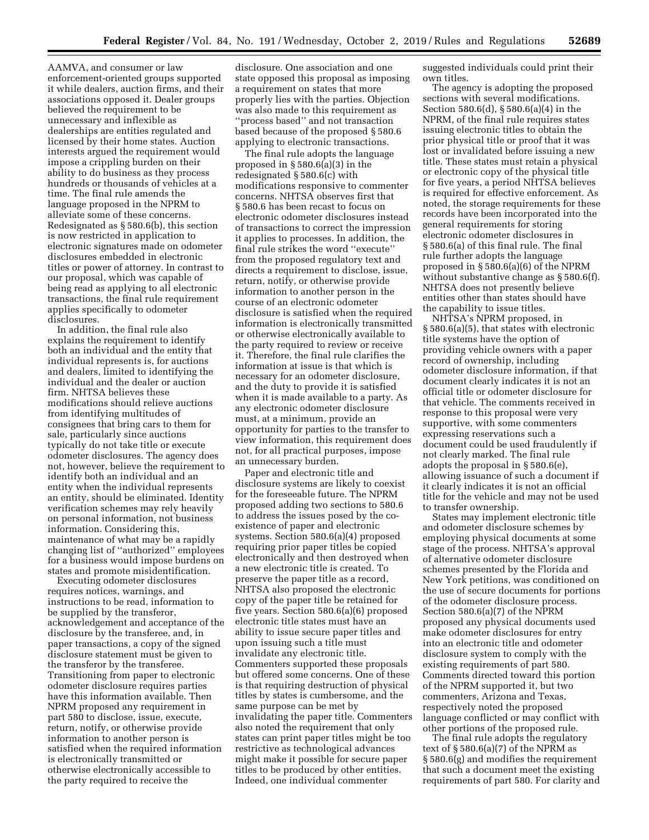AAMVA, and consumer or law enforcement-oriented groups supported it while dealers, auction firms, and their associations opposed it. Dealer groups believed the requirement to be unnecessary and inflexible as dealerships are entities regulated and licensed by their home states. Auction interests argued the requirement would impose a crippling burden on their ability to do business as they process hundreds or thousands of vehicles at a time. The final rule amends the language proposed in the NPRM to alleviate some of these concerns. Redesignated as § 580.6(b), this section is now restricted in application to electronic signatures made on odometer disclosures embedded in electronic titles or power of attorney. In contrast to our proposal, which was capable of being read as applying to all electronic transactions, the final rule requirement applies specifically to odometer disclosures.

In addition, the final rule also explains the requirement to identify both an individual and the entity that individual represents is, for auctions and dealers, limited to identifying the individual and the dealer or auction firm. NHTSA believes these modifications should relieve auctions from identifying multitudes of consignees that bring cars to them for sale, particularly since auctions typically do not take title or execute odometer disclosures. The agency does not, however, believe the requirement to identify both an individual and an entity when the individual represents an entity, should be eliminated. Identity verification schemes may rely heavily on personal information, not business information. Considering this, maintenance of what may be a rapidly changing list of ''authorized'' employees for a business would impose burdens on states and promote misidentification.

Executing odometer disclosures requires notices, warnings, and instructions to be read, information to be supplied by the transferor, acknowledgement and acceptance of the disclosure by the transferee, and, in paper transactions, a copy of the signed disclosure statement must be given to the transferor by the transferee. Transitioning from paper to electronic odometer disclosure requires parties have this information available. Then NPRM proposed any requirement in part 580 to disclose, issue, execute, return, notify, or otherwise provide information to another person is satisfied when the required information is electronically transmitted or otherwise electronically accessible to the party required to receive the

disclosure. One association and one state opposed this proposal as imposing a requirement on states that more properly lies with the parties. Objection was also made to this requirement as ''process based'' and not transaction based because of the proposed § 580.6 applying to electronic transactions.

The final rule adopts the language proposed in § 580.6(a)(3) in the redesignated § 580.6(c) with modifications responsive to commenter concerns. NHTSA observes first that § 580.6 has been recast to focus on electronic odometer disclosures instead of transactions to correct the impression it applies to processes. In addition, the final rule strikes the word ''execute'' from the proposed regulatory text and directs a requirement to disclose, issue, return, notify, or otherwise provide information to another person in the course of an electronic odometer disclosure is satisfied when the required information is electronically transmitted or otherwise electronically available to the party required to review or receive it. Therefore, the final rule clarifies the information at issue is that which is necessary for an odometer disclosure, and the duty to provide it is satisfied when it is made available to a party. As any electronic odometer disclosure must, at a minimum, provide an opportunity for parties to the transfer to view information, this requirement does not, for all practical purposes, impose an unnecessary burden.

Paper and electronic title and disclosure systems are likely to coexist for the foreseeable future. The NPRM proposed adding two sections to 580.6 to address the issues posed by the coexistence of paper and electronic systems. Section 580.6(a)(4) proposed requiring prior paper titles be copied electronically and then destroyed when a new electronic title is created. To preserve the paper title as a record, NHTSA also proposed the electronic copy of the paper title be retained for five years. Section 580.6(a)(6) proposed electronic title states must have an ability to issue secure paper titles and upon issuing such a title must invalidate any electronic title. Commenters supported these proposals but offered some concerns. One of these is that requiring destruction of physical titles by states is cumbersome, and the same purpose can be met by invalidating the paper title. Commenters also noted the requirement that only states can print paper titles might be too restrictive as technological advances might make it possible for secure paper titles to be produced by other entities. Indeed, one individual commenter

suggested individuals could print their own titles.

The agency is adopting the proposed sections with several modifications. Section 580.6(d), § 580.6(a)(4) in the NPRM, of the final rule requires states issuing electronic titles to obtain the prior physical title or proof that it was lost or invalidated before issuing a new title. These states must retain a physical or electronic copy of the physical title for five years, a period NHTSA believes is required for effective enforcement. As noted, the storage requirements for these records have been incorporated into the general requirements for storing electronic odometer disclosures in § 580.6(a) of this final rule. The final rule further adopts the language proposed in § 580.6(a)(6) of the NPRM without substantive change as § 580.6(f). NHTSA does not presently believe entities other than states should have the capability to issue titles.

NHTSA's NPRM proposed, in § 580.6(a)(5), that states with electronic title systems have the option of providing vehicle owners with a paper record of ownership, including odometer disclosure information, if that document clearly indicates it is not an official title or odometer disclosure for that vehicle. The comments received in response to this proposal were very supportive, with some commenters expressing reservations such a document could be used fraudulently if not clearly marked. The final rule adopts the proposal in § 580.6(e), allowing issuance of such a document if it clearly indicates it is not an official title for the vehicle and may not be used to transfer ownership.

States may implement electronic title and odometer disclosure schemes by employing physical documents at some stage of the process. NHTSA's approval of alternative odometer disclosure schemes presented by the Florida and New York petitions, was conditioned on the use of secure documents for portions of the odometer disclosure process. Section 580.6(a)(7) of the NPRM proposed any physical documents used make odometer disclosures for entry into an electronic title and odometer disclosure system to comply with the existing requirements of part 580. Comments directed toward this portion of the NPRM supported it, but two commenters, Arizona and Texas, respectively noted the proposed language conflicted or may conflict with other portions of the proposed rule.

The final rule adopts the regulatory text of § 580.6(a)(7) of the NPRM as § 580.6(g) and modifies the requirement that such a document meet the existing requirements of part 580. For clarity and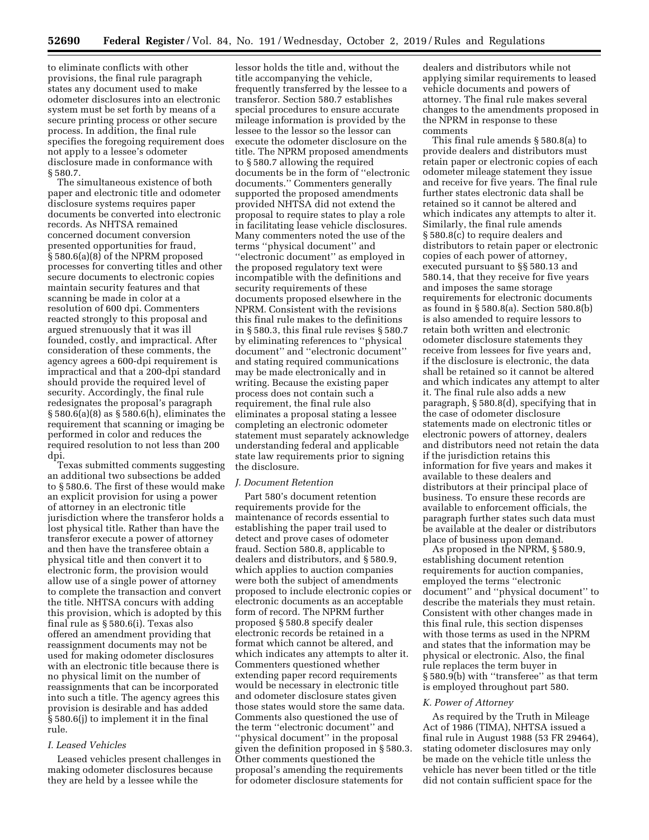to eliminate conflicts with other provisions, the final rule paragraph states any document used to make odometer disclosures into an electronic system must be set forth by means of a secure printing process or other secure process. In addition, the final rule specifies the foregoing requirement does not apply to a lessee's odometer disclosure made in conformance with § 580.7.

The simultaneous existence of both paper and electronic title and odometer disclosure systems requires paper documents be converted into electronic records. As NHTSA remained concerned document conversion presented opportunities for fraud, § 580.6(a)(8) of the NPRM proposed processes for converting titles and other secure documents to electronic copies maintain security features and that scanning be made in color at a resolution of 600 dpi. Commenters reacted strongly to this proposal and argued strenuously that it was ill founded, costly, and impractical. After consideration of these comments, the agency agrees a 600-dpi requirement is impractical and that a 200-dpi standard should provide the required level of security. Accordingly, the final rule redesignates the proposal's paragraph § 580.6(a)(8) as § 580.6(h), eliminates the requirement that scanning or imaging be performed in color and reduces the required resolution to not less than 200 dpi.

Texas submitted comments suggesting an additional two subsections be added to § 580.6. The first of these would make an explicit provision for using a power of attorney in an electronic title jurisdiction where the transferor holds a lost physical title. Rather than have the transferor execute a power of attorney and then have the transferee obtain a physical title and then convert it to electronic form, the provision would allow use of a single power of attorney to complete the transaction and convert the title. NHTSA concurs with adding this provision, which is adopted by this final rule as § 580.6(i). Texas also offered an amendment providing that reassignment documents may not be used for making odometer disclosures with an electronic title because there is no physical limit on the number of reassignments that can be incorporated into such a title. The agency agrees this provision is desirable and has added § 580.6(j) to implement it in the final rule.

## *I. Leased Vehicles*

Leased vehicles present challenges in making odometer disclosures because they are held by a lessee while the

lessor holds the title and, without the title accompanying the vehicle, frequently transferred by the lessee to a transferor. Section 580.7 establishes special procedures to ensure accurate mileage information is provided by the lessee to the lessor so the lessor can execute the odometer disclosure on the title. The NPRM proposed amendments to § 580.7 allowing the required documents be in the form of ''electronic documents.'' Commenters generally supported the proposed amendments provided NHTSA did not extend the proposal to require states to play a role in facilitating lease vehicle disclosures. Many commenters noted the use of the terms ''physical document'' and ''electronic document'' as employed in the proposed regulatory text were incompatible with the definitions and security requirements of these documents proposed elsewhere in the NPRM. Consistent with the revisions this final rule makes to the definitions in § 580.3, this final rule revises § 580.7 by eliminating references to ''physical document'' and ''electronic document'' and stating required communications may be made electronically and in writing. Because the existing paper process does not contain such a requirement, the final rule also eliminates a proposal stating a lessee completing an electronic odometer statement must separately acknowledge understanding federal and applicable state law requirements prior to signing the disclosure.

#### *J. Document Retention*

Part 580's document retention requirements provide for the maintenance of records essential to establishing the paper trail used to detect and prove cases of odometer fraud. Section 580.8, applicable to dealers and distributors, and § 580.9, which applies to auction companies were both the subject of amendments proposed to include electronic copies or electronic documents as an acceptable form of record. The NPRM further proposed § 580.8 specify dealer electronic records be retained in a format which cannot be altered, and which indicates any attempts to alter it. Commenters questioned whether extending paper record requirements would be necessary in electronic title and odometer disclosure states given those states would store the same data. Comments also questioned the use of the term ''electronic document'' and ''physical document'' in the proposal given the definition proposed in § 580.3. Other comments questioned the proposal's amending the requirements for odometer disclosure statements for

dealers and distributors while not applying similar requirements to leased vehicle documents and powers of attorney. The final rule makes several changes to the amendments proposed in the NPRM in response to these comments

This final rule amends § 580.8(a) to provide dealers and distributors must retain paper or electronic copies of each odometer mileage statement they issue and receive for five years. The final rule further states electronic data shall be retained so it cannot be altered and which indicates any attempts to alter it. Similarly, the final rule amends § 580.8(c) to require dealers and distributors to retain paper or electronic copies of each power of attorney, executed pursuant to §§ 580.13 and 580.14, that they receive for five years and imposes the same storage requirements for electronic documents as found in § 580.8(a). Section 580.8(b) is also amended to require lessors to retain both written and electronic odometer disclosure statements they receive from lessees for five years and, if the disclosure is electronic, the data shall be retained so it cannot be altered and which indicates any attempt to alter it. The final rule also adds a new paragraph, § 580.8(d), specifying that in the case of odometer disclosure statements made on electronic titles or electronic powers of attorney, dealers and distributors need not retain the data if the jurisdiction retains this information for five years and makes it available to these dealers and distributors at their principal place of business. To ensure these records are available to enforcement officials, the paragraph further states such data must be available at the dealer or distributors place of business upon demand.

As proposed in the NPRM, § 580.9, establishing document retention requirements for auction companies, employed the terms ''electronic document'' and ''physical document'' to describe the materials they must retain. Consistent with other changes made in this final rule, this section dispenses with those terms as used in the NPRM and states that the information may be physical or electronic. Also, the final rule replaces the term buyer in § 580.9(b) with ''transferee'' as that term is employed throughout part 580.

#### *K. Power of Attorney*

As required by the Truth in Mileage Act of 1986 (TIMA), NHTSA issued a final rule in August 1988 (53 FR 29464), stating odometer disclosures may only be made on the vehicle title unless the vehicle has never been titled or the title did not contain sufficient space for the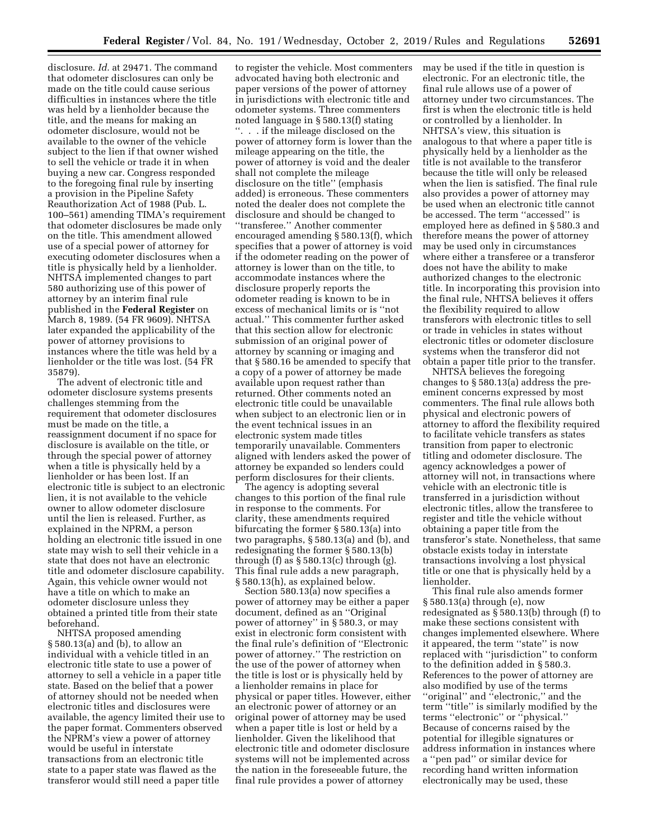disclosure. *Id.* at 29471. The command that odometer disclosures can only be made on the title could cause serious difficulties in instances where the title was held by a lienholder because the title, and the means for making an odometer disclosure, would not be available to the owner of the vehicle subject to the lien if that owner wished to sell the vehicle or trade it in when buying a new car. Congress responded to the foregoing final rule by inserting a provision in the Pipeline Safety Reauthorization Act of 1988 (Pub. L. 100–561) amending TIMA's requirement that odometer disclosures be made only on the title. This amendment allowed use of a special power of attorney for executing odometer disclosures when a title is physically held by a lienholder. NHTSA implemented changes to part 580 authorizing use of this power of attorney by an interim final rule published in the **Federal Register** on March 8, 1989. (54 FR 9609). NHTSA later expanded the applicability of the power of attorney provisions to instances where the title was held by a lienholder or the title was lost. (54 FR 35879).

The advent of electronic title and odometer disclosure systems presents challenges stemming from the requirement that odometer disclosures must be made on the title, a reassignment document if no space for disclosure is available on the title, or through the special power of attorney when a title is physically held by a lienholder or has been lost. If an electronic title is subject to an electronic lien, it is not available to the vehicle owner to allow odometer disclosure until the lien is released. Further, as explained in the NPRM, a person holding an electronic title issued in one state may wish to sell their vehicle in a state that does not have an electronic title and odometer disclosure capability. Again, this vehicle owner would not have a title on which to make an odometer disclosure unless they obtained a printed title from their state beforehand.

NHTSA proposed amending § 580.13(a) and (b), to allow an individual with a vehicle titled in an electronic title state to use a power of attorney to sell a vehicle in a paper title state. Based on the belief that a power of attorney should not be needed when electronic titles and disclosures were available, the agency limited their use to the paper format. Commenters observed the NPRM's view a power of attorney would be useful in interstate transactions from an electronic title state to a paper state was flawed as the transferor would still need a paper title

to register the vehicle. Most commenters advocated having both electronic and paper versions of the power of attorney in jurisdictions with electronic title and odometer systems. Three commenters noted language in § 580.13(f) stating ''. . . if the mileage disclosed on the power of attorney form is lower than the mileage appearing on the title, the power of attorney is void and the dealer shall not complete the mileage disclosure on the title'' (emphasis added) is erroneous. These commenters noted the dealer does not complete the disclosure and should be changed to ''transferee.'' Another commenter encouraged amending § 580.13(f), which specifies that a power of attorney is void if the odometer reading on the power of attorney is lower than on the title, to accommodate instances where the disclosure properly reports the odometer reading is known to be in excess of mechanical limits or is ''not actual.'' This commenter further asked that this section allow for electronic submission of an original power of attorney by scanning or imaging and that § 580.16 be amended to specify that a copy of a power of attorney be made available upon request rather than returned. Other comments noted an electronic title could be unavailable when subject to an electronic lien or in the event technical issues in an electronic system made titles temporarily unavailable. Commenters aligned with lenders asked the power of attorney be expanded so lenders could perform disclosures for their clients.

The agency is adopting several changes to this portion of the final rule in response to the comments. For clarity, these amendments required bifurcating the former § 580.13(a) into two paragraphs, § 580.13(a) and (b), and redesignating the former § 580.13(b) through (f) as  $\S 580.13(c)$  through (g). This final rule adds a new paragraph, § 580.13(h), as explained below.

Section 580.13(a) now specifies a power of attorney may be either a paper document, defined as an ''Original power of attorney'' in § 580.3, or may exist in electronic form consistent with the final rule's definition of ''Electronic power of attorney.'' The restriction on the use of the power of attorney when the title is lost or is physically held by a lienholder remains in place for physical or paper titles. However, either an electronic power of attorney or an original power of attorney may be used when a paper title is lost or held by a lienholder. Given the likelihood that electronic title and odometer disclosure systems will not be implemented across the nation in the foreseeable future, the final rule provides a power of attorney

may be used if the title in question is electronic. For an electronic title, the final rule allows use of a power of attorney under two circumstances. The first is when the electronic title is held or controlled by a lienholder. In NHTSA's view, this situation is analogous to that where a paper title is physically held by a lienholder as the title is not available to the transferor because the title will only be released when the lien is satisfied. The final rule also provides a power of attorney may be used when an electronic title cannot be accessed. The term ''accessed'' is employed here as defined in § 580.3 and therefore means the power of attorney may be used only in circumstances where either a transferee or a transferor does not have the ability to make authorized changes to the electronic title. In incorporating this provision into the final rule, NHTSA believes it offers the flexibility required to allow transferors with electronic titles to sell or trade in vehicles in states without electronic titles or odometer disclosure systems when the transferor did not obtain a paper title prior to the transfer.

NHTSA believes the foregoing changes to § 580.13(a) address the preeminent concerns expressed by most commenters. The final rule allows both physical and electronic powers of attorney to afford the flexibility required to facilitate vehicle transfers as states transition from paper to electronic titling and odometer disclosure. The agency acknowledges a power of attorney will not, in transactions where vehicle with an electronic title is transferred in a jurisdiction without electronic titles, allow the transferee to register and title the vehicle without obtaining a paper title from the transferor's state. Nonetheless, that same obstacle exists today in interstate transactions involving a lost physical title or one that is physically held by a lienholder.

This final rule also amends former § 580.13(a) through (e), now redesignated as § 580.13(b) through (f) to make these sections consistent with changes implemented elsewhere. Where it appeared, the term ''state'' is now replaced with ''jurisdiction'' to conform to the definition added in § 580.3. References to the power of attorney are also modified by use of the terms ''original'' and ''electronic,'' and the term ''title'' is similarly modified by the terms ''electronic'' or ''physical.'' Because of concerns raised by the potential for illegible signatures or address information in instances where a ''pen pad'' or similar device for recording hand written information electronically may be used, these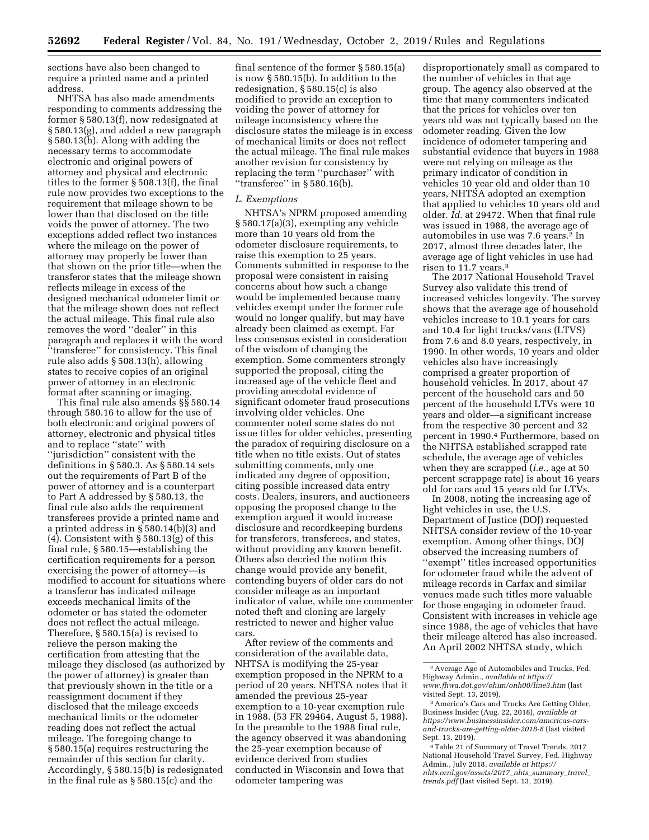sections have also been changed to require a printed name and a printed address.

NHTSA has also made amendments responding to comments addressing the former § 580.13(f), now redesignated at § 580.13(g), and added a new paragraph § 580.13(h). Along with adding the necessary terms to accommodate electronic and original powers of attorney and physical and electronic titles to the former § 508.13(f), the final rule now provides two exceptions to the requirement that mileage shown to be lower than that disclosed on the title voids the power of attorney. The two exceptions added reflect two instances where the mileage on the power of attorney may properly be lower than that shown on the prior title—when the transferor states that the mileage shown reflects mileage in excess of the designed mechanical odometer limit or that the mileage shown does not reflect the actual mileage. This final rule also removes the word ''dealer'' in this paragraph and replaces it with the word ''transferee'' for consistency. This final rule also adds § 508.13(h), allowing states to receive copies of an original power of attorney in an electronic format after scanning or imaging.

This final rule also amends §§ 580.14 through 580.16 to allow for the use of both electronic and original powers of attorney, electronic and physical titles and to replace ''state'' with ''jurisdiction'' consistent with the definitions in § 580.3. As § 580.14 sets out the requirements of Part B of the power of attorney and is a counterpart to Part A addressed by § 580.13, the final rule also adds the requirement transferees provide a printed name and a printed address in § 580.14(b)(3) and (4). Consistent with § 580.13(g) of this final rule, § 580.15—establishing the certification requirements for a person exercising the power of attorney—is modified to account for situations where a transferor has indicated mileage exceeds mechanical limits of the odometer or has stated the odometer does not reflect the actual mileage. Therefore, § 580.15(a) is revised to relieve the person making the certification from attesting that the mileage they disclosed (as authorized by the power of attorney) is greater than that previously shown in the title or a reassignment document if they disclosed that the mileage exceeds mechanical limits or the odometer reading does not reflect the actual mileage. The foregoing change to § 580.15(a) requires restructuring the remainder of this section for clarity. Accordingly, § 580.15(b) is redesignated in the final rule as § 580.15(c) and the

final sentence of the former § 580.15(a) is now § 580.15(b). In addition to the redesignation, § 580.15(c) is also modified to provide an exception to voiding the power of attorney for mileage inconsistency where the disclosure states the mileage is in excess of mechanical limits or does not reflect the actual mileage. The final rule makes another revision for consistency by replacing the term ''purchaser'' with ''transferee'' in § 580.16(b).

## *L. Exemptions*

NHTSA's NPRM proposed amending § 580.17(a)(3), exempting any vehicle more than 10 years old from the odometer disclosure requirements, to raise this exemption to 25 years. Comments submitted in response to the proposal were consistent in raising concerns about how such a change would be implemented because many vehicles exempt under the former rule would no longer qualify, but may have already been claimed as exempt. Far less consensus existed in consideration of the wisdom of changing the exemption. Some commenters strongly supported the proposal, citing the increased age of the vehicle fleet and providing anecdotal evidence of significant odometer fraud prosecutions involving older vehicles. One commenter noted some states do not issue titles for older vehicles, presenting the paradox of requiring disclosure on a title when no title exists. Out of states submitting comments, only one indicated any degree of opposition, citing possible increased data entry costs. Dealers, insurers, and auctioneers opposing the proposed change to the exemption argued it would increase disclosure and recordkeeping burdens for transferors, transferees, and states, without providing any known benefit. Others also decried the notion this change would provide any benefit, contending buyers of older cars do not consider mileage as an important indicator of value, while one commenter noted theft and cloning are largely restricted to newer and higher value cars.

After review of the comments and consideration of the available data, NHTSA is modifying the 25-year exemption proposed in the NPRM to a period of 20 years. NHTSA notes that it amended the previous 25-year exemption to a 10-year exemption rule in 1988. (53 FR 29464, August 5, 1988). In the preamble to the 1988 final rule, the agency observed it was abandoning the 25-year exemption because of evidence derived from studies conducted in Wisconsin and Iowa that odometer tampering was

disproportionately small as compared to the number of vehicles in that age group. The agency also observed at the time that many commenters indicated that the prices for vehicles over ten years old was not typically based on the odometer reading. Given the low incidence of odometer tampering and substantial evidence that buyers in 1988 were not relying on mileage as the primary indicator of condition in vehicles 10 year old and older than 10 years, NHTSA adopted an exemption that applied to vehicles 10 years old and older. *Id.* at 29472. When that final rule was issued in 1988, the average age of automobiles in use was 7.6 years.<sup>2</sup> In 2017, almost three decades later, the average age of light vehicles in use had risen to 11.7 years.3

The 2017 National Household Travel Survey also validate this trend of increased vehicles longevity. The survey shows that the average age of household vehicles increase to 10.1 years for cars and 10.4 for light trucks/vans (LTVS) from 7.6 and 8.0 years, respectively, in 1990. In other words, 10 years and older vehicles also have increasingly comprised a greater proportion of household vehicles. In 2017, about 47 percent of the household cars and 50 percent of the household LTVs were 10 years and older—a significant increase from the respective 30 percent and 32 percent in 1990.4 Furthermore, based on the NHTSA established scrapped rate schedule, the average age of vehicles when they are scrapped (*i.e.,* age at 50 percent scrappage rate) is about 16 years old for cars and 15 years old for LTVs.

In 2008, noting the increasing age of light vehicles in use, the U.S. Department of Justice (DOJ) requested NHTSA consider review of the 10-year exemption. Among other things, DOJ observed the increasing numbers of ''exempt'' titles increased opportunities for odometer fraud while the advent of mileage records in Carfax and similar venues made such titles more valuable for those engaging in odometer fraud. Consistent with increases in vehicle age since 1988, the age of vehicles that have their mileage altered has also increased. An April 2002 NHTSA study, which

<sup>2</sup>Average Age of Automobiles and Trucks, Fed. Highway Admin., *available at [https://](https://www.fhwa.dot.gov/ohim/onh00/line3.htm) [www.fhwa.dot.gov/ohim/onh00/line3.htm](https://www.fhwa.dot.gov/ohim/onh00/line3.htm)* (last visited Sept. 13, 2019).

<sup>3</sup>America's Cars and Trucks Are Getting Older, Business Insider (Aug. 22, 2018), *available at [https://www.businessinsider.com/americas-cars](https://www.businessinsider.com/americas-cars-and-trucks-are-getting-older-2018-8)[and-trucks-are-getting-older-2018-8](https://www.businessinsider.com/americas-cars-and-trucks-are-getting-older-2018-8)* (last visited Sept. 13, 2019).

<sup>4</sup>Table 21 of Summary of Travel Trends, 2017 National Household Travel Survey, Fed. Highway Admin., July 2018, *available at [https://](https://nhts.ornl.gov/assets/2017_nhts_summary_travel_trends.pdf) [nhts.ornl.gov/assets/2017](https://nhts.ornl.gov/assets/2017_nhts_summary_travel_trends.pdf)*\_*nhts*\_*summary*\_*travel*\_ *[trends.pdf](https://nhts.ornl.gov/assets/2017_nhts_summary_travel_trends.pdf)* (last visited Sept. 13, 2019).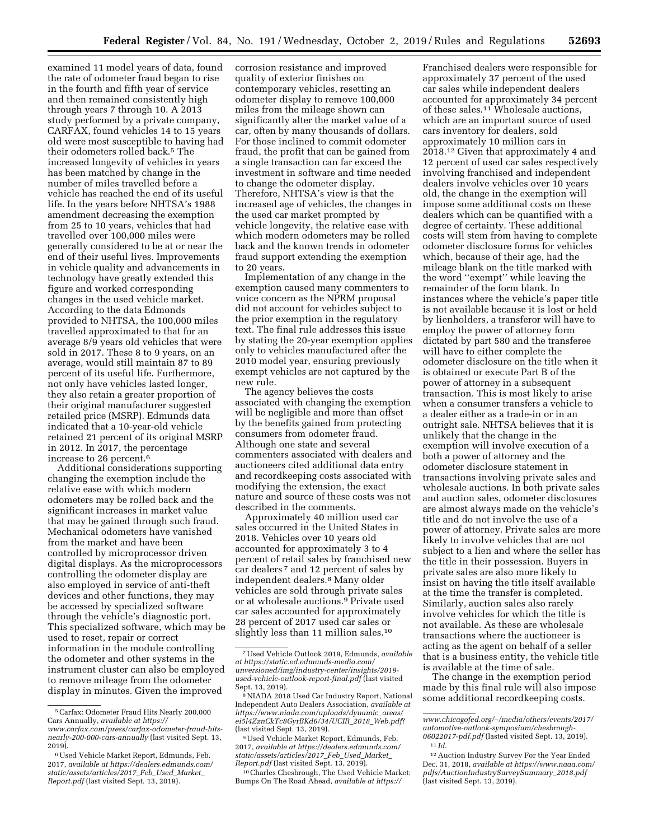examined 11 model years of data, found the rate of odometer fraud began to rise in the fourth and fifth year of service and then remained consistently high through years 7 through 10. A 2013 study performed by a private company, CARFAX, found vehicles 14 to 15 years old were most susceptible to having had their odometers rolled back.<sup>5</sup> The increased longevity of vehicles in years has been matched by change in the number of miles travelled before a vehicle has reached the end of its useful life. In the years before NHTSA's 1988 amendment decreasing the exemption from 25 to 10 years, vehicles that had travelled over 100,000 miles were generally considered to be at or near the end of their useful lives. Improvements in vehicle quality and advancements in technology have greatly extended this figure and worked corresponding changes in the used vehicle market. According to the data Edmonds provided to NHTSA, the 100,000 miles travelled approximated to that for an average 8/9 years old vehicles that were sold in 2017. These 8 to 9 years, on an average, would still maintain 87 to 89 percent of its useful life. Furthermore, not only have vehicles lasted longer, they also retain a greater proportion of their original manufacturer suggested retailed price (MSRP). Edmunds data indicated that a 10-year-old vehicle retained 21 percent of its original MSRP in 2012. In 2017, the percentage increase to 26 percent.6

Additional considerations supporting changing the exemption include the relative ease with which modern odometers may be rolled back and the significant increases in market value that may be gained through such fraud. Mechanical odometers have vanished from the market and have been controlled by microprocessor driven digital displays. As the microprocessors controlling the odometer display are also employed in service of anti-theft devices and other functions, they may be accessed by specialized software through the vehicle's diagnostic port. This specialized software, which may be used to reset, repair or correct information in the module controlling the odometer and other systems in the instrument cluster can also be employed to remove mileage from the odometer display in minutes. Given the improved

corrosion resistance and improved quality of exterior finishes on contemporary vehicles, resetting an odometer display to remove 100,000 miles from the mileage shown can significantly alter the market value of a car, often by many thousands of dollars. For those inclined to commit odometer fraud, the profit that can be gained from a single transaction can far exceed the investment in software and time needed to change the odometer display. Therefore, NHTSA's view is that the increased age of vehicles, the changes in the used car market prompted by vehicle longevity, the relative ease with which modern odometers may be rolled back and the known trends in odometer fraud support extending the exemption to 20 years.

Implementation of any change in the exemption caused many commenters to voice concern as the NPRM proposal did not account for vehicles subject to the prior exemption in the regulatory text. The final rule addresses this issue by stating the 20-year exemption applies only to vehicles manufactured after the 2010 model year, ensuring previously exempt vehicles are not captured by the new rule.

The agency believes the costs associated with changing the exemption will be negligible and more than offset by the benefits gained from protecting consumers from odometer fraud. Although one state and several commenters associated with dealers and auctioneers cited additional data entry and recordkeeping costs associated with modifying the extension, the exact nature and source of these costs was not described in the comments.

Approximately 40 million used car sales occurred in the United States in 2018. Vehicles over 10 years old accounted for approximately 3 to 4 percent of retail sales by franchised new car dealers 7 and 12 percent of sales by independent dealers.8 Many older vehicles are sold through private sales or at wholesale auctions.9 Private used car sales accounted for approximately 28 percent of 2017 used car sales or slightly less than 11 million sales.<sup>10</sup>

<sup>10</sup> Charles Chesbrough, The Used Vehicle Market: Bumps On The Road Ahead, *available at [https://](https://www.chicagofed.org/~/media/others/events/2017/automotive-outlook-symposium/chesbrough-06022017-pdf.pdf)*

Franchised dealers were responsible for approximately 37 percent of the used car sales while independent dealers accounted for approximately 34 percent of these sales.11 Wholesale auctions, which are an important source of used cars inventory for dealers, sold approximately 10 million cars in 2018.12 Given that approximately 4 and 12 percent of used car sales respectively involving franchised and independent dealers involve vehicles over 10 years old, the change in the exemption will impose some additional costs on these dealers which can be quantified with a degree of certainty. These additional costs will stem from having to complete odometer disclosure forms for vehicles which, because of their age, had the mileage blank on the title marked with the word ''exempt'' while leaving the remainder of the form blank. In instances where the vehicle's paper title is not available because it is lost or held by lienholders, a transferor will have to employ the power of attorney form dictated by part 580 and the transferee will have to either complete the odometer disclosure on the title when it is obtained or execute Part B of the power of attorney in a subsequent transaction. This is most likely to arise when a consumer transfers a vehicle to a dealer either as a trade-in or in an outright sale. NHTSA believes that it is unlikely that the change in the exemption will involve execution of a both a power of attorney and the odometer disclosure statement in transactions involving private sales and wholesale auctions. In both private sales and auction sales, odometer disclosures are almost always made on the vehicle's title and do not involve the use of a power of attorney. Private sales are more likely to involve vehicles that are not subject to a lien and where the seller has the title in their possession. Buyers in private sales are also more likely to insist on having the title itself available at the time the transfer is completed. Similarly, auction sales also rarely involve vehicles for which the title is not available. As these are wholesale transactions where the auctioneer is acting as the agent on behalf of a seller that is a business entity, the vehicle title is available at the time of sale.

The change in the exemption period made by this final rule will also impose some additional recordkeeping costs.

<sup>5</sup>Carfax: Odometer Fraud Hits Nearly 200,000 Cars Annually, *available at [https://](https://www.carfax.com/press/carfax-odometer-fraud-hits-nearly-200-000-cars-annually) [www.carfax.com/press/carfax-odometer-fraud-hits-](https://www.carfax.com/press/carfax-odometer-fraud-hits-nearly-200-000-cars-annually)*

*[nearly-200-000-cars-annually](https://www.carfax.com/press/carfax-odometer-fraud-hits-nearly-200-000-cars-annually)* (last visited Sept. 13, 2019).

<sup>6</sup>Used Vehicle Market Report, Edmunds, Feb. 2017, *available at [https://dealers.edmunds.com/](https://dealers.edmunds.com/static/assets/articles/2017_Feb_Used_Market_Report.pdf)  [static/assets/articles/2017](https://dealers.edmunds.com/static/assets/articles/2017_Feb_Used_Market_Report.pdf)*\_*Feb*\_*Used*\_*Market*\_ *[Report.pdf](https://dealers.edmunds.com/static/assets/articles/2017_Feb_Used_Market_Report.pdf)* (last visited Sept. 13, 2019).

<sup>7</sup>Used Vehicle Outlook 2019, Edmunds, *available at [https://static.ed.edmunds-media.com/](https://static.ed.edmunds-media.com/unversioned/img/industry-center/insights/2019-used-vehicle-outlook-report-final.pdf)  [unversioned/img/industry-center/insights/2019](https://static.ed.edmunds-media.com/unversioned/img/industry-center/insights/2019-used-vehicle-outlook-report-final.pdf) [used-vehicle-outlook-report-final.pdf](https://static.ed.edmunds-media.com/unversioned/img/industry-center/insights/2019-used-vehicle-outlook-report-final.pdf)* (last visited

 $^8\rm{NIADA}$  2018 Used Car Industry Report, National Independent Auto Dealers Association, *available at [https://www.niada.com/uploads/dynamic](https://www.niada.com/uploads/dynamic_areas/ei5l4ZznCkTc8GyrBKd6/34/UCIR_2018_Web.pdf)*\_*areas/ [ei5l4ZznCkTc8GyrBKd6/34/UCIR](https://www.niada.com/uploads/dynamic_areas/ei5l4ZznCkTc8GyrBKd6/34/UCIR_2018_Web.pdf)*\_*2018*\_*Web.pdf*?

<sup>&</sup>lt;sup>9</sup> Used Vehicle Market Report, Edmunds, Feb. 2017, *available at [https://dealers.edmunds.com/](https://dealers.edmunds.com/static/assets/articles/2017_Feb_Used_Market_Report.pdf)  [static/assets/articles/2017](https://dealers.edmunds.com/static/assets/articles/2017_Feb_Used_Market_Report.pdf)*\_*Feb*\_*Used*\_*Market*\_

*www.chicagofed.org/*∼*[/media/others/events/2017/](https://www.chicagofed.org/~/media/others/events/2017/automotive-outlook-symposium/chesbrough-06022017-pdf.pdf)  [automotive-outlook-symposium/chesbrough-](https://www.chicagofed.org/~/media/others/events/2017/automotive-outlook-symposium/chesbrough-06022017-pdf.pdf)[06022017-pdf.pdf](https://www.chicagofed.org/~/media/others/events/2017/automotive-outlook-symposium/chesbrough-06022017-pdf.pdf)* (lasted visited Sept. 13, 2019). 11 *Id.* 

<sup>12</sup>Auction Industry Survey For the Year Ended Dec. 31, 2018, *available at [https://www.naaa.com/](https://www.naaa.com/pdfs/AuctionIndustrySurveySummary_2018.pdf) [pdfs/AuctionIndustrySurveySummary](https://www.naaa.com/pdfs/AuctionIndustrySurveySummary_2018.pdf)*\_*2018.pdf*  (last visited Sept. 13, 2019).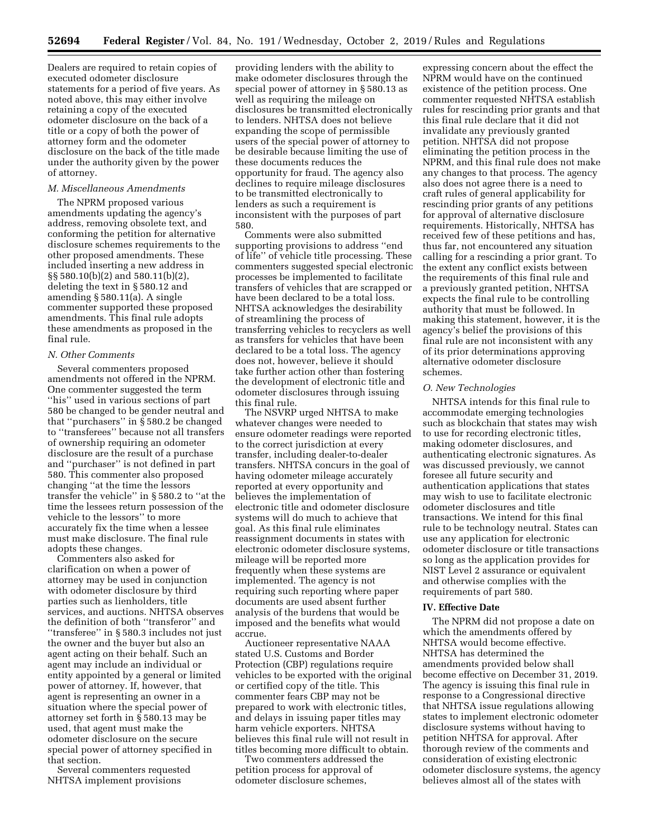Dealers are required to retain copies of executed odometer disclosure statements for a period of five years. As noted above, this may either involve retaining a copy of the executed odometer disclosure on the back of a title or a copy of both the power of attorney form and the odometer disclosure on the back of the title made under the authority given by the power of attorney.

#### *M. Miscellaneous Amendments*

The NPRM proposed various amendments updating the agency's address, removing obsolete text, and conforming the petition for alternative disclosure schemes requirements to the other proposed amendments. These included inserting a new address in §§ 580.10(b)(2) and 580.11(b)(2), deleting the text in § 580.12 and amending § 580.11(a). A single commenter supported these proposed amendments. This final rule adopts these amendments as proposed in the final rule.

#### *N. Other Comments*

Several commenters proposed amendments not offered in the NPRM. One commenter suggested the term ''his'' used in various sections of part 580 be changed to be gender neutral and that ''purchasers'' in § 580.2 be changed to ''transferees'' because not all transfers of ownership requiring an odometer disclosure are the result of a purchase and ''purchaser'' is not defined in part 580. This commenter also proposed changing ''at the time the lessors transfer the vehicle'' in § 580.2 to ''at the time the lessees return possession of the vehicle to the lessors'' to more accurately fix the time when a lessee must make disclosure. The final rule adopts these changes.

Commenters also asked for clarification on when a power of attorney may be used in conjunction with odometer disclosure by third parties such as lienholders, title services, and auctions. NHTSA observes the definition of both ''transferor'' and ''transferee'' in § 580.3 includes not just the owner and the buyer but also an agent acting on their behalf. Such an agent may include an individual or entity appointed by a general or limited power of attorney. If, however, that agent is representing an owner in a situation where the special power of attorney set forth in § 580.13 may be used, that agent must make the odometer disclosure on the secure special power of attorney specified in that section.

Several commenters requested NHTSA implement provisions

providing lenders with the ability to make odometer disclosures through the special power of attorney in § 580.13 as well as requiring the mileage on disclosures be transmitted electronically to lenders. NHTSA does not believe expanding the scope of permissible users of the special power of attorney to be desirable because limiting the use of these documents reduces the opportunity for fraud. The agency also declines to require mileage disclosures to be transmitted electronically to lenders as such a requirement is inconsistent with the purposes of part 580.

Comments were also submitted supporting provisions to address ''end of life'' of vehicle title processing. These commenters suggested special electronic processes be implemented to facilitate transfers of vehicles that are scrapped or have been declared to be a total loss. NHTSA acknowledges the desirability of streamlining the process of transferring vehicles to recyclers as well as transfers for vehicles that have been declared to be a total loss. The agency does not, however, believe it should take further action other than fostering the development of electronic title and odometer disclosures through issuing this final rule.

The NSVRP urged NHTSA to make whatever changes were needed to ensure odometer readings were reported to the correct jurisdiction at every transfer, including dealer-to-dealer transfers. NHTSA concurs in the goal of having odometer mileage accurately reported at every opportunity and believes the implementation of electronic title and odometer disclosure systems will do much to achieve that goal. As this final rule eliminates reassignment documents in states with electronic odometer disclosure systems, mileage will be reported more frequently when these systems are implemented. The agency is not requiring such reporting where paper documents are used absent further analysis of the burdens that would be imposed and the benefits what would accrue.

Auctioneer representative NAAA stated U.S. Customs and Border Protection (CBP) regulations require vehicles to be exported with the original or certified copy of the title. This commenter fears CBP may not be prepared to work with electronic titles, and delays in issuing paper titles may harm vehicle exporters. NHTSA believes this final rule will not result in titles becoming more difficult to obtain.

Two commenters addressed the petition process for approval of odometer disclosure schemes,

expressing concern about the effect the NPRM would have on the continued existence of the petition process. One commenter requested NHTSA establish rules for rescinding prior grants and that this final rule declare that it did not invalidate any previously granted petition. NHTSA did not propose eliminating the petition process in the NPRM, and this final rule does not make any changes to that process. The agency also does not agree there is a need to craft rules of general applicability for rescinding prior grants of any petitions for approval of alternative disclosure requirements. Historically, NHTSA has received few of these petitions and has, thus far, not encountered any situation calling for a rescinding a prior grant. To the extent any conflict exists between the requirements of this final rule and a previously granted petition, NHTSA expects the final rule to be controlling authority that must be followed. In making this statement, however, it is the agency's belief the provisions of this final rule are not inconsistent with any of its prior determinations approving alternative odometer disclosure schemes.

#### *O. New Technologies*

NHTSA intends for this final rule to accommodate emerging technologies such as blockchain that states may wish to use for recording electronic titles, making odometer disclosures, and authenticating electronic signatures. As was discussed previously, we cannot foresee all future security and authentication applications that states may wish to use to facilitate electronic odometer disclosures and title transactions. We intend for this final rule to be technology neutral. States can use any application for electronic odometer disclosure or title transactions so long as the application provides for NIST Level 2 assurance or equivalent and otherwise complies with the requirements of part 580.

#### **IV. Effective Date**

The NPRM did not propose a date on which the amendments offered by NHTSA would become effective. NHTSA has determined the amendments provided below shall become effective on December 31, 2019. The agency is issuing this final rule in response to a Congressional directive that NHTSA issue regulations allowing states to implement electronic odometer disclosure systems without having to petition NHTSA for approval. After thorough review of the comments and consideration of existing electronic odometer disclosure systems, the agency believes almost all of the states with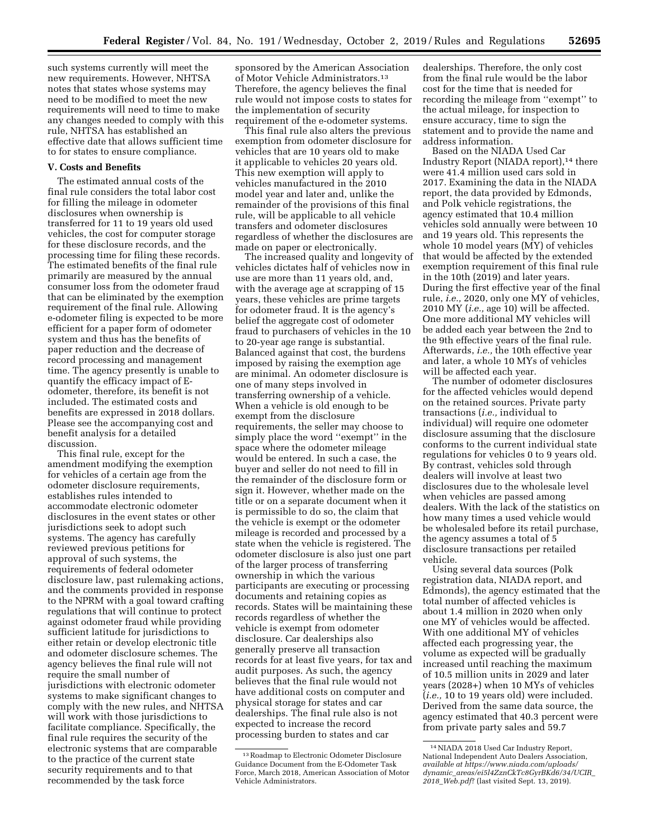such systems currently will meet the new requirements. However, NHTSA notes that states whose systems may need to be modified to meet the new requirements will need to time to make any changes needed to comply with this rule, NHTSA has established an effective date that allows sufficient time to for states to ensure compliance.

#### **V. Costs and Benefits**

The estimated annual costs of the final rule considers the total labor cost for filling the mileage in odometer disclosures when ownership is transferred for 11 to 19 years old used vehicles, the cost for computer storage for these disclosure records, and the processing time for filing these records. The estimated benefits of the final rule primarily are measured by the annual consumer loss from the odometer fraud that can be eliminated by the exemption requirement of the final rule. Allowing e-odometer filing is expected to be more efficient for a paper form of odometer system and thus has the benefits of paper reduction and the decrease of record processing and management time. The agency presently is unable to quantify the efficacy impact of Eodometer, therefore, its benefit is not included. The estimated costs and benefits are expressed in 2018 dollars. Please see the accompanying cost and benefit analysis for a detailed discussion.

This final rule, except for the amendment modifying the exemption for vehicles of a certain age from the odometer disclosure requirements, establishes rules intended to accommodate electronic odometer disclosures in the event states or other jurisdictions seek to adopt such systems. The agency has carefully reviewed previous petitions for approval of such systems, the requirements of federal odometer disclosure law, past rulemaking actions, and the comments provided in response to the NPRM with a goal toward crafting regulations that will continue to protect against odometer fraud while providing sufficient latitude for jurisdictions to either retain or develop electronic title and odometer disclosure schemes. The agency believes the final rule will not require the small number of jurisdictions with electronic odometer systems to make significant changes to comply with the new rules, and NHTSA will work with those jurisdictions to facilitate compliance. Specifically, the final rule requires the security of the electronic systems that are comparable to the practice of the current state security requirements and to that recommended by the task force

sponsored by the American Association of Motor Vehicle Administrators.13 Therefore, the agency believes the final rule would not impose costs to states for the implementation of security requirement of the e-odometer systems.

This final rule also alters the previous exemption from odometer disclosure for vehicles that are 10 years old to make it applicable to vehicles 20 years old. This new exemption will apply to vehicles manufactured in the 2010 model year and later and, unlike the remainder of the provisions of this final rule, will be applicable to all vehicle transfers and odometer disclosures regardless of whether the disclosures are made on paper or electronically.

The increased quality and longevity of vehicles dictates half of vehicles now in use are more than 11 years old, and, with the average age at scrapping of 15 years, these vehicles are prime targets for odometer fraud. It is the agency's belief the aggregate cost of odometer fraud to purchasers of vehicles in the 10 to 20-year age range is substantial. Balanced against that cost, the burdens imposed by raising the exemption age are minimal. An odometer disclosure is one of many steps involved in transferring ownership of a vehicle. When a vehicle is old enough to be exempt from the disclosure requirements, the seller may choose to simply place the word ''exempt'' in the space where the odometer mileage would be entered. In such a case, the buyer and seller do not need to fill in the remainder of the disclosure form or sign it. However, whether made on the title or on a separate document when it is permissible to do so, the claim that the vehicle is exempt or the odometer mileage is recorded and processed by a state when the vehicle is registered. The odometer disclosure is also just one part of the larger process of transferring ownership in which the various participants are executing or processing documents and retaining copies as records. States will be maintaining these records regardless of whether the vehicle is exempt from odometer disclosure. Car dealerships also generally preserve all transaction records for at least five years, for tax and audit purposes. As such, the agency believes that the final rule would not have additional costs on computer and physical storage for states and car dealerships. The final rule also is not expected to increase the record processing burden to states and car

dealerships. Therefore, the only cost from the final rule would be the labor cost for the time that is needed for recording the mileage from ''exempt'' to the actual mileage, for inspection to ensure accuracy, time to sign the statement and to provide the name and address information.

Based on the NIADA Used Car Industry Report (NIADA report),14 there were 41.4 million used cars sold in 2017. Examining the data in the NIADA report, the data provided by Edmonds, and Polk vehicle registrations, the agency estimated that 10.4 million vehicles sold annually were between 10 and 19 years old. This represents the whole 10 model years (MY) of vehicles that would be affected by the extended exemption requirement of this final rule in the 10th (2019) and later years. During the first effective year of the final rule, *i.e.,* 2020, only one MY of vehicles, 2010 MY (*i.e.,* age 10) will be affected. One more additional MY vehicles will be added each year between the 2nd to the 9th effective years of the final rule. Afterwards, *i.e.,* the 10th effective year and later, a whole 10 MYs of vehicles will be affected each year.

The number of odometer disclosures for the affected vehicles would depend on the retained sources. Private party transactions (*i.e.,* individual to individual) will require one odometer disclosure assuming that the disclosure conforms to the current individual state regulations for vehicles 0 to 9 years old. By contrast, vehicles sold through dealers will involve at least two disclosures due to the wholesale level when vehicles are passed among dealers. With the lack of the statistics on how many times a used vehicle would be wholesaled before its retail purchase, the agency assumes a total of 5 disclosure transactions per retailed vehicle.

Using several data sources (Polk registration data, NIADA report, and Edmonds), the agency estimated that the total number of affected vehicles is about 1.4 million in 2020 when only one MY of vehicles would be affected. With one additional MY of vehicles affected each progressing year, the volume as expected will be gradually increased until reaching the maximum of 10.5 million units in 2029 and later years (2028+) when 10 MYs of vehicles (*i.e.,* 10 to 19 years old) were included. Derived from the same data source, the agency estimated that 40.3 percent were from private party sales and 59.7

<sup>13</sup>Roadmap to Electronic Odometer Disclosure Guidance Document from the E-Odometer Task Force, March 2018, American Association of Motor Vehicle Administrators.

<sup>14</sup>NIADA 2018 Used Car Industry Report, National Independent Auto Dealers Association, *available at [https://www.niada.com/uploads/](https://www.niada.com/uploads/dynamic_areas/ei5l4ZznCkTc8GyrBKd6/34/UCIR_2018_Web.pdf) dynamic*\_*[areas/ei5l4ZznCkTc8GyrBKd6/34/UCIR](https://www.niada.com/uploads/dynamic_areas/ei5l4ZznCkTc8GyrBKd6/34/UCIR_2018_Web.pdf)*\_ *2018*\_*[Web.pdf](https://www.niada.com/uploads/dynamic_areas/ei5l4ZznCkTc8GyrBKd6/34/UCIR_2018_Web.pdf)*? (last visited Sept. 13, 2019).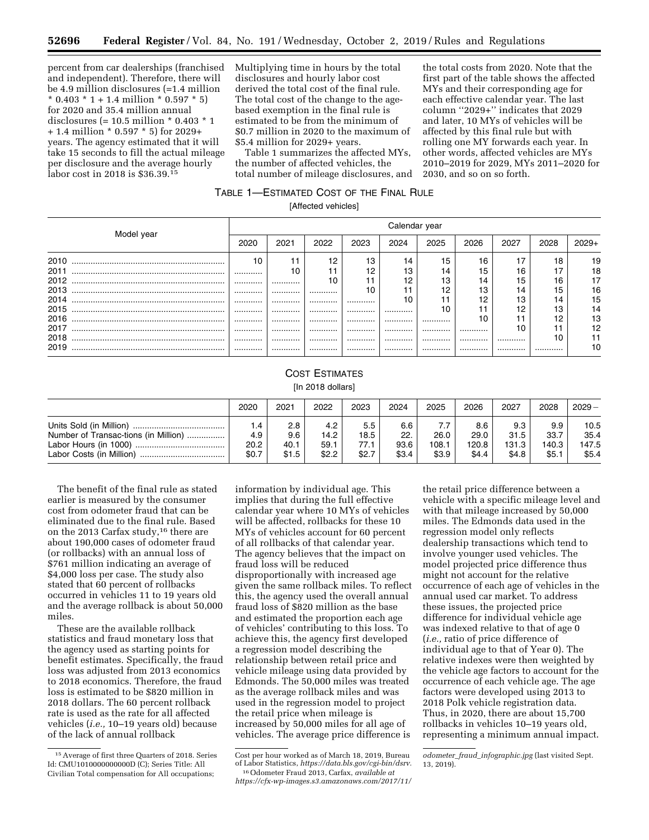percent from car dealerships (franchised and independent). Therefore, there will be 4.9 million disclosures (=1.4 million  $*$  0.403  $*$  1 + 1.4 million  $*$  0.597  $*$  5) for 2020 and 35.4 million annual disclosures (= 10.5 million \* 0.403 \* 1 + 1.4 million \* 0.597 \* 5) for 2029+ years. The agency estimated that it will take 15 seconds to fill the actual mileage per disclosure and the average hourly labor cost in 2018 is \$36.39.15

Multiplying time in hours by the total disclosures and hourly labor cost derived the total cost of the final rule. The total cost of the change to the agebased exemption in the final rule is estimated to be from the minimum of \$0.7 million in 2020 to the maximum of \$5.4 million for 2029+ years.

Table 1 summarizes the affected MYs, the number of affected vehicles, the total number of mileage disclosures, and

the total costs from 2020. Note that the first part of the table shows the affected MYs and their corresponding age for each effective calendar year. The last column ''2029+'' indicates that 2029 and later, 10 MYs of vehicles will be affected by this final rule but with rolling one MY forwards each year. In other words, affected vehicles are MYs 2010–2019 for 2029, MYs 2011–2020 for 2030, and so on so forth.

# TABLE 1—ESTIMATED COST OF THE FINAL RULE

[Affected vehicles]

| Model year | Calendar year |      |      |      |      |      |      |      |      |         |
|------------|---------------|------|------|------|------|------|------|------|------|---------|
|            | 2020          | 2021 | 2022 | 2023 | 2024 | 2025 | 2026 | 2027 | 2028 | $2029+$ |
| 2010       | 10            |      | 12   | 13   | 14   | 15   | 16   |      | 18   | ۱9      |
| 2011       |               | 10   |      |      | 13   | 14   | 15   | 16   |      | 18      |
| 2012       |               |      | 1 C  |      | 12   | 13   | 14   | 15   | 16   |         |
| 2013       |               |      |      |      |      | 12   | 13   | 14   | 15   | 16      |
| 2014       |               |      |      |      |      |      | 12   | 13   | 14   | 15      |
| 2015       |               |      |      |      |      |      |      |      | 13   | 14      |
| 2016       |               |      |      |      |      |      |      |      | 12   | 13      |
| 2017       |               |      |      |      |      |      |      |      |      | 12      |
| 2018       |               |      |      |      |      |      |      |      |      |         |
| 2019       |               |      |      |      |      |      |      |      |      |         |

#### COST ESTIMATES [In 2018 dollars]

|  | lln 2018 dollarsl |  |  |  |  |  |  |
|--|-------------------|--|--|--|--|--|--|
|--|-------------------|--|--|--|--|--|--|

|                                                                  | 2020                            | 2021                        | 2022                         | 2023                         | 2024                        | 2025                   | 2026                          | 2027                          | 2028                          | $2029 -$                       |
|------------------------------------------------------------------|---------------------------------|-----------------------------|------------------------------|------------------------------|-----------------------------|------------------------|-------------------------------|-------------------------------|-------------------------------|--------------------------------|
| Number of Transac-tions (in Million)<br>Labor Costs (in Million) | $\cdot$<br>4.9<br>20.2<br>\$0.7 | 2.8<br>9.6<br>40.1<br>\$1.5 | 4.2<br>14.2<br>59.1<br>\$2.2 | 5.5<br>18.5<br>77.1<br>\$2.7 | 6.6<br>22.<br>93.6<br>\$3.4 | 26.0<br>108.1<br>\$3.9 | 8.6<br>29.0<br>120.8<br>\$4.4 | 9.3<br>31.5<br>131.3<br>\$4.8 | 9.9<br>33.7<br>140.3<br>\$5.1 | 10.5<br>35.4<br>147.5<br>\$5.4 |

The benefit of the final rule as stated earlier is measured by the consumer cost from odometer fraud that can be eliminated due to the final rule. Based on the 2013 Carfax study,<sup>16</sup> there are about 190,000 cases of odometer fraud (or rollbacks) with an annual loss of \$761 million indicating an average of \$4,000 loss per case. The study also stated that 60 percent of rollbacks occurred in vehicles 11 to 19 years old and the average rollback is about 50,000 miles.

These are the available rollback statistics and fraud monetary loss that the agency used as starting points for benefit estimates. Specifically, the fraud loss was adjusted from 2013 economics to 2018 economics. Therefore, the fraud loss is estimated to be \$820 million in 2018 dollars. The 60 percent rollback rate is used as the rate for all affected vehicles (*i.e.,* 10–19 years old) because of the lack of annual rollback

information by individual age. This implies that during the full effective calendar year where 10 MYs of vehicles will be affected, rollbacks for these 10 MYs of vehicles account for 60 percent of all rollbacks of that calendar year. The agency believes that the impact on fraud loss will be reduced disproportionally with increased age given the same rollback miles. To reflect this, the agency used the overall annual fraud loss of \$820 million as the base and estimated the proportion each age of vehicles' contributing to this loss. To achieve this, the agency first developed a regression model describing the relationship between retail price and vehicle mileage using data provided by Edmonds. The 50,000 miles was treated as the average rollback miles and was used in the regression model to project the retail price when mileage is increased by 50,000 miles for all age of vehicles. The average price difference is

the retail price difference between a vehicle with a specific mileage level and with that mileage increased by 50,000 miles. The Edmonds data used in the regression model only reflects dealership transactions which tend to involve younger used vehicles. The model projected price difference thus might not account for the relative occurrence of each age of vehicles in the annual used car market. To address these issues, the projected price difference for individual vehicle age was indexed relative to that of age 0 (*i.e.,* ratio of price difference of individual age to that of Year 0). The relative indexes were then weighted by the vehicle age factors to account for the occurrence of each vehicle age. The age factors were developed using 2013 to 2018 Polk vehicle registration data. Thus, in 2020, there are about 15,700 rollbacks in vehicles 10–19 years old, representing a minimum annual impact.

<sup>15</sup>Average of first three Quarters of 2018. Series Id: CMU1010000000000D (C); Series Title: All Civilian Total compensation for All occupations;

Cost per hour worked as of March 18, 2019, Bureau of Labor Statistics, *[https://data.bls.gov/cgi-bin/dsrv.](https://data.bls.gov/cgi-bin/dsrv)* 16Odometer Fraud 2013, Carfax, *available at* 

*[https://cfx-wp-images.s3.amazonaws.com/2017/11/](https://cfx-wp-images.s3.amazonaws.com/2017/11/odometer_fraud_infographic.jpg)* 

*odometer*\_*fraud*\_*[infographic.jpg](https://cfx-wp-images.s3.amazonaws.com/2017/11/odometer_fraud_infographic.jpg)* (last visited Sept. 13, 2019).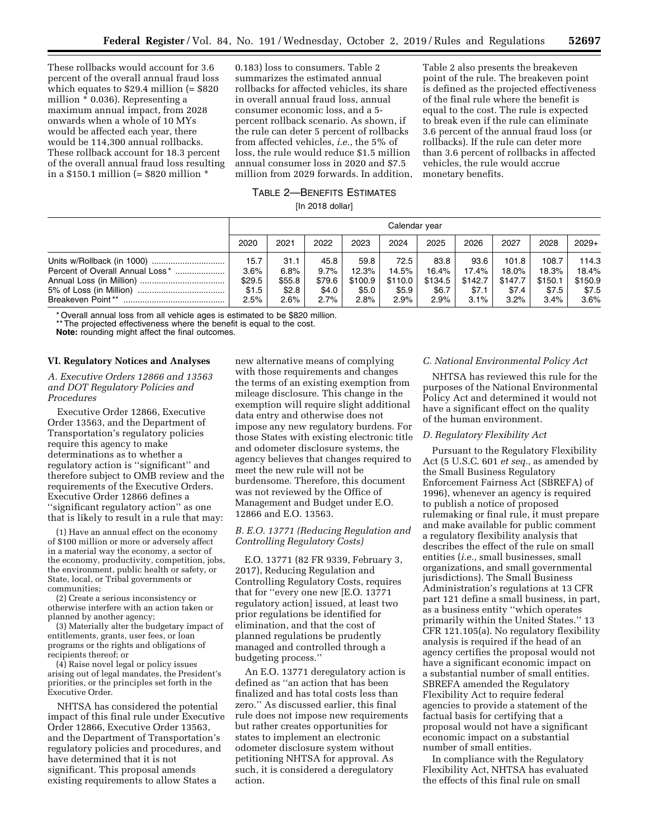These rollbacks would account for 3.6 percent of the overall annual fraud loss which equates to \$29.4 million (= \$820 million \* 0.036). Representing a maximum annual impact, from 2028 onwards when a whole of 10 MYs would be affected each year, there would be 114,300 annual rollbacks. These rollback account for 18.3 percent of the overall annual fraud loss resulting in a \$150.1 million (= \$820 million \*

0.183) loss to consumers. Table 2 summarizes the estimated annual rollbacks for affected vehicles, its share in overall annual fraud loss, annual consumer economic loss, and a 5 percent rollback scenario. As shown, if the rule can deter 5 percent of rollbacks from affected vehicles, *i.e.,* the 5% of loss, the rule would reduce \$1.5 million annual consumer loss in 2020 and \$7.5 million from 2029 forwards. In addition,

Table 2 also presents the breakeven point of the rule. The breakeven point is defined as the projected effectiveness of the final rule where the benefit is equal to the cost. The rule is expected to break even if the rule can eliminate 3.6 percent of the annual fraud loss (or rollbacks). If the rule can deter more than 3.6 percent of rollbacks in affected vehicles, the rule would accrue monetary benefits.

## TABLE 2—BENEFITS ESTIMATES  $[II]$  2018 dollars

| iin 2018 gollari |  |
|------------------|--|
|------------------|--|

|                                                      | Calendar year                           |                                         |                                            |                                           |                                           |                                           |                                              |                                               |                                               |                                            |
|------------------------------------------------------|-----------------------------------------|-----------------------------------------|--------------------------------------------|-------------------------------------------|-------------------------------------------|-------------------------------------------|----------------------------------------------|-----------------------------------------------|-----------------------------------------------|--------------------------------------------|
|                                                      | 2020                                    | 2021                                    | 2022                                       | 2023                                      | 2024                                      | 2025                                      | 2026                                         | 2027                                          | 2028                                          | $2029+$                                    |
| Percent of Overall Annual Loss*<br>Breakeven Point** | 15.7<br>3.6%<br>\$29.5<br>\$1.5<br>2.5% | 31.1<br>6.8%<br>\$55.8<br>\$2.8<br>2.6% | 45.8<br>9.7%<br>\$79.6<br>\$4.0<br>$2.7\%$ | 59.8<br>12.3%<br>\$100.9<br>\$5.0<br>2.8% | 72.5<br>14.5%<br>\$110.0<br>\$5.9<br>2.9% | 83.8<br>16.4%<br>\$134.5<br>\$6.7<br>2.9% | 93.6<br>17.4%<br>\$142.7<br>\$7.1<br>$3.1\%$ | 101.8<br>18.0%<br>\$147.7<br>\$7.4<br>$3.2\%$ | 108.7<br>18.3%<br>\$150.1<br>\$7.5<br>$3.4\%$ | 114.3<br>18.4%<br>\$150.9<br>\$7.5<br>3.6% |

\* Overall annual loss from all vehicle ages is estimated to be \$820 million.

\*\* The projected effectiveness where the benefit is equal to the cost.

**Note:** rounding might affect the final outcomes.

#### **VI. Regulatory Notices and Analyses**

## *A. Executive Orders 12866 and 13563 and DOT Regulatory Policies and Procedures*

Executive Order 12866, Executive Order 13563, and the Department of Transportation's regulatory policies require this agency to make determinations as to whether a regulatory action is ''significant'' and therefore subject to OMB review and the requirements of the Executive Orders. Executive Order 12866 defines a ''significant regulatory action'' as one that is likely to result in a rule that may:

(1) Have an annual effect on the economy of \$100 million or more or adversely affect in a material way the economy, a sector of the economy, productivity, competition, jobs, the environment, public health or safety, or State, local, or Tribal governments or communities;

(2) Create a serious inconsistency or otherwise interfere with an action taken or planned by another agency;

(3) Materially alter the budgetary impact of entitlements, grants, user fees, or loan programs or the rights and obligations of recipients thereof; or

(4) Raise novel legal or policy issues arising out of legal mandates, the President's priorities, or the principles set forth in the Executive Order.

NHTSA has considered the potential impact of this final rule under Executive Order 12866, Executive Order 13563, and the Department of Transportation's regulatory policies and procedures, and have determined that it is not significant. This proposal amends existing requirements to allow States a

new alternative means of complying with those requirements and changes the terms of an existing exemption from mileage disclosure. This change in the exemption will require slight additional data entry and otherwise does not impose any new regulatory burdens. For those States with existing electronic title and odometer disclosure systems, the agency believes that changes required to meet the new rule will not be burdensome. Therefore, this document was not reviewed by the Office of Management and Budget under E.O. 12866 and E.O. 13563.

## *B. E.O. 13771 (Reducing Regulation and Controlling Regulatory Costs)*

E.O. 13771 (82 FR 9339, February 3, 2017), Reducing Regulation and Controlling Regulatory Costs, requires that for ''every one new [E.O. 13771 regulatory action] issued, at least two prior regulations be identified for elimination, and that the cost of planned regulations be prudently managed and controlled through a budgeting process.''

An E.O. 13771 deregulatory action is defined as ''an action that has been finalized and has total costs less than zero.'' As discussed earlier, this final rule does not impose new requirements but rather creates opportunities for states to implement an electronic odometer disclosure system without petitioning NHTSA for approval. As such, it is considered a deregulatory action.

## *C. National Environmental Policy Act*

NHTSA has reviewed this rule for the purposes of the National Environmental Policy Act and determined it would not have a significant effect on the quality of the human environment.

#### *D. Regulatory Flexibility Act*

Pursuant to the Regulatory Flexibility Act (5 U.S.C. 601 *et seq.,* as amended by the Small Business Regulatory Enforcement Fairness Act (SBREFA) of 1996), whenever an agency is required to publish a notice of proposed rulemaking or final rule, it must prepare and make available for public comment a regulatory flexibility analysis that describes the effect of the rule on small entities (*i.e.,* small businesses, small organizations, and small governmental jurisdictions). The Small Business Administration's regulations at 13 CFR part 121 define a small business, in part, as a business entity ''which operates primarily within the United States.'' 13 CFR 121.105(a). No regulatory flexibility analysis is required if the head of an agency certifies the proposal would not have a significant economic impact on a substantial number of small entities. SBREFA amended the Regulatory Flexibility Act to require federal agencies to provide a statement of the factual basis for certifying that a proposal would not have a significant economic impact on a substantial number of small entities.

In compliance with the Regulatory Flexibility Act, NHTSA has evaluated the effects of this final rule on small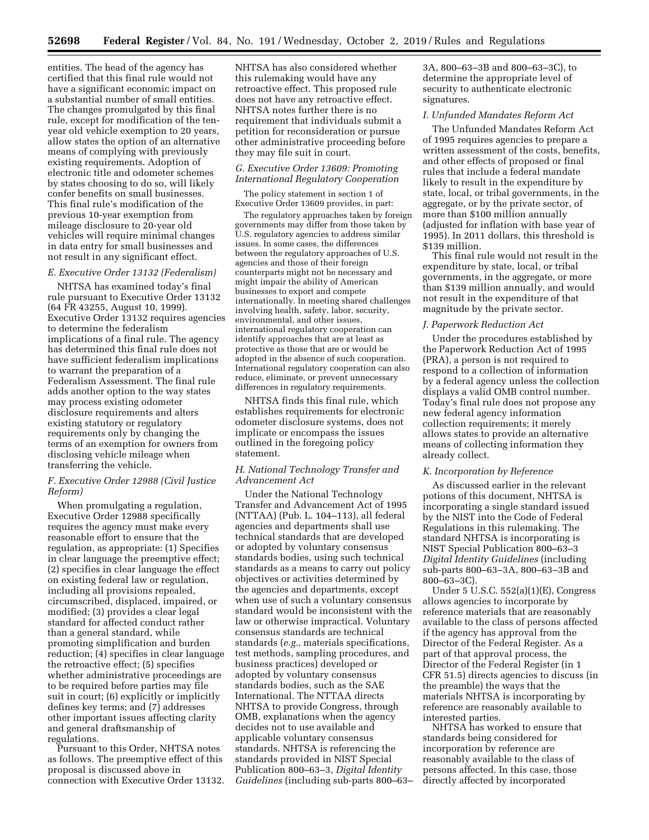entities. The head of the agency has certified that this final rule would not have a significant economic impact on a substantial number of small entities. The changes promulgated by this final rule, except for modification of the tenyear old vehicle exemption to 20 years, allow states the option of an alternative means of complying with previously existing requirements. Adoption of electronic title and odometer schemes by states choosing to do so, will likely confer benefits on small businesses. This final rule's modification of the previous 10-year exemption from mileage disclosure to 20-year old vehicles will require minimal changes in data entry for small businesses and not result in any significant effect.

## *E. Executive Order 13132 (Federalism)*

NHTSA has examined today's final rule pursuant to Executive Order 13132 (64 FR 43255, August 10, 1999). Executive Order 13132 requires agencies to determine the federalism implications of a final rule. The agency has determined this final rule does not have sufficient federalism implications to warrant the preparation of a Federalism Assessment. The final rule adds another option to the way states may process existing odometer disclosure requirements and alters existing statutory or regulatory requirements only by changing the terms of an exemption for owners from disclosing vehicle mileage when transferring the vehicle.

## *F. Executive Order 12988 (Civil Justice Reform)*

When promulgating a regulation, Executive Order 12988 specifically requires the agency must make every reasonable effort to ensure that the regulation, as appropriate: (1) Specifies in clear language the preemptive effect; (2) specifies in clear language the effect on existing federal law or regulation, including all provisions repealed, circumscribed, displaced, impaired, or modified; (3) provides a clear legal standard for affected conduct rather than a general standard, while promoting simplification and burden reduction; (4) specifies in clear language the retroactive effect; (5) specifies whether administrative proceedings are to be required before parties may file suit in court; (6) explicitly or implicitly defines key terms; and (7) addresses other important issues affecting clarity and general draftsmanship of regulations.

Pursuant to this Order, NHTSA notes as follows. The preemptive effect of this proposal is discussed above in connection with Executive Order 13132. NHTSA has also considered whether this rulemaking would have any retroactive effect. This proposed rule does not have any retroactive effect. NHTSA notes further there is no requirement that individuals submit a petition for reconsideration or pursue other administrative proceeding before they may file suit in court.

## *G. Executive Order 13609: Promoting International Regulatory Cooperation*

The policy statement in section 1 of Executive Order 13609 provides, in part:

The regulatory approaches taken by foreign governments may differ from those taken by U.S. regulatory agencies to address similar issues. In some cases, the differences between the regulatory approaches of U.S. agencies and those of their foreign counterparts might not be necessary and might impair the ability of American businesses to export and compete internationally. In meeting shared challenges involving health, safety, labor, security, environmental, and other issues, international regulatory cooperation can identify approaches that are at least as protective as those that are or would be adopted in the absence of such cooperation. International regulatory cooperation can also reduce, eliminate, or prevent unnecessary differences in regulatory requirements.

NHTSA finds this final rule, which establishes requirements for electronic odometer disclosure systems, does not implicate or encompass the issues outlined in the foregoing policy statement.

## *H. National Technology Transfer and Advancement Act*

Under the National Technology Transfer and Advancement Act of 1995 (NTTAA) (Pub. L. 104–113), all federal agencies and departments shall use technical standards that are developed or adopted by voluntary consensus standards bodies, using such technical standards as a means to carry out policy objectives or activities determined by the agencies and departments, except when use of such a voluntary consensus standard would be inconsistent with the law or otherwise impractical. Voluntary consensus standards are technical standards (*e.g.,* materials specifications, test methods, sampling procedures, and business practices) developed or adopted by voluntary consensus standards bodies, such as the SAE International. The NTTAA directs NHTSA to provide Congress, through OMB, explanations when the agency decides not to use available and applicable voluntary consensus standards. NHTSA is referencing the standards provided in NIST Special Publication 800–63–3, *Digital Identity Guidelines* (including sub-parts 800–63–

3A, 800–63–3B and 800–63–3C), to determine the appropriate level of security to authenticate electronic signatures.

## *I. Unfunded Mandates Reform Act*

The Unfunded Mandates Reform Act of 1995 requires agencies to prepare a written assessment of the costs, benefits, and other effects of proposed or final rules that include a federal mandate likely to result in the expenditure by state, local, or tribal governments, in the aggregate, or by the private sector, of more than \$100 million annually (adjusted for inflation with base year of 1995). In 2011 dollars, this threshold is \$139 million.

This final rule would not result in the expenditure by state, local, or tribal governments, in the aggregate, or more than \$139 million annually, and would not result in the expenditure of that magnitude by the private sector.

#### *J. Paperwork Reduction Act*

Under the procedures established by the Paperwork Reduction Act of 1995 (PRA), a person is not required to respond to a collection of information by a federal agency unless the collection displays a valid OMB control number. Today's final rule does not propose any new federal agency information collection requirements; it merely allows states to provide an alternative means of collecting information they already collect.

#### *K. Incorporation by Reference*

As discussed earlier in the relevant potions of this document, NHTSA is incorporating a single standard issued by the NIST into the Code of Federal Regulations in this rulemaking. The standard NHTSA is incorporating is NIST Special Publication 800–63–3 *Digital Identity Guidelines* (including sub-parts 800–63–3A, 800–63–3B and 800–63–3C).

Under 5 U.S.C. 552(a)(1)(E), Congress allows agencies to incorporate by reference materials that are reasonably available to the class of persons affected if the agency has approval from the Director of the Federal Register. As a part of that approval process, the Director of the Federal Register (in 1 CFR 51.5) directs agencies to discuss (in the preamble) the ways that the materials NHTSA is incorporating by reference are reasonably available to interested parties.

NHTSA has worked to ensure that standards being considered for incorporation by reference are reasonably available to the class of persons affected. In this case, those directly affected by incorporated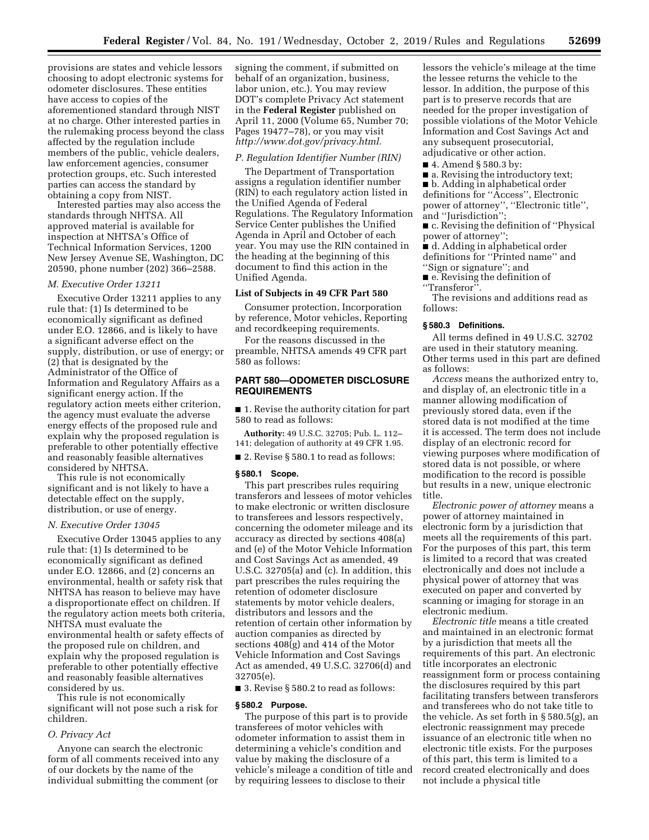provisions are states and vehicle lessors choosing to adopt electronic systems for odometer disclosures. These entities have access to copies of the aforementioned standard through NIST at no charge. Other interested parties in the rulemaking process beyond the class affected by the regulation include members of the public, vehicle dealers, law enforcement agencies, consumer protection groups, etc. Such interested parties can access the standard by obtaining a copy from NIST.

Interested parties may also access the standards through NHTSA. All approved material is available for inspection at NHTSA's Office of Technical Information Services, 1200 New Jersey Avenue SE, Washington, DC 20590, phone number (202) 366–2588.

## *M. Executive Order 13211*

Executive Order 13211 applies to any rule that: (1) Is determined to be economically significant as defined under E.O. 12866, and is likely to have a significant adverse effect on the supply, distribution, or use of energy; or (2) that is designated by the Administrator of the Office of Information and Regulatory Affairs as a significant energy action. If the regulatory action meets either criterion, the agency must evaluate the adverse energy effects of the proposed rule and explain why the proposed regulation is preferable to other potentially effective and reasonably feasible alternatives considered by NHTSA.

This rule is not economically significant and is not likely to have a detectable effect on the supply, distribution, or use of energy.

## *N. Executive Order 13045*

Executive Order 13045 applies to any rule that: (1) Is determined to be economically significant as defined under E.O. 12866, and (2) concerns an environmental, health or safety risk that NHTSA has reason to believe may have a disproportionate effect on children. If the regulatory action meets both criteria, NHTSA must evaluate the environmental health or safety effects of the proposed rule on children, and explain why the proposed regulation is preferable to other potentially effective and reasonably feasible alternatives considered by us.

This rule is not economically significant will not pose such a risk for children.

#### *O. Privacy Act*

Anyone can search the electronic form of all comments received into any of our dockets by the name of the individual submitting the comment (or

signing the comment, if submitted on behalf of an organization, business, labor union, etc.). You may review DOT's complete Privacy Act statement in the **Federal Register** published on April 11, 2000 (Volume 65, Number 70; Pages 19477–78), or you may visit *[http://www.dot.gov/privacy.html.](http://www.dot.gov/privacy.html)* 

#### *P. Regulation Identifier Number (RIN)*

The Department of Transportation assigns a regulation identifier number (RIN) to each regulatory action listed in the Unified Agenda of Federal Regulations. The Regulatory Information Service Center publishes the Unified Agenda in April and October of each year. You may use the RIN contained in the heading at the beginning of this document to find this action in the Unified Agenda.

#### **List of Subjects in 49 CFR Part 580**

Consumer protection, Incorporation by reference, Motor vehicles, Reporting and recordkeeping requirements.

For the reasons discussed in the preamble, NHTSA amends 49 CFR part 580 as follows:

## **PART 580—ODOMETER DISCLOSURE REQUIREMENTS**

■ 1. Revise the authority citation for part 580 to read as follows:

**Authority:** 49 U.S.C. 32705; Pub. L. 112– 141; delegation of authority at 49 CFR 1.95.

■ 2. Revise § 580.1 to read as follows:

#### **§ 580.1 Scope.**

This part prescribes rules requiring transferors and lessees of motor vehicles to make electronic or written disclosure to transferees and lessors respectively, concerning the odometer mileage and its accuracy as directed by sections 408(a) and (e) of the Motor Vehicle Information and Cost Savings Act as amended, 49 U.S.C. 32705(a) and (c). In addition, this part prescribes the rules requiring the retention of odometer disclosure statements by motor vehicle dealers, distributors and lessors and the retention of certain other information by auction companies as directed by sections 408(g) and 414 of the Motor Vehicle Information and Cost Savings Act as amended, 49 U.S.C. 32706(d) and 32705(e).

■ 3. Revise § 580.2 to read as follows:

#### **§ 580.2 Purpose.**

The purpose of this part is to provide transferees of motor vehicles with odometer information to assist them in determining a vehicle's condition and value by making the disclosure of a vehicle's mileage a condition of title and by requiring lessees to disclose to their

lessors the vehicle's mileage at the time the lessee returns the vehicle to the lessor. In addition, the purpose of this part is to preserve records that are needed for the proper investigation of possible violations of the Motor Vehicle Information and Cost Savings Act and any subsequent prosecutorial, adjudicative or other action.

■ 4. Amend § 580.3 by:

■ a. Revising the introductory text;

■ b. Adding in alphabetical order

definitions for ''Access'', Electronic power of attorney'', ''Electronic title'', and ''Jurisdiction'';

■ c. Revising the definition of "Physical power of attorney'';

■ d. Adding in alphabetical order definitions for ''Printed name'' and ''Sign or signature''; and

■ e. Revising the definition of ''Transferor''.

The revisions and additions read as follows:

# **§ 580.3 Definitions.**

All terms defined in 49 U.S.C. 32702 are used in their statutory meaning. Other terms used in this part are defined as follows:

*Access* means the authorized entry to, and display of, an electronic title in a manner allowing modification of previously stored data, even if the stored data is not modified at the time it is accessed. The term does not include display of an electronic record for viewing purposes where modification of stored data is not possible, or where modification to the record is possible but results in a new, unique electronic title.

*Electronic power of attorney* means a power of attorney maintained in electronic form by a jurisdiction that meets all the requirements of this part. For the purposes of this part, this term is limited to a record that was created electronically and does not include a physical power of attorney that was executed on paper and converted by scanning or imaging for storage in an electronic medium.

*Electronic title* means a title created and maintained in an electronic format by a jurisdiction that meets all the requirements of this part. An electronic title incorporates an electronic reassignment form or process containing the disclosures required by this part facilitating transfers between transferors and transferees who do not take title to the vehicle. As set forth in § 580.5(g), an electronic reassignment may precede issuance of an electronic title when no electronic title exists. For the purposes of this part, this term is limited to a record created electronically and does not include a physical title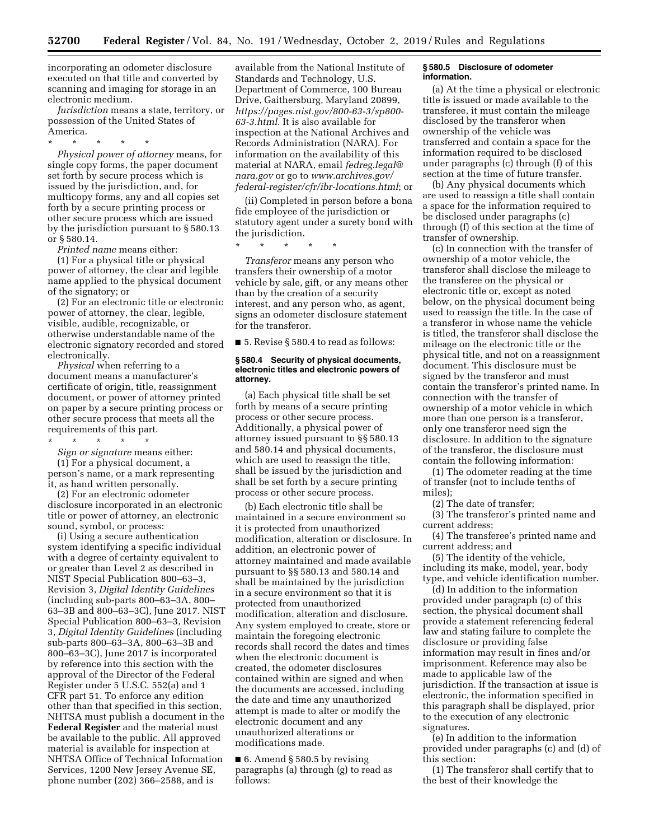incorporating an odometer disclosure executed on that title and converted by scanning and imaging for storage in an electronic medium.

*Jurisdiction* means a state, territory, or possession of the United States of America.

\* \* \* \* \* *Physical power of attorney* means, for single copy forms, the paper document set forth by secure process which is issued by the jurisdiction, and, for multicopy forms, any and all copies set forth by a secure printing process or other secure process which are issued by the jurisdiction pursuant to § 580.13 or § 580.14.

*Printed name* means either:

(1) For a physical title or physical power of attorney, the clear and legible name applied to the physical document of the signatory; or

(2) For an electronic title or electronic power of attorney, the clear, legible, visible, audible, recognizable, or otherwise understandable name of the electronic signatory recorded and stored electronically.

*Physical* when referring to a document means a manufacturer's certificate of origin, title, reassignment document, or power of attorney printed on paper by a secure printing process or other secure process that meets all the requirements of this part.

\* \* \* \* \* *Sign or signature* means either: (1) For a physical document, a person's name, or a mark representing

it, as hand written personally. (2) For an electronic odometer

disclosure incorporated in an electronic title or power of attorney, an electronic sound, symbol, or process:

(i) Using a secure authentication system identifying a specific individual with a degree of certainty equivalent to or greater than Level 2 as described in NIST Special Publication 800–63–3, Revision 3, *Digital Identity Guidelines*  (including sub-parts 800–63–3A, 800– 63–3B and 800–63–3C), June 2017. NIST Special Publication 800–63–3, Revision 3, *Digital Identity Guidelines* (including sub-parts 800–63–3A, 800–63–3B and 800–63–3C), June 2017 is incorporated by reference into this section with the approval of the Director of the Federal Register under 5 U.S.C. 552(a) and 1 CFR part 51. To enforce any edition other than that specified in this section, NHTSA must publish a document in the **Federal Register** and the material must be available to the public. All approved material is available for inspection at NHTSA Office of Technical Information Services, 1200 New Jersey Avenue SE, phone number (202) 366–2588, and is

available from the National Institute of Standards and Technology, U.S. Department of Commerce, 100 Bureau Drive, Gaithersburg, Maryland 20899, *[https://pages.nist.gov/800-63-3/sp800-](https://pages.nist.gov/800-63-3/sp800-63-3.html) [63-3.html.](https://pages.nist.gov/800-63-3/sp800-63-3.html)* It is also available for inspection at the National Archives and Records Administration (NARA). For information on the availability of this material at NARA, email *[fedreg.legal@](mailto:fedreg.legal@nara.gov) [nara.gov](mailto:fedreg.legal@nara.gov)* or go to *[www.archives.gov/](http://www.archives.gov/federal-register/cfr/ibr-locations.html) [federal-register/cfr/ibr-locations.html](http://www.archives.gov/federal-register/cfr/ibr-locations.html)*; or

(ii) Completed in person before a bona fide employee of the jurisdiction or statutory agent under a surety bond with the jurisdiction.

\* \* \* \* \*

*Transferor* means any person who transfers their ownership of a motor vehicle by sale, gift, or any means other than by the creation of a security interest, and any person who, as agent, signs an odometer disclosure statement for the transferor.

■ 5. Revise § 580.4 to read as follows:

## **§ 580.4 Security of physical documents, electronic titles and electronic powers of attorney.**

(a) Each physical title shall be set forth by means of a secure printing process or other secure process. Additionally, a physical power of attorney issued pursuant to §§ 580.13 and 580.14 and physical documents, which are used to reassign the title, shall be issued by the jurisdiction and shall be set forth by a secure printing process or other secure process.

(b) Each electronic title shall be maintained in a secure environment so it is protected from unauthorized modification, alteration or disclosure. In addition, an electronic power of attorney maintained and made available pursuant to §§ 580.13 and 580.14 and shall be maintained by the jurisdiction in a secure environment so that it is protected from unauthorized modification, alteration and disclosure. Any system employed to create, store or maintain the foregoing electronic records shall record the dates and times when the electronic document is created, the odometer disclosures contained within are signed and when the documents are accessed, including the date and time any unauthorized attempt is made to alter or modify the electronic document and any unauthorized alterations or modifications made.

 $\blacksquare$  6. Amend § 580.5 by revising paragraphs (a) through (g) to read as follows:

## **§ 580.5 Disclosure of odometer information.**

(a) At the time a physical or electronic title is issued or made available to the transferee, it must contain the mileage disclosed by the transferor when ownership of the vehicle was transferred and contain a space for the information required to be disclosed under paragraphs (c) through (f) of this section at the time of future transfer.

(b) Any physical documents which are used to reassign a title shall contain a space for the information required to be disclosed under paragraphs (c) through (f) of this section at the time of transfer of ownership.

(c) In connection with the transfer of ownership of a motor vehicle, the transferor shall disclose the mileage to the transferee on the physical or electronic title or, except as noted below, on the physical document being used to reassign the title. In the case of a transferor in whose name the vehicle is titled, the transferor shall disclose the mileage on the electronic title or the physical title, and not on a reassignment document. This disclosure must be signed by the transferor and must contain the transferor's printed name. In connection with the transfer of ownership of a motor vehicle in which more than one person is a transferor, only one transferor need sign the disclosure. In addition to the signature of the transferor, the disclosure must contain the following information:

(1) The odometer reading at the time of transfer (not to include tenths of miles);

(2) The date of transfer;

(3) The transferor's printed name and current address;

(4) The transferee's printed name and current address; and

(5) The identity of the vehicle, including its make, model, year, body type, and vehicle identification number.

(d) In addition to the information provided under paragraph (c) of this section, the physical document shall provide a statement referencing federal law and stating failure to complete the disclosure or providing false information may result in fines and/or imprisonment. Reference may also be made to applicable law of the jurisdiction. If the transaction at issue is electronic, the information specified in this paragraph shall be displayed, prior to the execution of any electronic signatures.

(e) In addition to the information provided under paragraphs (c) and (d) of this section:

(1) The transferor shall certify that to the best of their knowledge the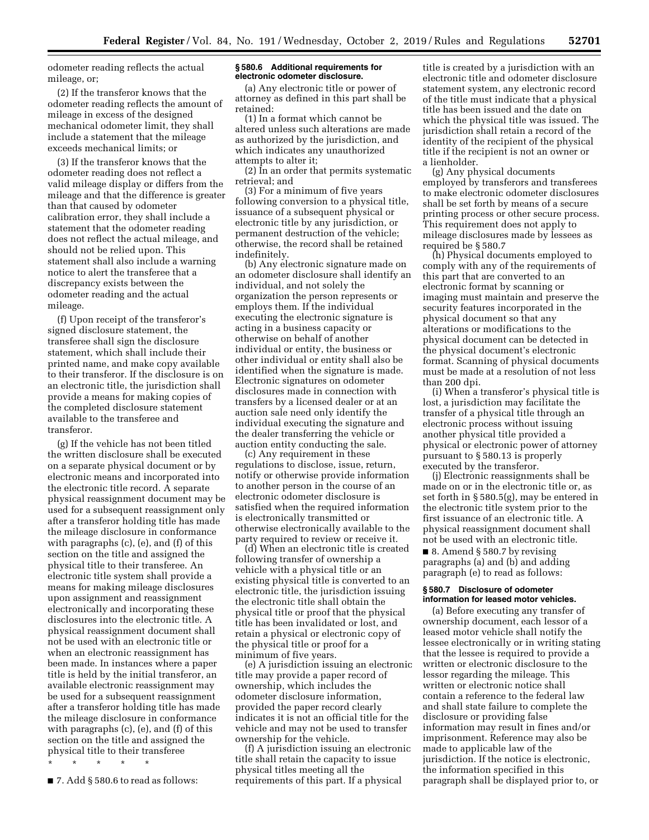odometer reading reflects the actual mileage, or;

(2) If the transferor knows that the odometer reading reflects the amount of mileage in excess of the designed mechanical odometer limit, they shall include a statement that the mileage exceeds mechanical limits; or

(3) If the transferor knows that the odometer reading does not reflect a valid mileage display or differs from the mileage and that the difference is greater than that caused by odometer calibration error, they shall include a statement that the odometer reading does not reflect the actual mileage, and should not be relied upon. This statement shall also include a warning notice to alert the transferee that a discrepancy exists between the odometer reading and the actual mileage.

(f) Upon receipt of the transferor's signed disclosure statement, the transferee shall sign the disclosure statement, which shall include their printed name, and make copy available to their transferor. If the disclosure is on an electronic title, the jurisdiction shall provide a means for making copies of the completed disclosure statement available to the transferee and transferor.

(g) If the vehicle has not been titled the written disclosure shall be executed on a separate physical document or by electronic means and incorporated into the electronic title record. A separate physical reassignment document may be used for a subsequent reassignment only after a transferor holding title has made the mileage disclosure in conformance with paragraphs (c), (e), and (f) of this section on the title and assigned the physical title to their transferee. An electronic title system shall provide a means for making mileage disclosures upon assignment and reassignment electronically and incorporating these disclosures into the electronic title. A physical reassignment document shall not be used with an electronic title or when an electronic reassignment has been made. In instances where a paper title is held by the initial transferor, an available electronic reassignment may be used for a subsequent reassignment after a transferor holding title has made the mileage disclosure in conformance with paragraphs (c), (e), and (f) of this section on the title and assigned the physical title to their transferee

\* \* \* \* \*

■ 7. Add § 580.6 to read as follows:

#### **§ 580.6 Additional requirements for electronic odometer disclosure.**

(a) Any electronic title or power of attorney as defined in this part shall be retained:

(1) In a format which cannot be altered unless such alterations are made as authorized by the jurisdiction, and which indicates any unauthorized attempts to alter it;

(2) In an order that permits systematic retrieval; and

(3) For a minimum of five years following conversion to a physical title, issuance of a subsequent physical or electronic title by any jurisdiction, or permanent destruction of the vehicle; otherwise, the record shall be retained indefinitely.

(b) Any electronic signature made on an odometer disclosure shall identify an individual, and not solely the organization the person represents or employs them. If the individual executing the electronic signature is acting in a business capacity or otherwise on behalf of another individual or entity, the business or other individual or entity shall also be identified when the signature is made. Electronic signatures on odometer disclosures made in connection with transfers by a licensed dealer or at an auction sale need only identify the individual executing the signature and the dealer transferring the vehicle or auction entity conducting the sale.

(c) Any requirement in these regulations to disclose, issue, return, notify or otherwise provide information to another person in the course of an electronic odometer disclosure is satisfied when the required information is electronically transmitted or otherwise electronically available to the party required to review or receive it.

(d) When an electronic title is created following transfer of ownership a vehicle with a physical title or an existing physical title is converted to an electronic title, the jurisdiction issuing the electronic title shall obtain the physical title or proof that the physical title has been invalidated or lost, and retain a physical or electronic copy of the physical title or proof for a minimum of five years.

(e) A jurisdiction issuing an electronic title may provide a paper record of ownership, which includes the odometer disclosure information, provided the paper record clearly indicates it is not an official title for the vehicle and may not be used to transfer ownership for the vehicle.

(f) A jurisdiction issuing an electronic title shall retain the capacity to issue physical titles meeting all the requirements of this part. If a physical

title is created by a jurisdiction with an electronic title and odometer disclosure statement system, any electronic record of the title must indicate that a physical title has been issued and the date on which the physical title was issued. The jurisdiction shall retain a record of the identity of the recipient of the physical title if the recipient is not an owner or a lienholder.

(g) Any physical documents employed by transferors and transferees to make electronic odometer disclosures shall be set forth by means of a secure printing process or other secure process. This requirement does not apply to mileage disclosures made by lessees as required be § 580.7

(h) Physical documents employed to comply with any of the requirements of this part that are converted to an electronic format by scanning or imaging must maintain and preserve the security features incorporated in the physical document so that any alterations or modifications to the physical document can be detected in the physical document's electronic format. Scanning of physical documents must be made at a resolution of not less than 200 dpi.

(i) When a transferor's physical title is lost, a jurisdiction may facilitate the transfer of a physical title through an electronic process without issuing another physical title provided a physical or electronic power of attorney pursuant to § 580.13 is properly executed by the transferor.

(j) Electronic reassignments shall be made on or in the electronic title or, as set forth in § 580.5(g), may be entered in the electronic title system prior to the first issuance of an electronic title. A physical reassignment document shall not be used with an electronic title.

■ 8. Amend § 580.7 by revising paragraphs (a) and (b) and adding paragraph (e) to read as follows:

### **§ 580.7 Disclosure of odometer information for leased motor vehicles.**

(a) Before executing any transfer of ownership document, each lessor of a leased motor vehicle shall notify the lessee electronically or in writing stating that the lessee is required to provide a written or electronic disclosure to the lessor regarding the mileage. This written or electronic notice shall contain a reference to the federal law and shall state failure to complete the disclosure or providing false information may result in fines and/or imprisonment. Reference may also be made to applicable law of the jurisdiction. If the notice is electronic, the information specified in this paragraph shall be displayed prior to, or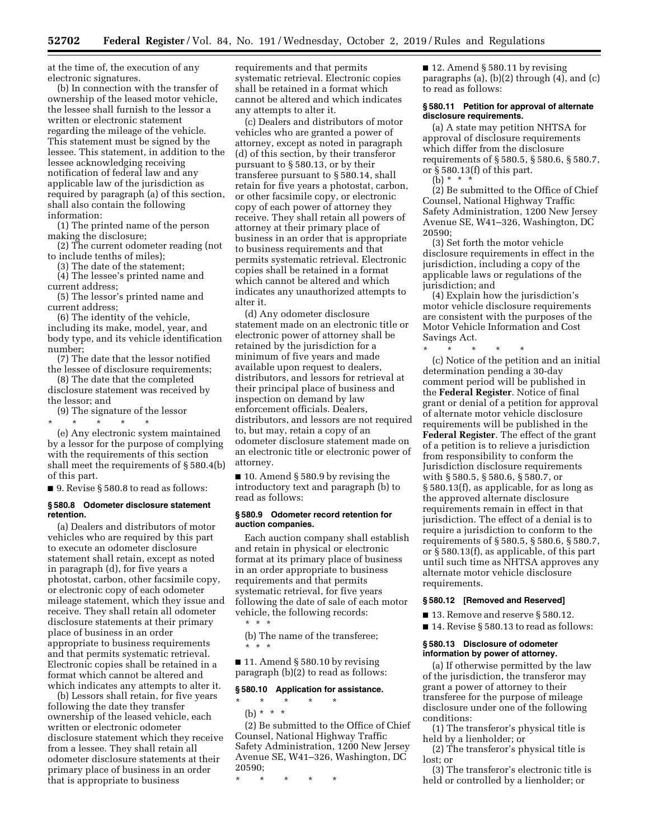at the time of, the execution of any electronic signatures.

(b) In connection with the transfer of ownership of the leased motor vehicle, the lessee shall furnish to the lessor a written or electronic statement regarding the mileage of the vehicle. This statement must be signed by the lessee. This statement, in addition to the lessee acknowledging receiving notification of federal law and any applicable law of the jurisdiction as required by paragraph (a) of this section, shall also contain the following information:

(1) The printed name of the person making the disclosure;

(2) The current odometer reading (not to include tenths of miles);

(3) The date of the statement;

(4) The lessee's printed name and current address;

(5) The lessor's printed name and current address;

(6) The identity of the vehicle, including its make, model, year, and body type, and its vehicle identification number;

(7) The date that the lessor notified the lessee of disclosure requirements;

(8) The date that the completed disclosure statement was received by the lessor; and

(9) The signature of the lessor

\* \* \* \* \* (e) Any electronic system maintained by a lessor for the purpose of complying with the requirements of this section shall meet the requirements of § 580.4(b) of this part.

■ 9. Revise § 580.8 to read as follows:

#### **§ 580.8 Odometer disclosure statement retention.**

(a) Dealers and distributors of motor vehicles who are required by this part to execute an odometer disclosure statement shall retain, except as noted in paragraph (d), for five years a photostat, carbon, other facsimile copy, or electronic copy of each odometer mileage statement, which they issue and receive. They shall retain all odometer disclosure statements at their primary place of business in an order appropriate to business requirements and that permits systematic retrieval. Electronic copies shall be retained in a format which cannot be altered and which indicates any attempts to alter it.

(b) Lessors shall retain, for five years following the date they transfer ownership of the leased vehicle, each written or electronic odometer disclosure statement which they receive from a lessee. They shall retain all odometer disclosure statements at their primary place of business in an order that is appropriate to business

requirements and that permits systematic retrieval. Electronic copies shall be retained in a format which cannot be altered and which indicates any attempts to alter it.

(c) Dealers and distributors of motor vehicles who are granted a power of attorney, except as noted in paragraph (d) of this section, by their transferor pursuant to § 580.13, or by their transferee pursuant to § 580.14, shall retain for five years a photostat, carbon, or other facsimile copy, or electronic copy of each power of attorney they receive. They shall retain all powers of attorney at their primary place of business in an order that is appropriate to business requirements and that permits systematic retrieval. Electronic copies shall be retained in a format which cannot be altered and which indicates any unauthorized attempts to alter it.

(d) Any odometer disclosure statement made on an electronic title or electronic power of attorney shall be retained by the jurisdiction for a minimum of five years and made available upon request to dealers, distributors, and lessors for retrieval at their principal place of business and inspection on demand by law enforcement officials. Dealers, distributors, and lessors are not required to, but may, retain a copy of an odometer disclosure statement made on an electronic title or electronic power of attorney.

 $\blacksquare$  10. Amend § 580.9 by revising the introductory text and paragraph (b) to read as follows:

#### **§ 580.9 Odometer record retention for auction companies.**

Each auction company shall establish and retain in physical or electronic format at its primary place of business in an order appropriate to business requirements and that permits systematic retrieval, for five years following the date of sale of each motor vehicle, the following records:

\* \* \*

(b) The name of the transferee; \* \* \*

■ 11. Amend § 580.10 by revising paragraph (b)(2) to read as follows:

## **§ 580.10 Application for assistance.**

\* \* \* \* \* (b) \* \* \*

(2) Be submitted to the Office of Chief Counsel, National Highway Traffic Safety Administration, 1200 New Jersey Avenue SE, W41–326, Washington, DC 20590;

\* \* \* \* \*

■ 12. Amend § 580.11 by revising paragraphs (a), (b)(2) through (4), and (c) to read as follows:

#### **§ 580.11 Petition for approval of alternate disclosure requirements.**

(a) A state may petition NHTSA for approval of disclosure requirements which differ from the disclosure requirements of § 580.5, § 580.6, § 580.7, or § 580.13(f) of this part.

(b) \* \* \*

(2) Be submitted to the Office of Chief Counsel, National Highway Traffic Safety Administration, 1200 New Jersey Avenue SE, W41–326, Washington, DC 20590;

(3) Set forth the motor vehicle disclosure requirements in effect in the jurisdiction, including a copy of the applicable laws or regulations of the jurisdiction; and

(4) Explain how the jurisdiction's motor vehicle disclosure requirements are consistent with the purposes of the Motor Vehicle Information and Cost Savings Act.

\* \* \* \* \* (c) Notice of the petition and an initial determination pending a 30-day comment period will be published in the **Federal Register**. Notice of final grant or denial of a petition for approval of alternate motor vehicle disclosure requirements will be published in the **Federal Register**. The effect of the grant of a petition is to relieve a jurisdiction from responsibility to conform the Jurisdiction disclosure requirements with § 580.5, § 580.6, § 580.7, or § 580.13(f), as applicable, for as long as the approved alternate disclosure requirements remain in effect in that jurisdiction. The effect of a denial is to require a jurisdiction to conform to the requirements of § 580.5, § 580.6, § 580.7, or § 580.13(f), as applicable, of this part until such time as NHTSA approves any alternate motor vehicle disclosure requirements.

## **§ 580.12 [Removed and Reserved]**

■ 13. Remove and reserve § 580.12.

■ 14. Revise § 580.13 to read as follows:

## **§ 580.13 Disclosure of odometer information by power of attorney.**

(a) If otherwise permitted by the law of the jurisdiction, the transferor may grant a power of attorney to their transferee for the purpose of mileage disclosure under one of the following conditions:

(1) The transferor's physical title is held by a lienholder; or

(2) The transferor's physical title is lost; or

(3) The transferor's electronic title is held or controlled by a lienholder; or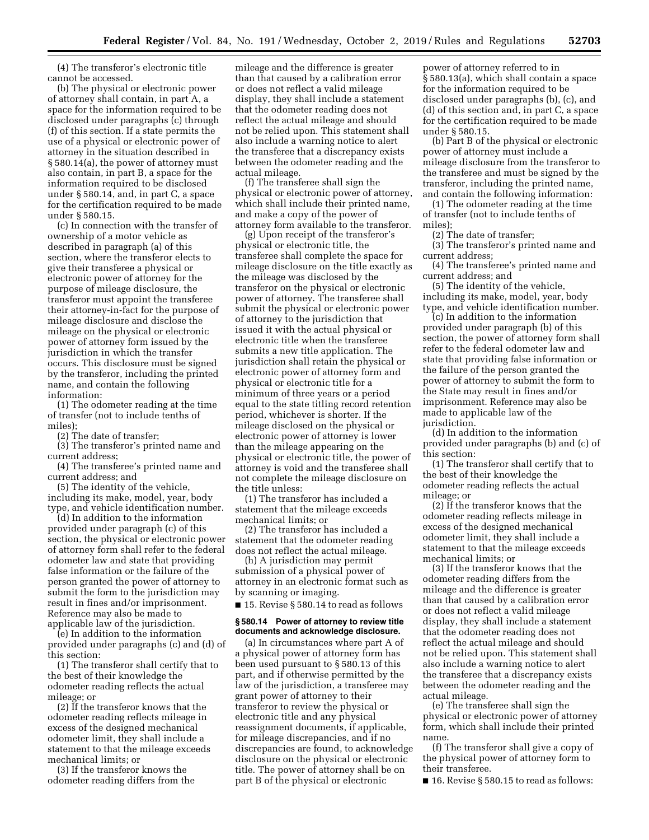(4) The transferor's electronic title cannot be accessed.

(b) The physical or electronic power of attorney shall contain, in part A, a space for the information required to be disclosed under paragraphs (c) through (f) of this section. If a state permits the use of a physical or electronic power of attorney in the situation described in § 580.14(a), the power of attorney must also contain, in part B, a space for the information required to be disclosed under § 580.14, and, in part C, a space for the certification required to be made under § 580.15.

(c) In connection with the transfer of ownership of a motor vehicle as described in paragraph (a) of this section, where the transferor elects to give their transferee a physical or electronic power of attorney for the purpose of mileage disclosure, the transferor must appoint the transferee their attorney-in-fact for the purpose of mileage disclosure and disclose the mileage on the physical or electronic power of attorney form issued by the jurisdiction in which the transfer occurs. This disclosure must be signed by the transferor, including the printed name, and contain the following information:

(1) The odometer reading at the time of transfer (not to include tenths of miles);

(2) The date of transfer;

(3) The transferor's printed name and current address;

(4) The transferee's printed name and current address; and

(5) The identity of the vehicle, including its make, model, year, body type, and vehicle identification number.

(d) In addition to the information provided under paragraph (c) of this section, the physical or electronic power of attorney form shall refer to the federal odometer law and state that providing false information or the failure of the person granted the power of attorney to submit the form to the jurisdiction may result in fines and/or imprisonment. Reference may also be made to applicable law of the jurisdiction.

(e) In addition to the information provided under paragraphs (c) and (d) of this section:

(1) The transferor shall certify that to the best of their knowledge the odometer reading reflects the actual mileage; or

(2) If the transferor knows that the odometer reading reflects mileage in excess of the designed mechanical odometer limit, they shall include a statement to that the mileage exceeds mechanical limits; or

(3) If the transferor knows the odometer reading differs from the

mileage and the difference is greater than that caused by a calibration error or does not reflect a valid mileage display, they shall include a statement that the odometer reading does not reflect the actual mileage and should not be relied upon. This statement shall also include a warning notice to alert the transferee that a discrepancy exists between the odometer reading and the actual mileage.

(f) The transferee shall sign the physical or electronic power of attorney, which shall include their printed name, and make a copy of the power of attorney form available to the transferor.

(g) Upon receipt of the transferor's physical or electronic title, the transferee shall complete the space for mileage disclosure on the title exactly as the mileage was disclosed by the transferor on the physical or electronic power of attorney. The transferee shall submit the physical or electronic power of attorney to the jurisdiction that issued it with the actual physical or electronic title when the transferee submits a new title application. The jurisdiction shall retain the physical or electronic power of attorney form and physical or electronic title for a minimum of three years or a period equal to the state titling record retention period, whichever is shorter. If the mileage disclosed on the physical or electronic power of attorney is lower than the mileage appearing on the physical or electronic title, the power of attorney is void and the transferee shall not complete the mileage disclosure on the title unless:

(1) The transferor has included a statement that the mileage exceeds mechanical limits; or

(2) The transferor has included a statement that the odometer reading does not reflect the actual mileage.

(h) A jurisdiction may permit submission of a physical power of attorney in an electronic format such as by scanning or imaging.

■ 15. Revise § 580.14 to read as follows

## **§ 580.14 Power of attorney to review title documents and acknowledge disclosure.**

(a) In circumstances where part A of a physical power of attorney form has been used pursuant to § 580.13 of this part, and if otherwise permitted by the law of the jurisdiction, a transferee may grant power of attorney to their transferor to review the physical or electronic title and any physical reassignment documents, if applicable, for mileage discrepancies, and if no discrepancies are found, to acknowledge disclosure on the physical or electronic title. The power of attorney shall be on part B of the physical or electronic

power of attorney referred to in § 580.13(a), which shall contain a space for the information required to be disclosed under paragraphs (b), (c), and (d) of this section and, in part C, a space for the certification required to be made under § 580.15.

(b) Part B of the physical or electronic power of attorney must include a mileage disclosure from the transferor to the transferee and must be signed by the transferor, including the printed name, and contain the following information:

(1) The odometer reading at the time of transfer (not to include tenths of miles);

(2) The date of transfer;

(3) The transferor's printed name and current address;

(4) The transferee's printed name and current address; and

(5) The identity of the vehicle, including its make, model, year, body type, and vehicle identification number.

(c) In addition to the information provided under paragraph (b) of this section, the power of attorney form shall refer to the federal odometer law and state that providing false information or the failure of the person granted the power of attorney to submit the form to the State may result in fines and/or imprisonment. Reference may also be made to applicable law of the jurisdiction.

(d) In addition to the information provided under paragraphs (b) and (c) of this section:

(1) The transferor shall certify that to the best of their knowledge the odometer reading reflects the actual mileage; or

(2) If the transferor knows that the odometer reading reflects mileage in excess of the designed mechanical odometer limit, they shall include a statement to that the mileage exceeds mechanical limits; or

(3) If the transferor knows that the odometer reading differs from the mileage and the difference is greater than that caused by a calibration error or does not reflect a valid mileage display, they shall include a statement that the odometer reading does not reflect the actual mileage and should not be relied upon. This statement shall also include a warning notice to alert the transferee that a discrepancy exists between the odometer reading and the actual mileage.

(e) The transferee shall sign the physical or electronic power of attorney form, which shall include their printed name.

(f) The transferor shall give a copy of the physical power of attorney form to their transferee.

■ 16. Revise § 580.15 to read as follows: